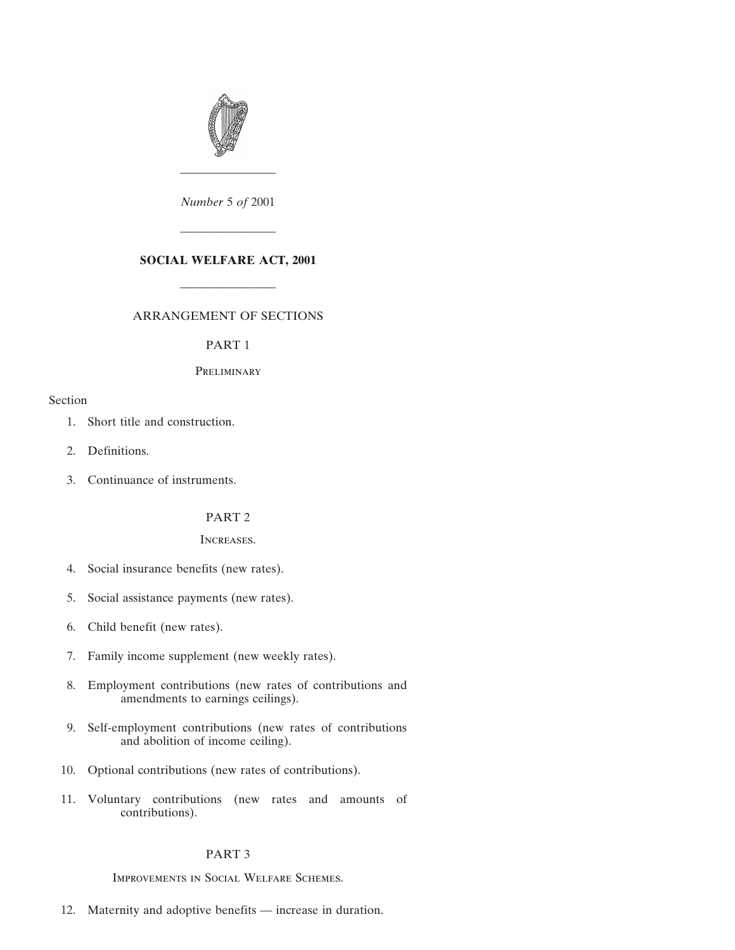

*Number* 5 *of* 2001

————————

## **SOCIAL WELFARE ACT, 2001**

————————

————————

## ARRANGEMENT OF SECTIONS

### PART 1

# **PRELIMINARY**

## Section

- [1. Short title and construction.](#page-4-0)
- [2. Definitions.](#page-4-0)
- [3. Continuance of instruments.](#page-4-0)

# PART 2

## Increases.

- [4. Social insurance benefits \(new rates\).](#page-5-0)
- [5. Social assistance payments \(new rates\).](#page-5-0)
- [6. Child benefit \(new rates\).](#page-5-0)
- [7. Family income supplement \(new weekly rates\).](#page-6-0)
- [8. Employment contributions \(new rates of contributions and](#page-6-0) amendments to earnings ceilings).
- [9. Self-employment contributions \(new rates of contributions](#page-7-0) and abolition of income ceiling).
- [10. Optional contributions \(new rates of contributions\).](#page-8-0)
- [11. Voluntary contributions \(new rates and amounts of](#page-8-0) contributions).

## PART 3

Improvements in Social Welfare Schemes.

[12. Maternity and adoptive benefits — increase in duration.](#page-9-0)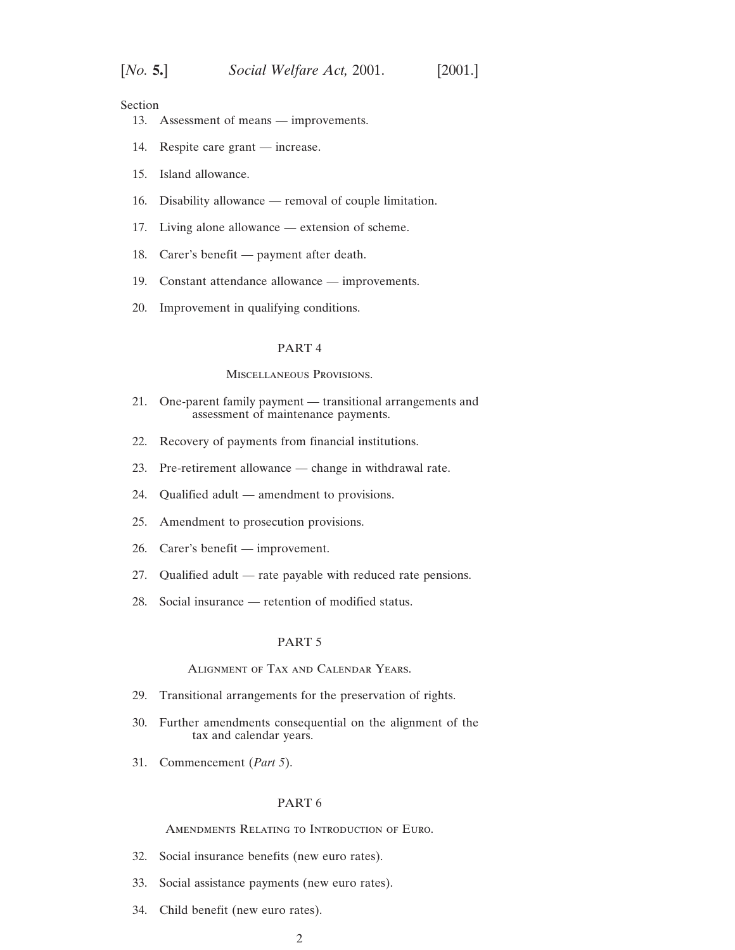Section

- [13. Assessment of means improvements.](#page-10-0)
- [14. Respite care grant increase.](#page-14-0)
- [15. Island allowance.](#page-15-0)
- [16. Disability allowance removal of couple limitation.](#page-18-0)
- [17. Living alone allowance extension of scheme.](#page-18-0)
- [18. Carer's benefit payment after death.](#page-19-0)
- [19. Constant attendance allowance improvements.](#page-20-0)
- [20. Improvement in qualifying conditions.](#page-20-0)

#### PART 4

#### Miscellaneous Provisions.

- [21. One-parent family payment transitional arrangements and](#page-22-0) assessment of maintenance payments.
- [22. Recovery of payments from financial institutions.](#page-23-0)
- [23. Pre-retirement allowance change in withdrawal rate.](#page-24-0)
- [24. Qualified adult amendment to provisions.](#page-24-0)
- [25. Amendment to prosecution provisions.](#page-28-0)
- [26. Carer's benefit improvement.](#page-28-0)
- [27. Qualified adult rate payable with reduced rate pensions.](#page-29-0)
- [28. Social insurance retention of modified status.](#page-29-0)

### PART 5

### Alignment of Tax and Calendar Years.

- [29. Transitional arrangements for the preservation of rights.](#page-30-0)
- [30. Further amendments consequential on the alignment of the](#page-30-0) tax and calendar years.
- [31. Commencement \(](#page-32-0)*Part 5*).

#### PART 6

#### Amendments Relating to Introduction of Euro.

- [32. Social insurance benefits \(new euro rates\).](#page-32-0)
- [33. Social assistance payments \(new euro rates\).](#page-32-0)
- [34. Child benefit \(new euro rates\).](#page-33-0)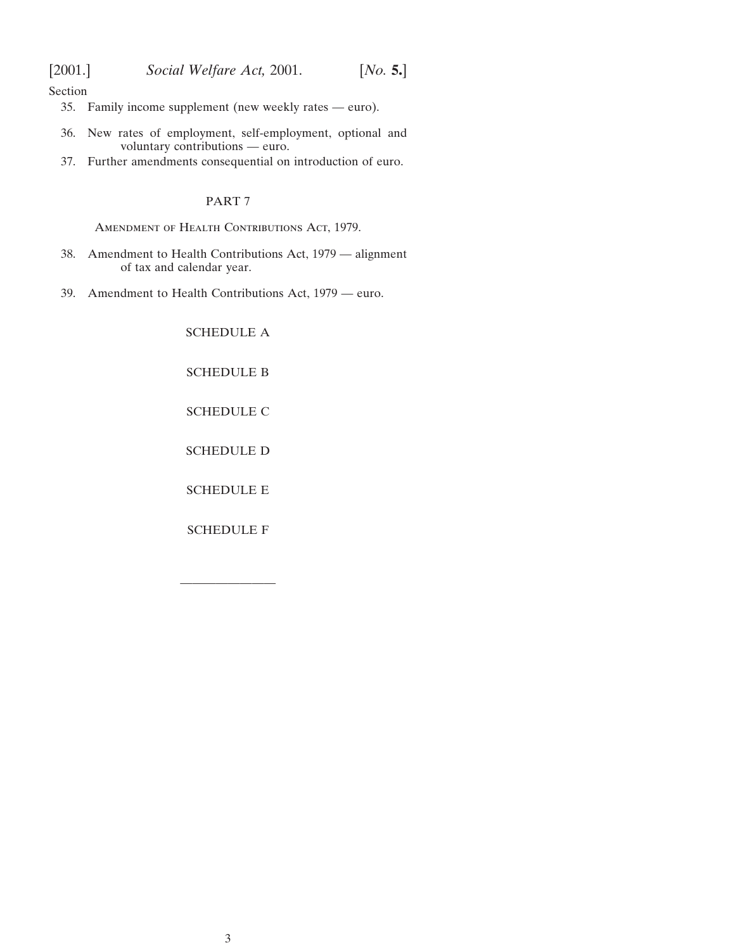Section

- [35. Family income supplement \(new weekly rates euro\).](#page-33-0)
- [36. New rates of employment, self-employment, optional and](#page-34-0) voluntary contributions — euro.
- [37. Further amendments consequential on introduction of euro.](#page-34-0)

# PART 7

AMENDMENT OF HEALTH CONTRIBUTIONS ACT, 1979.

- [38. Amendment to Health Contributions Act, 1979 alignment](#page-35-0) of tax and calendar year.
- [39. Amendment to Health Contributions Act, 1979 euro.](#page-35-0)

[SCHEDULE A](#page-36-0)

[SCHEDULE B](#page-39-0)

[SCHEDULE C](#page-44-0)

[SCHEDULE D](#page-47-0)

[SCHEDULE E](#page-52-0)

[SCHEDULE F](#page-53-0)

————————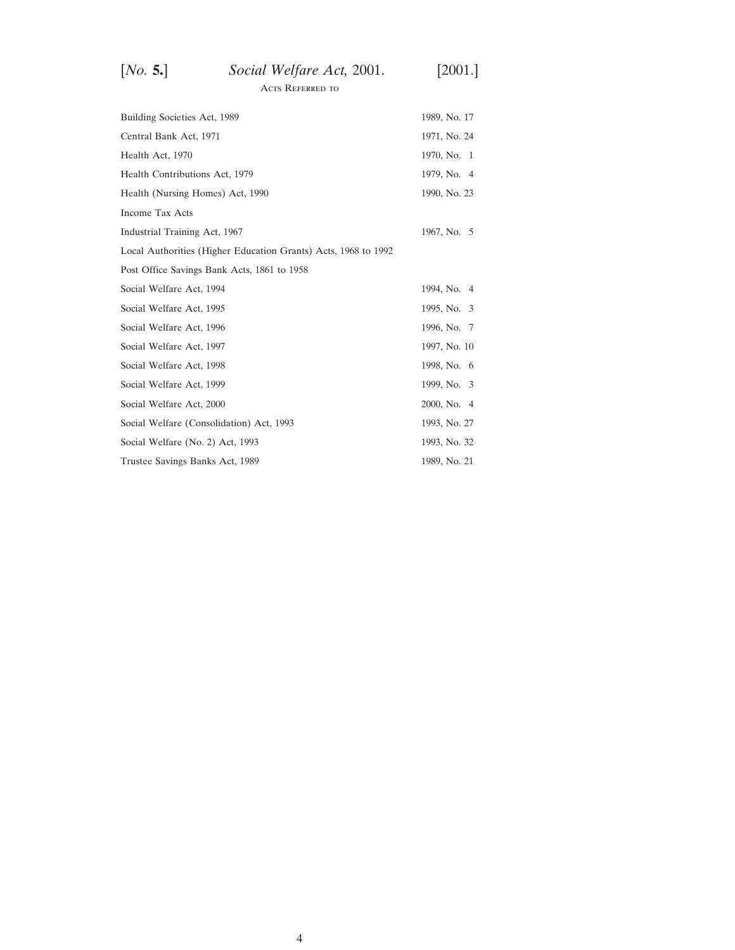| [No. 5.] | Social Welfare Act, 2001. | $[2001.]$ |
|----------|---------------------------|-----------|
|          | ACTS REFERRED TO          |           |

| Building Societies Act, 1989                                   | 1989, No. 17 |
|----------------------------------------------------------------|--------------|
| Central Bank Act, 1971                                         | 1971, No. 24 |
| Health Act, 1970                                               | 1970, No. 1  |
| Health Contributions Act, 1979                                 | 1979, No. 4  |
| Health (Nursing Homes) Act, 1990                               | 1990, No. 23 |
| <b>Income Tax Acts</b>                                         |              |
| Industrial Training Act, 1967                                  | 1967, No. 5  |
| Local Authorities (Higher Education Grants) Acts, 1968 to 1992 |              |
| Post Office Savings Bank Acts, 1861 to 1958                    |              |
| Social Welfare Act, 1994                                       | 1994, No. 4  |
| Social Welfare Act, 1995                                       | 1995, No. 3  |
| Social Welfare Act, 1996                                       | 1996, No. 7  |
| Social Welfare Act, 1997                                       | 1997, No. 10 |
| Social Welfare Act, 1998                                       | 1998, No. 6  |
| Social Welfare Act, 1999                                       | 1999, No. 3  |
| Social Welfare Act, 2000                                       | 2000, No. 4  |
| Social Welfare (Consolidation) Act, 1993                       | 1993, No. 27 |
| Social Welfare (No. 2) Act, 1993                               | 1993, No. 32 |
| Trustee Savings Banks Act, 1989                                | 1989, No. 21 |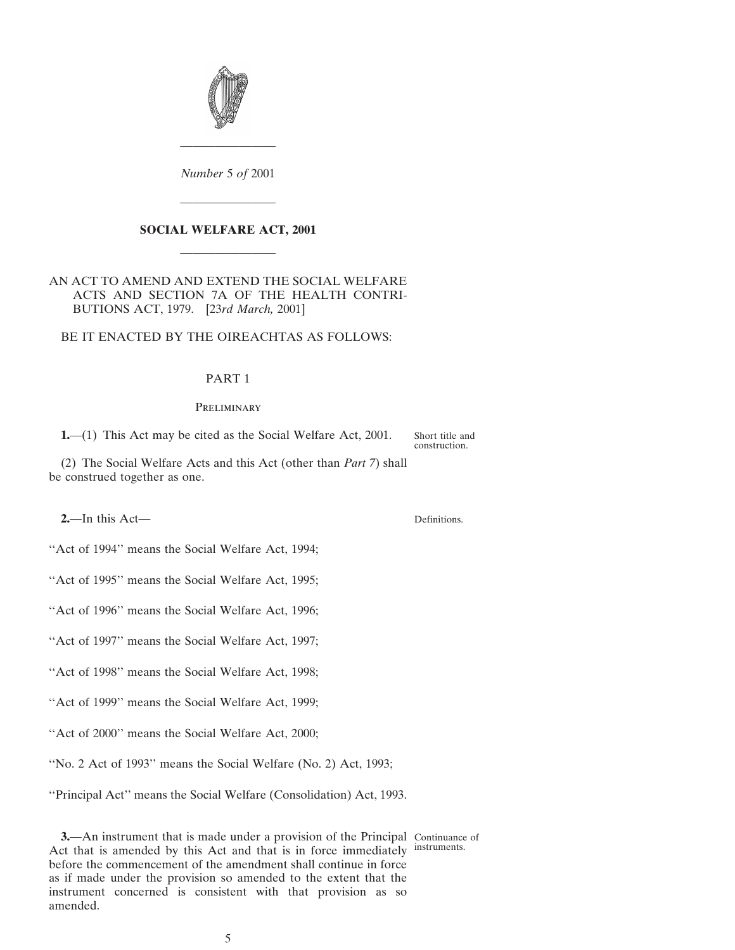<span id="page-4-0"></span>

*Number* 5 *of* 2001

————————

## **SOCIAL WELFARE ACT, 2001**

————————

————————

AN ACT TO AMEND AND EXTEND THE SOCIAL WELFARE ACTS AND SECTION 7A OF THE HEALTH CONTRI-BUTIONS ACT, 1979. [23*rd March,* 2001]

### BE IT ENACTED BY THE OIREACHTAS AS FOLLOWS:

## PART 1

#### **PRELIMINARY**

**1.**—(1) This Act may be cited as the Social Welfare Act, 2001.

Short title and construction.

(2) The Social Welfare Acts and this Act (other than *Part 7*) shall be construed together as one.

**2.**—In this Act—

Definitions.

''Act of 1994'' means the Social Welfare Act, 1994;

''Act of 1995'' means the Social Welfare Act, 1995;

''Act of 1996'' means the Social Welfare Act, 1996;

''Act of 1997'' means the Social Welfare Act, 1997;

"Act of 1998" means the Social Welfare Act, 1998;

''Act of 1999'' means the Social Welfare Act, 1999;

''Act of 2000'' means the Social Welfare Act, 2000;

''No. 2 Act of 1993'' means the Social Welfare (No. 2) Act, 1993;

''Principal Act'' means the Social Welfare (Consolidation) Act, 1993.

**3.**—An instrument that is made under a provision of the Principal Continuance of Act that is amended by this Act and that is in force immediately instruments. before the commencement of the amendment shall continue in force as if made under the provision so amended to the extent that the instrument concerned is consistent with that provision as so amended.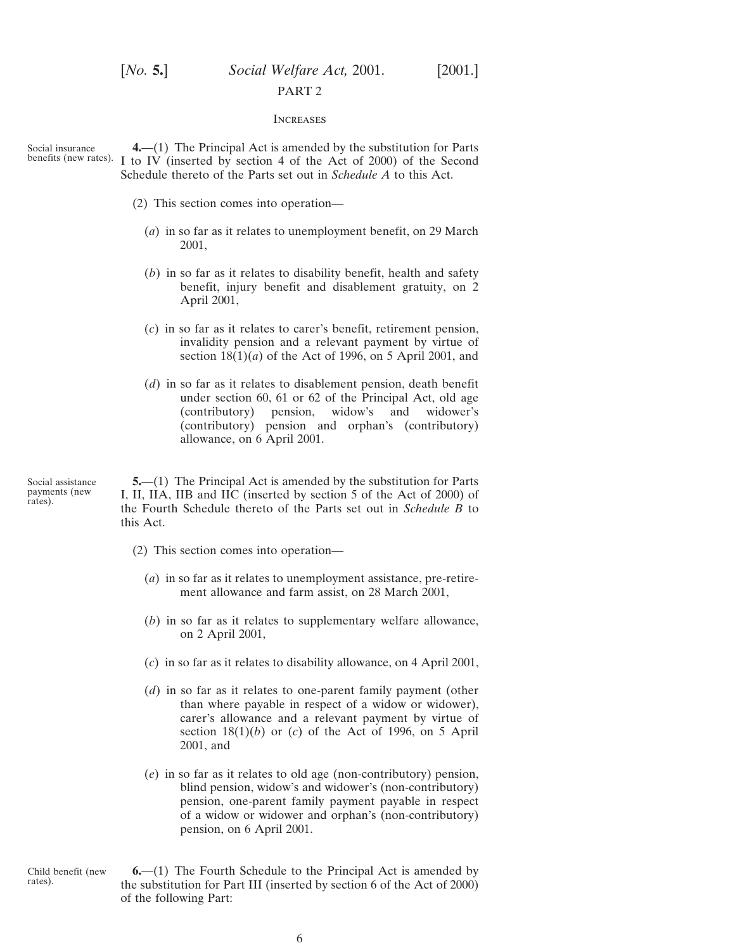# <span id="page-5-0"></span>[*No.* **5.**] *Social Welfare Act,* 2001. [2001.] PART 2

#### **INCREASES**

Social insurance benefits (new rates).

**4.**—(1) The Principal Act is amended by the substitution for Parts I to IV (inserted by section 4 of the Act of 2000) of the Second Schedule thereto of the Parts set out in *Schedule A* to this Act.

- (2) This section comes into operation—
	- (*a*) in so far as it relates to unemployment benefit, on 29 March 2001,
	- (*b*) in so far as it relates to disability benefit, health and safety benefit, injury benefit and disablement gratuity, on 2 April 2001,
	- (*c*) in so far as it relates to carer's benefit, retirement pension, invalidity pension and a relevant payment by virtue of section  $18(1)(a)$  of the Act of 1996, on 5 April 2001, and
	- (*d*) in so far as it relates to disablement pension, death benefit under section 60, 61 or 62 of the Principal Act, old age (contributory) pension, widow's and widower's (contributory) pension and orphan's (contributory) allowance, on 6 April 2001.

Social assistance payments (new rates).

**5.**—(1) The Principal Act is amended by the substitution for Parts I, II, IIA, IIB and IIC (inserted by section 5 of the Act of 2000) of the Fourth Schedule thereto of the Parts set out in *Schedule B* to this Act.

- (2) This section comes into operation—
	- (*a*) in so far as it relates to unemployment assistance, pre-retirement allowance and farm assist, on 28 March 2001,
	- (*b*) in so far as it relates to supplementary welfare allowance, on 2 April 2001,
	- (*c*) in so far as it relates to disability allowance, on 4 April 2001,
	- (*d*) in so far as it relates to one-parent family payment (other than where payable in respect of a widow or widower), carer's allowance and a relevant payment by virtue of section  $18(1)(b)$  or (*c*) of the Act of 1996, on 5 April 2001, and
	- (*e*) in so far as it relates to old age (non-contributory) pension, blind pension, widow's and widower's (non-contributory) pension, one-parent family payment payable in respect of a widow or widower and orphan's (non-contributory) pension, on 6 April 2001.
- Child benefit (new rates). **6.**—(1) The Fourth Schedule to the Principal Act is amended by the substitution for Part III (inserted by section 6 of the Act of 2000) of the following Part: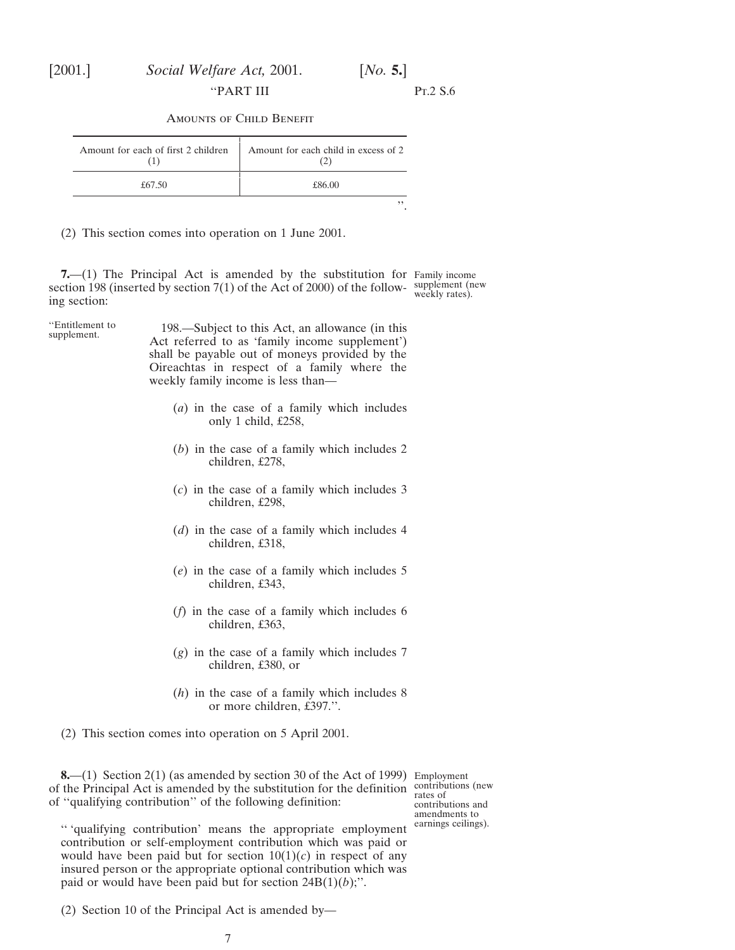<span id="page-6-0"></span>

''PART III Pt.2 S.6

Amounts of Child Benefit

| Amount for each of first 2 children | Amount for each child in excess of 2 |
|-------------------------------------|--------------------------------------|
| £67.50                              | £86.00                               |
|                                     |                                      |

(2) This section comes into operation on 1 June 2001.

**7.**—(1) The Principal Act is amended by the substitution for Family income section 198 (inserted by section 7(1) of the Act of 2000) of the follow- supplement (new<br>ine section: ing section:

''Entitlement to 198.—Subject to this Act, an allowance (in this supplement. Act referred to as 'family income supplement') shall be payable out of moneys provided by the Oireachtas in respect of a family where the weekly family income is less than—

- (*a*) in the case of a family which includes only 1 child, £258,
- (*b*) in the case of a family which includes 2 children, £278,
- (*c*) in the case of a family which includes 3 children, £298,
- (*d*) in the case of a family which includes 4 children, £318,
- (*e*) in the case of a family which includes 5 children, £343,
- (*f*) in the case of a family which includes 6 children, £363,
- (*g*) in the case of a family which includes 7 children, £380, or
- (*h*) in the case of a family which includes 8 or more children, £397.''.

(2) This section comes into operation on 5 April 2001.

**8.**—(1) Section 2(1) (as amended by section 30 of the Act of 1999) Employment of the Principal Act is amended by the substitution for the definition contributions (new of ''qualifying contribution'' of the following definition:

'' 'qualifying contribution' means the appropriate employment contribution or self-employment contribution which was paid or would have been paid but for section  $10(1)(c)$  in respect of any insured person or the appropriate optional contribution which was paid or would have been paid but for section 24B(1)(*b*);''.

(2) Section 10 of the Principal Act is amended by—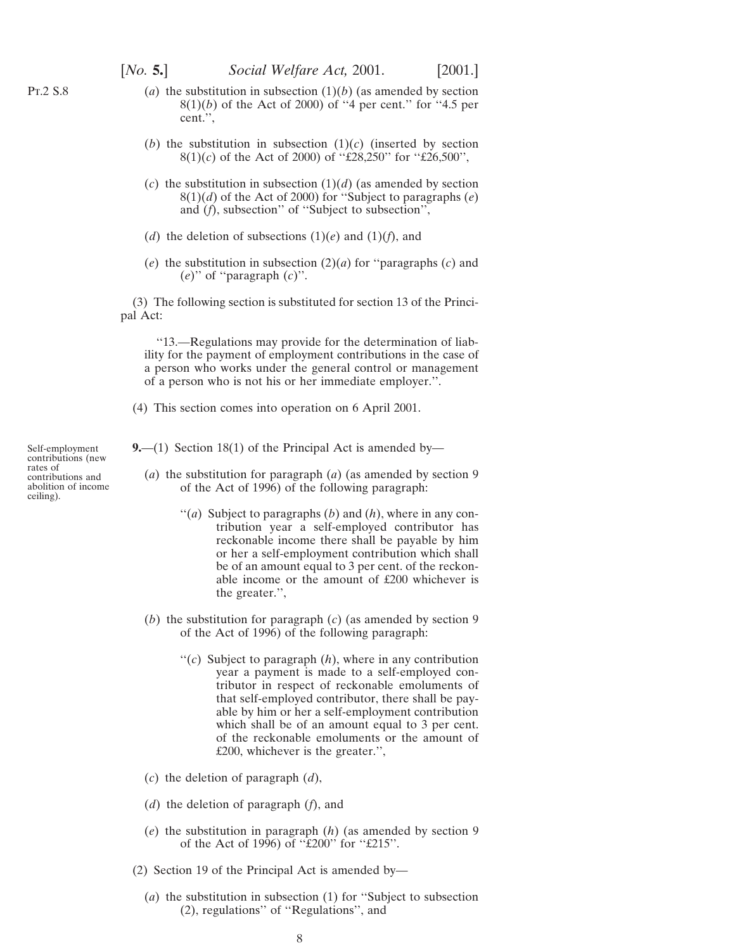- <span id="page-7-0"></span>(*a*) the substitution in subsection  $(1)(b)$  (as amended by section 8(1)(*b*) of the Act of 2000) of ''4 per cent.'' for ''4.5 per cent.'',
- (*b*) the substitution in subsection  $(1)(c)$  (inserted by section 8(1)(*c*) of the Act of 2000) of ''£28,250'' for ''£26,500'',
- (*c*) the substitution in subsection  $(1)(d)$  (as amended by section 8(1)(*d*) of the Act of 2000) for ''Subject to paragraphs (*e*) and (*f*), subsection'' of ''Subject to subsection'',
- (*d*) the deletion of subsections  $(1)(e)$  and  $(1)(f)$ , and
- (*e*) the substitution in subsection (2)(*a*) for ''paragraphs (*c*) and (*e*)'' of ''paragraph (*c*)''.

(3) The following section is substituted for section 13 of the Principal Act:

''13.—Regulations may provide for the determination of liability for the payment of employment contributions in the case of a person who works under the general control or management of a person who is not his or her immediate employer.''.

(4) This section comes into operation on 6 April 2001.

**9.**—(1) Section 18(1) of the Principal Act is amended by—

- (*a*) the substitution for paragraph (*a*) (as amended by section 9 of the Act of 1996) of the following paragraph:
	- "(*a*) Subject to paragraphs  $(b)$  and  $(h)$ , where in any contribution year a self-employed contributor has reckonable income there shall be payable by him or her a self-employment contribution which shall be of an amount equal to 3 per cent. of the reckonable income or the amount of £200 whichever is the greater.'',
- (*b*) the substitution for paragraph (*c*) (as amended by section 9 of the Act of 1996) of the following paragraph:
	- ''(*c*) Subject to paragraph (*h*), where in any contribution year a payment is made to a self-employed contributor in respect of reckonable emoluments of that self-employed contributor, there shall be payable by him or her a self-employment contribution which shall be of an amount equal to 3 per cent. of the reckonable emoluments or the amount of £200, whichever is the greater.'',
- (*c*) the deletion of paragraph (*d*),
- (*d*) the deletion of paragraph (*f*), and
- (*e*) the substitution in paragraph (*h*) (as amended by section 9 of the Act of 1996) of ''£200'' for ''£215''.
- (2) Section 19 of the Principal Act is amended by—
	- (*a*) the substitution in subsection (1) for ''Subject to subsection (2), regulations'' of ''Regulations'', and

Self-employment contributions (new rates of contributions and abolition of income ceiling).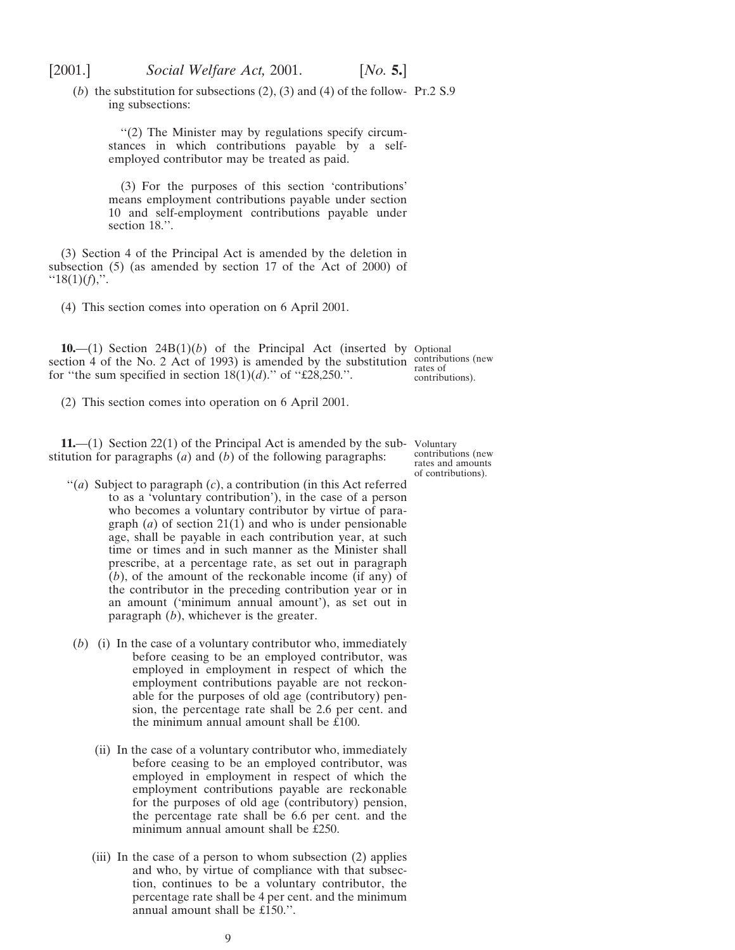<span id="page-8-0"></span>(*b*) the substitution for subsections  $(2)$ ,  $(3)$  and  $(4)$  of the follow- Pt.2 S.9 ing subsections:

''(2) The Minister may by regulations specify circumstances in which contributions payable by a selfemployed contributor may be treated as paid.

(3) For the purposes of this section 'contributions' means employment contributions payable under section 10 and self-employment contributions payable under section 18.''.

(3) Section 4 of the Principal Act is amended by the deletion in subsection (5) (as amended by section 17 of the Act of 2000) of  $"18(1)(f)$ ,".

(4) This section comes into operation on 6 April 2001.

**10.**—(1) Section 24B(1)(*b*) of the Principal Act (inserted by Optional section 4 of the No. 2 Act of 1993) is amended by the substitution contributions (new<br>for "the sum grasified in section  $19(1)(d)$ " of "CO9.250" for "the sum specified in section  $18(1)(d)$ ." of "£28,250.". contributions).

(2) This section comes into operation on 6 April 2001.

**11.**—(1) Section 22(1) of the Principal Act is amended by the sub-Voluntary stitution for paragraphs (*a*) and (*b*) of the following paragraphs:

contributions (new rates and amounts of contributions).

- ''(*a*) Subject to paragraph (*c*), a contribution (in this Act referred to as a 'voluntary contribution'), in the case of a person who becomes a voluntary contributor by virtue of paragraph (*a*) of section 21(1) and who is under pensionable age, shall be payable in each contribution year, at such time or times and in such manner as the Minister shall prescribe, at a percentage rate, as set out in paragraph (*b*), of the amount of the reckonable income (if any) of the contributor in the preceding contribution year or in an amount ('minimum annual amount'), as set out in paragraph (*b*), whichever is the greater.
- (*b*) (i) In the case of a voluntary contributor who, immediately before ceasing to be an employed contributor, was employed in employment in respect of which the employment contributions payable are not reckonable for the purposes of old age (contributory) pension, the percentage rate shall be 2.6 per cent. and the minimum annual amount shall be  $\overline{\text{t}}100$ .
	- (ii) In the case of a voluntary contributor who, immediately before ceasing to be an employed contributor, was employed in employment in respect of which the employment contributions payable are reckonable for the purposes of old age (contributory) pension, the percentage rate shall be 6.6 per cent. and the minimum annual amount shall be £250.
	- (iii) In the case of a person to whom subsection (2) applies and who, by virtue of compliance with that subsection, continues to be a voluntary contributor, the percentage rate shall be 4 per cent. and the minimum annual amount shall be £150.''.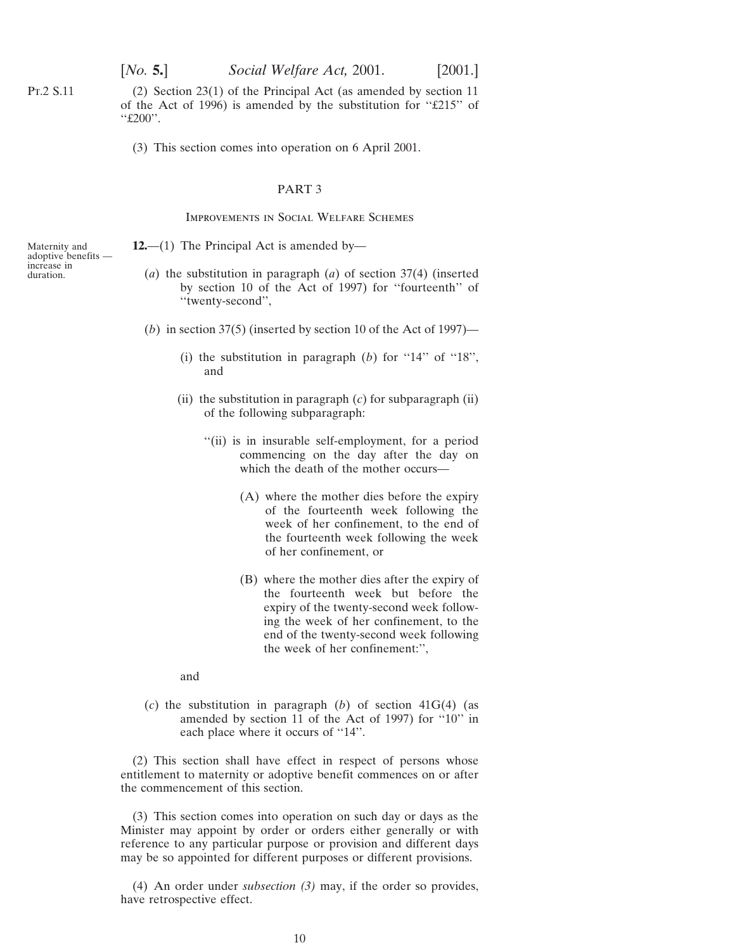(2) Section 23(1) of the Principal Act (as amended by section 11 of the Act of 1996) is amended by the substitution for ''£215'' of ''£200''.

(3) This section comes into operation on 6 April 2001.

#### PART 3

#### Improvements in Social Welfare Schemes

**12.**—(1) The Principal Act is amended by—

- (*a*) the substitution in paragraph (*a*) of section 37(4) (inserted by section 10 of the Act of 1997) for ''fourteenth'' of ''twenty-second'',
- (*b*) in section 37(5) (inserted by section 10 of the Act of 1997)—
	- (i) the substitution in paragraph  $(b)$  for "14" of "18", and
	- (ii) the substitution in paragraph (*c*) for subparagraph (ii) of the following subparagraph:
		- ''(ii) is in insurable self-employment, for a period commencing on the day after the day on which the death of the mother occurs—
			- (A) where the mother dies before the expiry of the fourteenth week following the week of her confinement, to the end of the fourteenth week following the week of her confinement, or
			- (B) where the mother dies after the expiry of the fourteenth week but before the expiry of the twenty-second week following the week of her confinement, to the end of the twenty-second week following the week of her confinement:'',

and

(*c*) the substitution in paragraph (*b*) of section 41G(4) (as amended by section 11 of the Act of 1997) for ''10'' in each place where it occurs of "14".

(2) This section shall have effect in respect of persons whose entitlement to maternity or adoptive benefit commences on or after the commencement of this section.

(3) This section comes into operation on such day or days as the Minister may appoint by order or orders either generally or with reference to any particular purpose or provision and different days may be so appointed for different purposes or different provisions.

(4) An order under *subsection (3)* may, if the order so provides, have retrospective effect.

Maternity and adoptive benefits increase in duration.

<span id="page-9-0"></span>Pt.2 S.11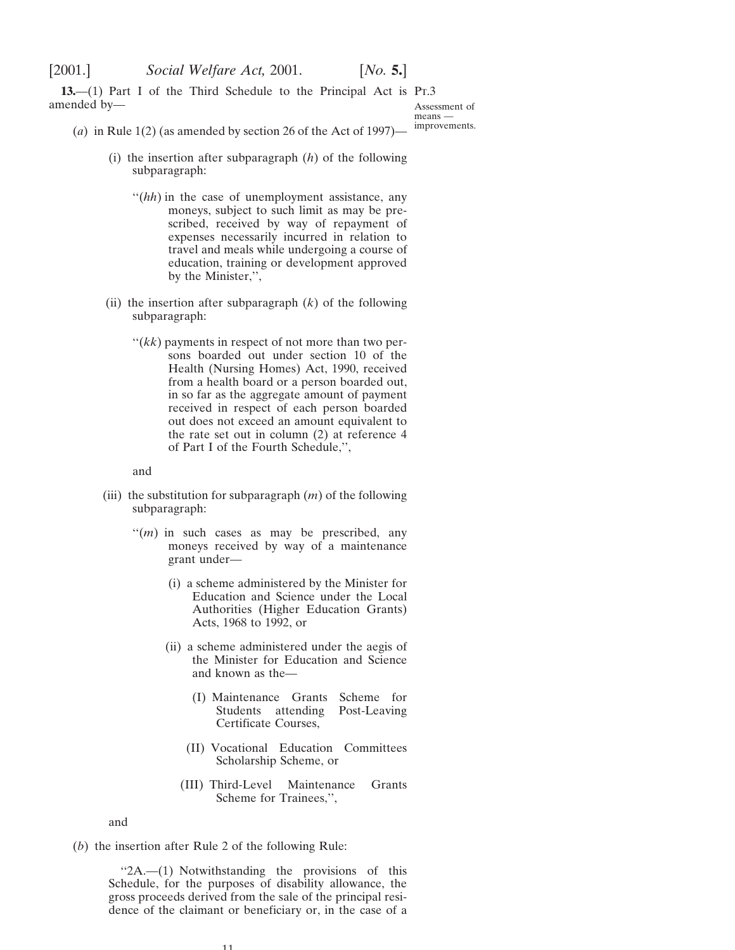<span id="page-10-0"></span>**13.**—(1) Part I of the Third Schedule to the Principal Act is Pr.3 amended by—

Assessment of means improvements.

(*a*) in Rule 1(2) (as amended by section 26 of the Act of 1997)—

- (i) the insertion after subparagraph (*h*) of the following subparagraph:
	- "(*hh*) in the case of unemployment assistance, any moneys, subject to such limit as may be prescribed, received by way of repayment of expenses necessarily incurred in relation to travel and meals while undergoing a course of education, training or development approved by the Minister,'',
- (ii) the insertion after subparagraph (*k*) of the following subparagraph:
	- $f(kk)$  payments in respect of not more than two persons boarded out under section 10 of the Health (Nursing Homes) Act, 1990, received from a health board or a person boarded out, in so far as the aggregate amount of payment received in respect of each person boarded out does not exceed an amount equivalent to the rate set out in column (2) at reference 4 of Part I of the Fourth Schedule,'',

and

- (iii) the substitution for subparagraph (*m*) of the following subparagraph:
	- "(*m*) in such cases as may be prescribed, any moneys received by way of a maintenance grant under—
		- (i) a scheme administered by the Minister for Education and Science under the Local Authorities (Higher Education Grants) Acts, 1968 to 1992, or
		- (ii) a scheme administered under the aegis of the Minister for Education and Science and known as the—
			- (I) Maintenance Grants Scheme for Students attending Post-Leaving Certificate Courses,
			- (II) Vocational Education Committees Scholarship Scheme, or
			- (III) Third-Level Maintenance Grants Scheme for Trainees,'',

and

(*b*) the insertion after Rule 2 of the following Rule:

''2A.—(1) Notwithstanding the provisions of this Schedule, for the purposes of disability allowance, the gross proceeds derived from the sale of the principal residence of the claimant or beneficiary or, in the case of a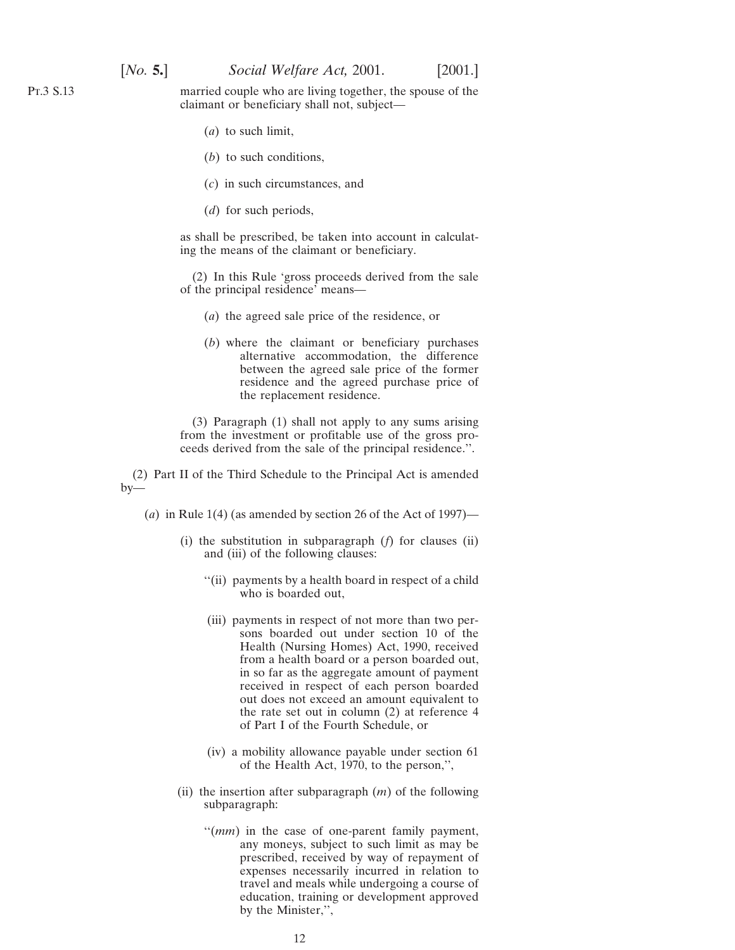Pt.3 S.13

married couple who are living together, the spouse of the claimant or beneficiary shall not, subject—

- (*a*) to such limit,
- (*b*) to such conditions,
- (*c*) in such circumstances, and
- (*d*) for such periods,

as shall be prescribed, be taken into account in calculating the means of the claimant or beneficiary.

(2) In this Rule 'gross proceeds derived from the sale of the principal residence' means—

- (*a*) the agreed sale price of the residence, or
- (*b*) where the claimant or beneficiary purchases alternative accommodation, the difference between the agreed sale price of the former residence and the agreed purchase price of the replacement residence.

(3) Paragraph (1) shall not apply to any sums arising from the investment or profitable use of the gross proceeds derived from the sale of the principal residence.''.

(2) Part II of the Third Schedule to the Principal Act is amended by—

(*a*) in Rule 1(4) (as amended by section 26 of the Act of 1997)—

- (i) the substitution in subparagraph (*f*) for clauses (ii) and (iii) of the following clauses:
	- ''(ii) payments by a health board in respect of a child who is boarded out,
	- (iii) payments in respect of not more than two persons boarded out under section 10 of the Health (Nursing Homes) Act, 1990, received from a health board or a person boarded out, in so far as the aggregate amount of payment received in respect of each person boarded out does not exceed an amount equivalent to the rate set out in column (2) at reference 4 of Part I of the Fourth Schedule, or
	- (iv) a mobility allowance payable under section 61 of the Health Act, 1970, to the person,'',
- (ii) the insertion after subparagraph (*m*) of the following subparagraph:
	- ''(*mm*) in the case of one-parent family payment, any moneys, subject to such limit as may be prescribed, received by way of repayment of expenses necessarily incurred in relation to travel and meals while undergoing a course of education, training or development approved by the Minister,'',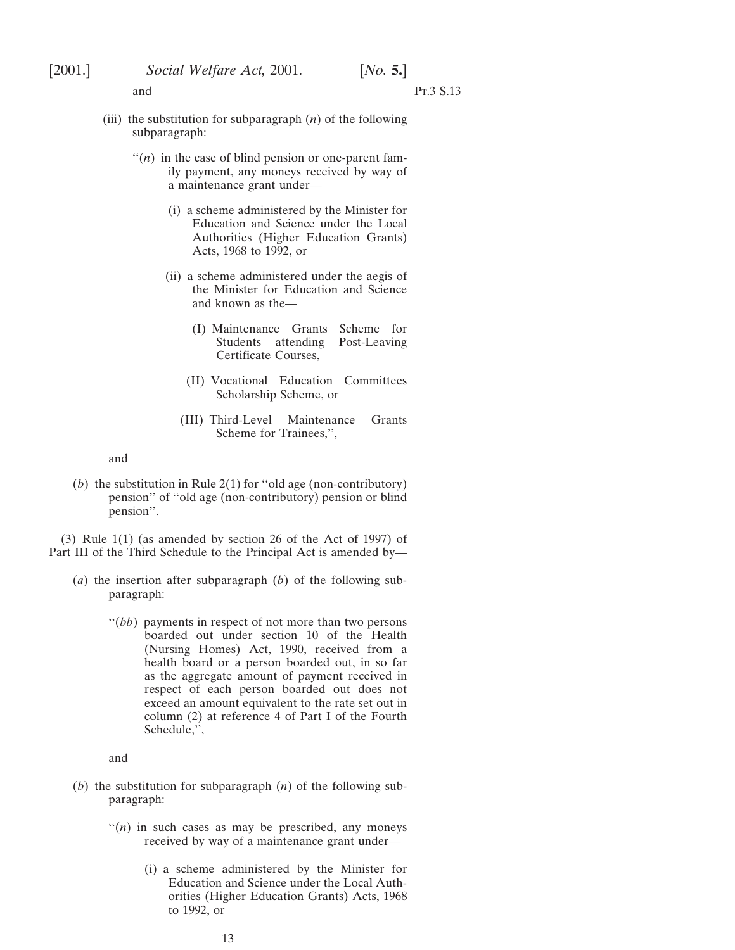- and Pr.3 S.13
- (iii) the substitution for subparagraph (*n*) of the following subparagraph:
	- $\lq($ *n*) in the case of blind pension or one-parent family payment, any moneys received by way of a maintenance grant under—
		- (i) a scheme administered by the Minister for Education and Science under the Local Authorities (Higher Education Grants) Acts, 1968 to 1992, or
		- (ii) a scheme administered under the aegis of the Minister for Education and Science and known as the—
			- (I) Maintenance Grants Scheme for Students attending Post-Leaving Certificate Courses,
			- (II) Vocational Education Committees Scholarship Scheme, or
			- (III) Third-Level Maintenance Grants Scheme for Trainees,'',

and

(*b*) the substitution in Rule 2(1) for ''old age (non-contributory) pension'' of ''old age (non-contributory) pension or blind pension''.

(3) Rule 1(1) (as amended by section 26 of the Act of 1997) of Part III of the Third Schedule to the Principal Act is amended by—

- (*a*) the insertion after subparagraph (*b*) of the following subparagraph:
	- "(*bb*) payments in respect of not more than two persons boarded out under section 10 of the Health (Nursing Homes) Act, 1990, received from a health board or a person boarded out, in so far as the aggregate amount of payment received in respect of each person boarded out does not exceed an amount equivalent to the rate set out in column (2) at reference 4 of Part I of the Fourth Schedule,'',

and

- (*b*) the substitution for subparagraph (*n*) of the following subparagraph:
	- $''(n)$  in such cases as may be prescribed, any moneys received by way of a maintenance grant under—
		- (i) a scheme administered by the Minister for Education and Science under the Local Authorities (Higher Education Grants) Acts, 1968 to 1992, or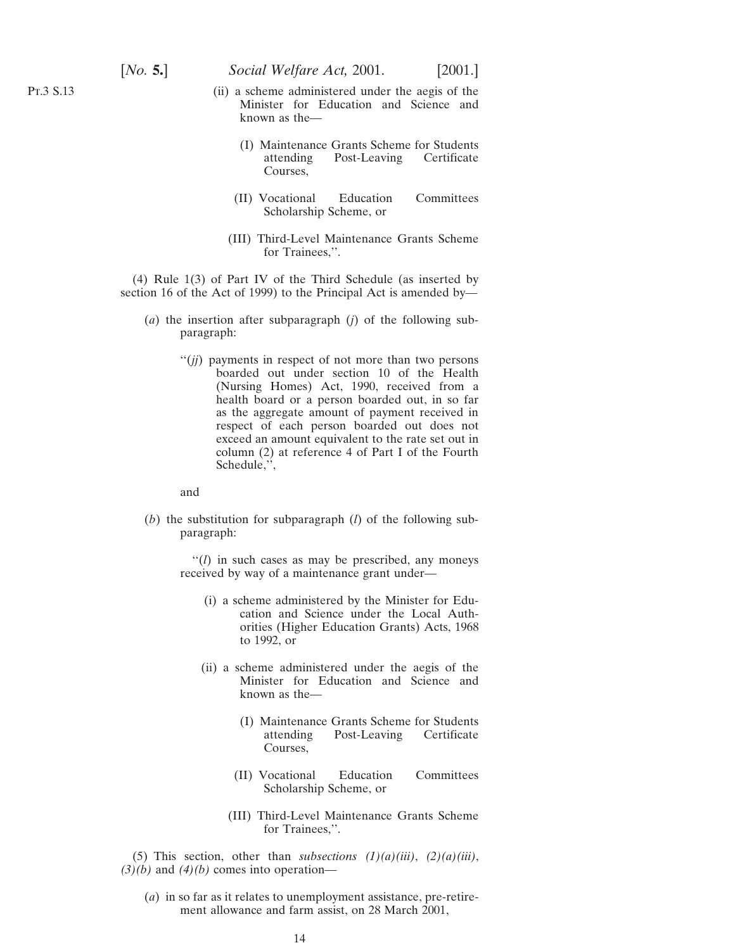- (ii) a scheme administered under the aegis of the Minister for Education and Science and known as the—
	- (I) Maintenance Grants Scheme for Students attending Post-Leaving Certificate Courses,
	- (II) Vocational Education Committees Scholarship Scheme, or
	- (III) Third-Level Maintenance Grants Scheme for Trainees,''.

(4) Rule 1(3) of Part IV of the Third Schedule (as inserted by section 16 of the Act of 1999) to the Principal Act is amended by—

- (*a*) the insertion after subparagraph (*j*) of the following subparagraph:
	- ''(*jj*) payments in respect of not more than two persons boarded out under section 10 of the Health (Nursing Homes) Act, 1990, received from a health board or a person boarded out, in so far as the aggregate amount of payment received in respect of each person boarded out does not exceed an amount equivalent to the rate set out in column (2) at reference 4 of Part I of the Fourth Schedule,'',

and

(*b*) the substitution for subparagraph (*l*) of the following subparagraph:

> ''(*l*) in such cases as may be prescribed, any moneys received by way of a maintenance grant under—

- (i) a scheme administered by the Minister for Education and Science under the Local Authorities (Higher Education Grants) Acts, 1968 to 1992, or
- (ii) a scheme administered under the aegis of the Minister for Education and Science and known as the—
	- (I) Maintenance Grants Scheme for Students attending Post-Leaving Certificate Courses,
	- (II) Vocational Education Committees Scholarship Scheme, or
	- (III) Third-Level Maintenance Grants Scheme for Trainees,''.

(5) This section, other than *subsections*  $(1)(a)(iii)$ ,  $(2)(a)(iii)$ ,  $(3)(b)$  and  $(4)(b)$  comes into operation—

(*a*) in so far as it relates to unemployment assistance, pre-retirement allowance and farm assist, on 28 March 2001,

Pt.3 S.13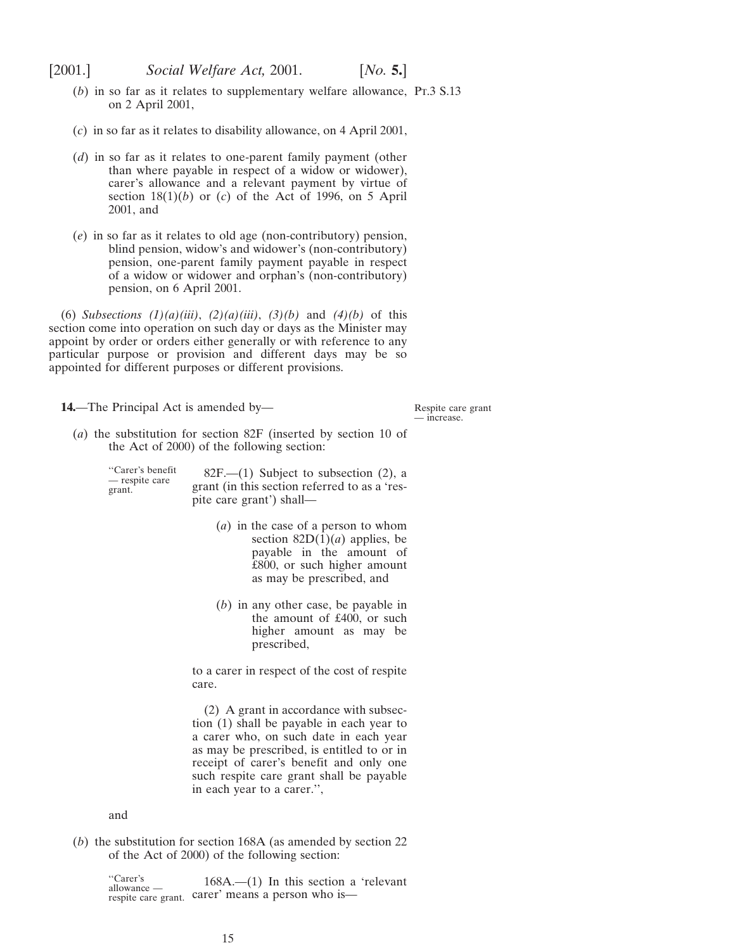- <span id="page-14-0"></span>(*b*) in so far as it relates to supplementary welfare allowance, Pr.3 S.13 on 2 April 2001,
- (*c*) in so far as it relates to disability allowance, on 4 April 2001,
- (*d*) in so far as it relates to one-parent family payment (other than where payable in respect of a widow or widower), carer's allowance and a relevant payment by virtue of section  $18(1)(b)$  or (*c*) of the Act of 1996, on 5 April 2001, and
- (*e*) in so far as it relates to old age (non-contributory) pension, blind pension, widow's and widower's (non-contributory) pension, one-parent family payment payable in respect of a widow or widower and orphan's (non-contributory) pension, on 6 April 2001.

(6) *Subsections (1)(a)(iii)*, *(2)(a)(iii)*, *(3)(b)* and *(4)(b)* of this section come into operation on such day or days as the Minister may appoint by order or orders either generally or with reference to any particular purpose or provision and different days may be so appointed for different purposes or different provisions.

**14.**—The Principal Act is amended by—

Respite care grant — increase.

(*a*) the substitution for section 82F (inserted by section 10 of the Act of 2000) of the following section:

"Carer's benefit  $82F$ .—(1) Subject to subsection (2), a grant. grant (in this section referred to as a 'respite care grant') shall—

- (*a*) in the case of a person to whom section  $82D(1)(a)$  applies, be payable in the amount of £800, or such higher amount as may be prescribed, and
- (*b*) in any other case, be payable in the amount of £400, or such higher amount as may be prescribed,

to a carer in respect of the cost of respite care.

(2) A grant in accordance with subsection (1) shall be payable in each year to a carer who, on such date in each year as may be prescribed, is entitled to or in receipt of carer's benefit and only one such respite care grant shall be payable in each year to a carer.'',

and

(*b*) the substitution for section 168A (as amended by section 22 of the Act of 2000) of the following section:

> "Carer's  $168A$ .—(1) In this section a 'relevant respite care grant. carer' means a person who is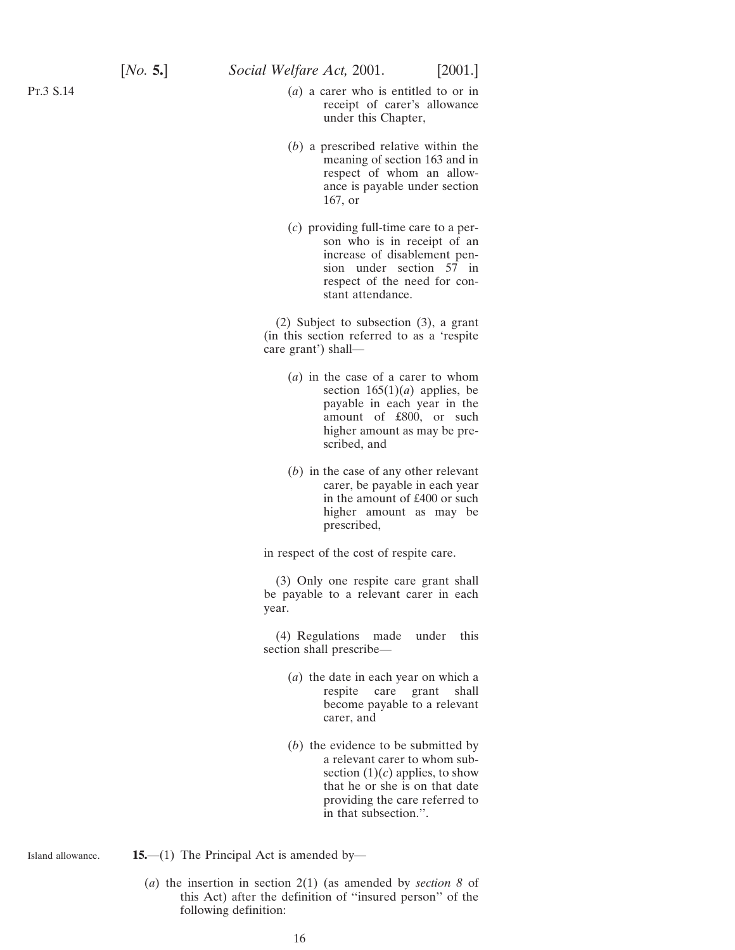<span id="page-15-0"></span>Pt.3 S.14

- (*a*) a carer who is entitled to or in receipt of carer's allowance under this Chapter,
- (*b*) a prescribed relative within the meaning of section 163 and in respect of whom an allowance is payable under section 167, or
- (*c*) providing full-time care to a person who is in receipt of an increase of disablement pension under section 57 in respect of the need for constant attendance.

(2) Subject to subsection (3), a grant (in this section referred to as a 'respite care grant') shall—

- (*a*) in the case of a carer to whom section  $165(1)(a)$  applies, be payable in each year in the amount of £800, or such higher amount as may be prescribed, and
- (*b*) in the case of any other relevant carer, be payable in each year in the amount of £400 or such higher amount as may be prescribed,

in respect of the cost of respite care.

(3) Only one respite care grant shall be payable to a relevant carer in each year.

(4) Regulations made under this section shall prescribe—

- (*a*) the date in each year on which a respite care grant shall become payable to a relevant carer, and
- (*b*) the evidence to be submitted by a relevant carer to whom subsection  $(1)(c)$  applies, to show that he or she is on that date providing the care referred to in that subsection.''.

Island allowance. **15.**—(1) The Principal Act is amended by—

> (*a*) the insertion in section 2(1) (as amended by *section 8* of this Act) after the definition of ''insured person'' of the following definition: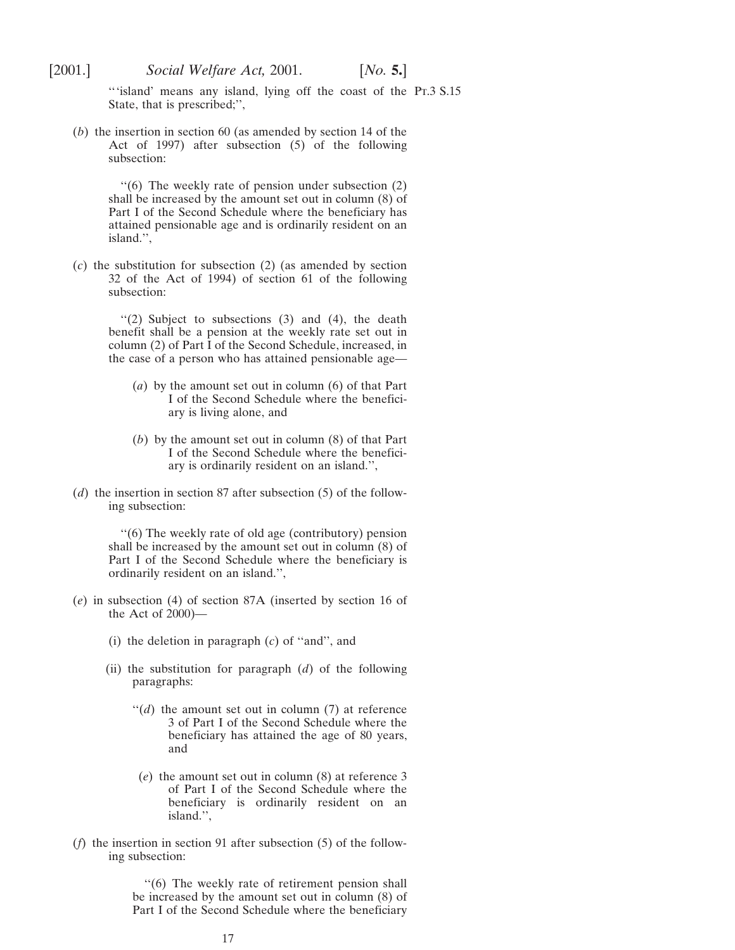'''island' means any island, lying off the coast of the Pt.3 S.15 State, that is prescribed;'',

(*b*) the insertion in section 60 (as amended by section 14 of the Act of 1997) after subsection (5) of the following subsection:

> ''(6) The weekly rate of pension under subsection (2) shall be increased by the amount set out in column (8) of Part I of the Second Schedule where the beneficiary has attained pensionable age and is ordinarily resident on an island.'',

(*c*) the substitution for subsection (2) (as amended by section 32 of the Act of 1994) of section 61 of the following subsection:

> ''(2) Subject to subsections (3) and (4), the death benefit shall be a pension at the weekly rate set out in column (2) of Part I of the Second Schedule, increased, in the case of a person who has attained pensionable age—

- (*a*) by the amount set out in column (6) of that Part I of the Second Schedule where the beneficiary is living alone, and
- (*b*) by the amount set out in column (8) of that Part I of the Second Schedule where the beneficiary is ordinarily resident on an island.'',
- (*d*) the insertion in section 87 after subsection (5) of the following subsection:

''(6) The weekly rate of old age (contributory) pension shall be increased by the amount set out in column (8) of Part I of the Second Schedule where the beneficiary is ordinarily resident on an island.'',

- (*e*) in subsection (4) of section 87A (inserted by section 16 of the Act of 2000)—
	- (i) the deletion in paragraph (*c*) of ''and'', and
	- (ii) the substitution for paragraph (*d*) of the following paragraphs:
		- $\lq\lq(d)$  the amount set out in column (7) at reference 3 of Part I of the Second Schedule where the beneficiary has attained the age of 80 years, and
		- (*e*) the amount set out in column (8) at reference 3 of Part I of the Second Schedule where the beneficiary is ordinarily resident on an island.'',
- (*f*) the insertion in section 91 after subsection (5) of the following subsection:

"(6) The weekly rate of retirement pension shall be increased by the amount set out in column (8) of Part I of the Second Schedule where the beneficiary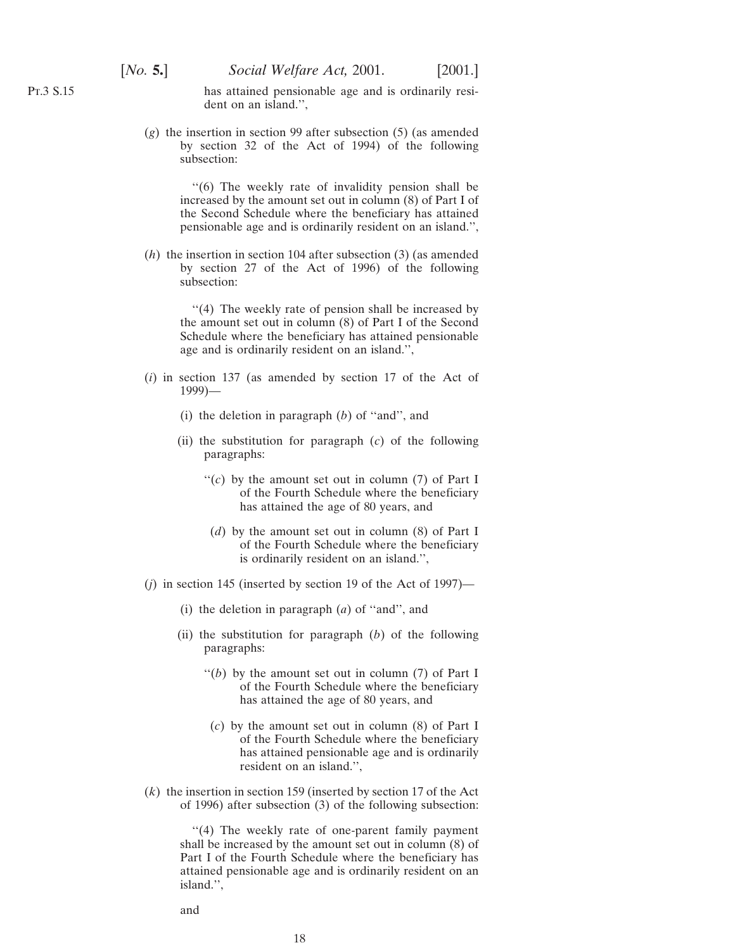has attained pensionable age and is ordinarily resident on an island.'',

(*g*) the insertion in section 99 after subsection (5) (as amended by section 32 of the Act of 1994) of the following subsection:

> ''(6) The weekly rate of invalidity pension shall be increased by the amount set out in column (8) of Part I of the Second Schedule where the beneficiary has attained pensionable age and is ordinarily resident on an island.'',

(*h*) the insertion in section 104 after subsection (3) (as amended by section 27 of the Act of 1996) of the following subsection:

> ''(4) The weekly rate of pension shall be increased by the amount set out in column (8) of Part I of the Second Schedule where the beneficiary has attained pensionable age and is ordinarily resident on an island.'',

- (*i*) in section 137 (as amended by section 17 of the Act of 1999)—
	- (i) the deletion in paragraph (*b*) of ''and'', and
	- (ii) the substitution for paragraph (*c*) of the following paragraphs:
		- "(*c*) by the amount set out in column (7) of Part I of the Fourth Schedule where the beneficiary has attained the age of 80 years, and
			- (*d*) by the amount set out in column (8) of Part I of the Fourth Schedule where the beneficiary is ordinarily resident on an island.'',
- (*j*) in section 145 (inserted by section 19 of the Act of 1997)—
	- (i) the deletion in paragraph (*a*) of ''and'', and
	- (ii) the substitution for paragraph (*b*) of the following paragraphs:
		- $''(b)$  by the amount set out in column (7) of Part I of the Fourth Schedule where the beneficiary has attained the age of 80 years, and
		- (*c*) by the amount set out in column (8) of Part I of the Fourth Schedule where the beneficiary has attained pensionable age and is ordinarily resident on an island.'',
- (*k*) the insertion in section 159 (inserted by section 17 of the Act of 1996) after subsection (3) of the following subsection:

"(4) The weekly rate of one-parent family payment shall be increased by the amount set out in column (8) of Part I of the Fourth Schedule where the beneficiary has attained pensionable age and is ordinarily resident on an island.'',

and

Pt.3 S.15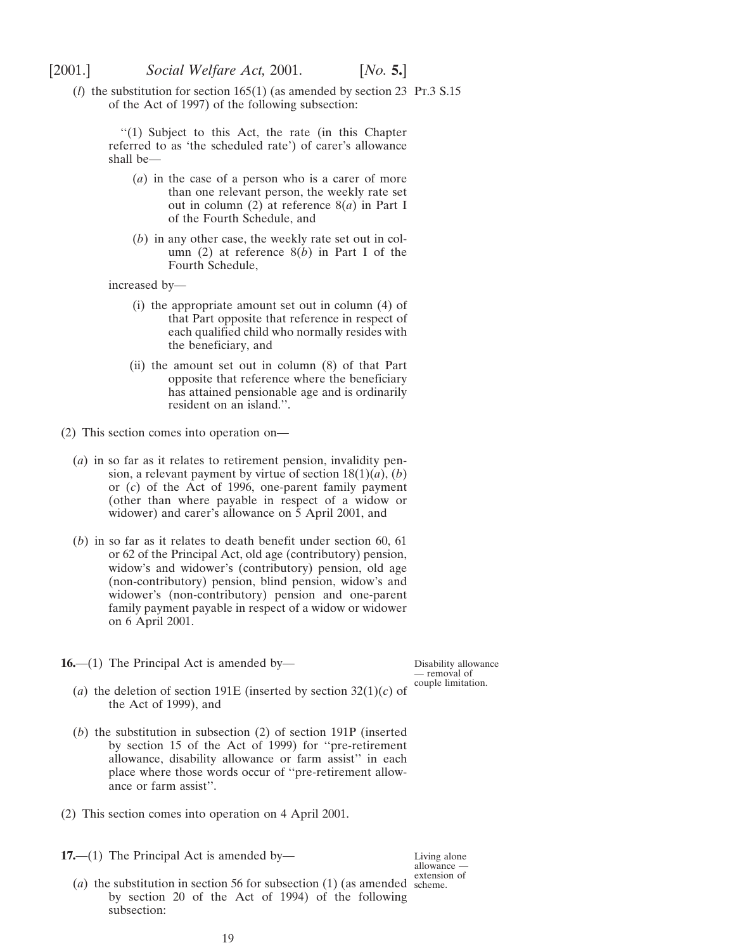<span id="page-18-0"></span>

(*l*) the substitution for section  $165(1)$  (as amended by section 23 Pr.3 S.15 of the Act of 1997) of the following subsection:

''(1) Subject to this Act, the rate (in this Chapter referred to as 'the scheduled rate') of carer's allowance shall be—

- (*a*) in the case of a person who is a carer of more than one relevant person, the weekly rate set out in column (2) at reference 8(*a*) in Part I of the Fourth Schedule, and
- (*b*) in any other case, the weekly rate set out in column (2) at reference 8(*b*) in Part I of the Fourth Schedule,

increased by—

- (i) the appropriate amount set out in column (4) of that Part opposite that reference in respect of each qualified child who normally resides with the beneficiary, and
- (ii) the amount set out in column (8) of that Part opposite that reference where the beneficiary has attained pensionable age and is ordinarily resident on an island.''.
- (2) This section comes into operation on—
	- (*a*) in so far as it relates to retirement pension, invalidity pension, a relevant payment by virtue of section 18(1)(*a*), (*b*) or (*c*) of the Act of 1996, one-parent family payment (other than where payable in respect of a widow or widower) and carer's allowance on 5 April 2001, and
	- (*b*) in so far as it relates to death benefit under section 60, 61 or 62 of the Principal Act, old age (contributory) pension, widow's and widower's (contributory) pension, old age (non-contributory) pension, blind pension, widow's and widower's (non-contributory) pension and one-parent family payment payable in respect of a widow or widower on 6 April 2001.
- **16.**—(1) The Principal Act is amended by—

Disability allowance — removal of couple limitation.

Living alone allowance —

- (*a*) the deletion of section 191E (inserted by section  $32(1)(c)$  of the Act of 1999), and
- (*b*) the substitution in subsection (2) of section 191P (inserted by section 15 of the Act of 1999) for ''pre-retirement allowance, disability allowance or farm assist'' in each place where those words occur of ''pre-retirement allowance or farm assist''.
- (2) This section comes into operation on 4 April 2001.
- **17.**—(1) The Principal Act is amended by—
	- (*a*) the substitution in section 56 for subsection  $(1)$  (as amended scheme. by section 20 of the Act of 1994) of the following subsection: extension of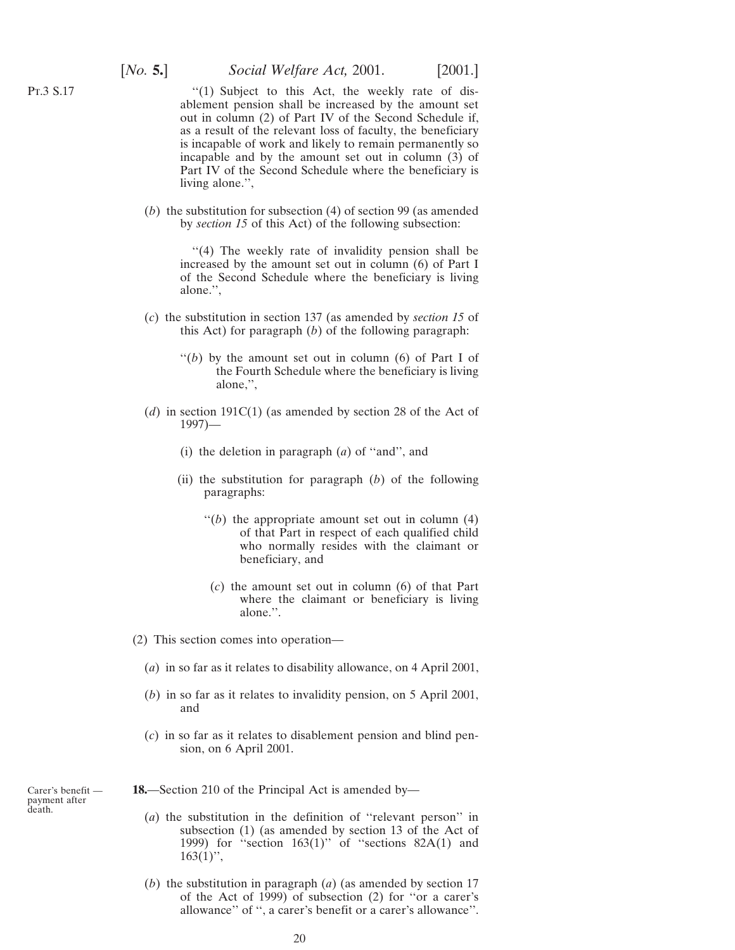<span id="page-19-0"></span>Pt.3 S.17

"(1) Subject to this Act, the weekly rate of disablement pension shall be increased by the amount set out in column (2) of Part IV of the Second Schedule if, as a result of the relevant loss of faculty, the beneficiary is incapable of work and likely to remain permanently so incapable and by the amount set out in column (3) of Part IV of the Second Schedule where the beneficiary is living alone.'',

(*b*) the substitution for subsection (4) of section 99 (as amended by *section 15* of this Act) of the following subsection:

> "(4) The weekly rate of invalidity pension shall be increased by the amount set out in column (6) of Part I of the Second Schedule where the beneficiary is living alone.'',

- (*c*) the substitution in section 137 (as amended by *section 15* of this Act) for paragraph (*b*) of the following paragraph:
	- $''(b)$  by the amount set out in column (6) of Part I of the Fourth Schedule where the beneficiary is living alone,'',
- (*d*) in section 191C(1) (as amended by section 28 of the Act of 1997)—
	- (i) the deletion in paragraph (*a*) of ''and'', and
	- (ii) the substitution for paragraph (*b*) of the following paragraphs:
		- $''(b)$  the appropriate amount set out in column  $(4)$ of that Part in respect of each qualified child who normally resides with the claimant or beneficiary, and
		- (*c*) the amount set out in column (6) of that Part where the claimant or beneficiary is living alone.''.
- (2) This section comes into operation—
	- (*a*) in so far as it relates to disability allowance, on 4 April 2001,
	- (*b*) in so far as it relates to invalidity pension, on 5 April 2001, and
	- (*c*) in so far as it relates to disablement pension and blind pension, on 6 April 2001.

**18.**—Section 210 of the Principal Act is amended by—

- (*a*) the substitution in the definition of ''relevant person'' in subsection (1) (as amended by section 13 of the Act of 1999) for "section  $163(1)$ " of "sections  $82A(1)$  and  $163(1)$ ",
- (*b*) the substitution in paragraph (*a*) (as amended by section 17 of the Act of 1999) of subsection (2) for ''or a carer's allowance'' of '', a carer's benefit or a carer's allowance''.

Carer's benefit payment after death.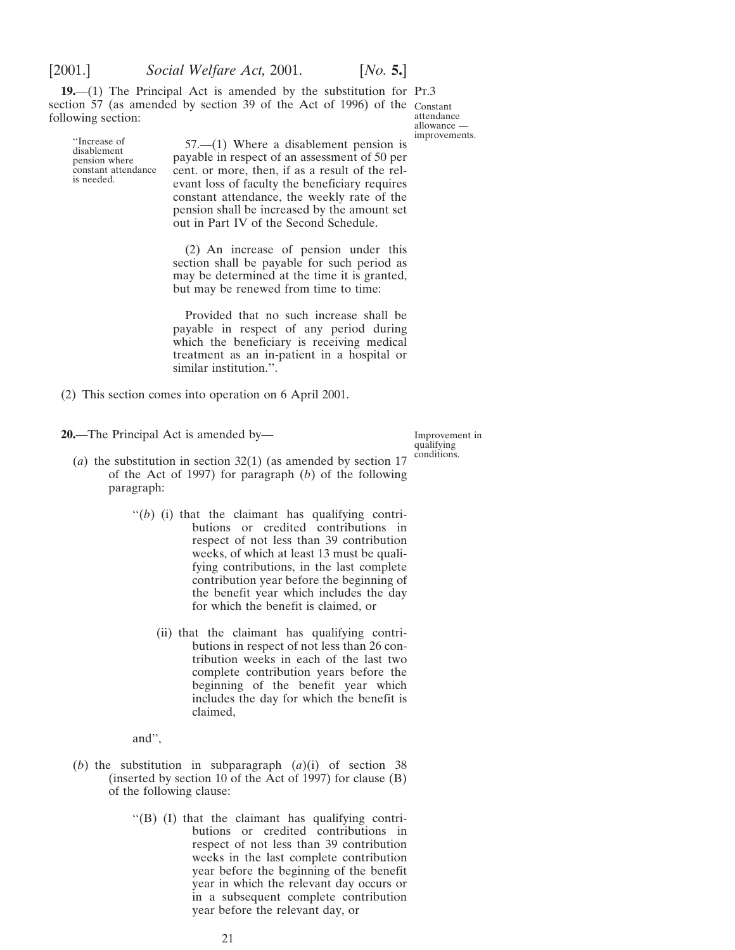<span id="page-20-0"></span>

**19.**—(1) The Principal Act is amended by the substitution for Pr.3 section 57 (as amended by section 39 of the Act of 1996) of the Constant following section:

attendance allowance improvements.

"Increase of 57.—(1) Where a disablement pension is disablement pension where payable in respect of an assessment of 50 per pension where payable in respect of an assessment of 50 per constant attendance cent. or more, then, if as a result of the relis needed. evant loss of faculty the beneficiary requires constant attendance, the weekly rate of the pension shall be increased by the amount set out in Part IV of the Second Schedule.

> (2) An increase of pension under this section shall be payable for such period as may be determined at the time it is granted, but may be renewed from time to time:

> Provided that no such increase shall be payable in respect of any period during which the beneficiary is receiving medical treatment as an in-patient in a hospital or similar institution.''.

(2) This section comes into operation on 6 April 2001.

**20.**—The Principal Act is amended by—

Improvement in qualifying conditions.

- (*a*) the substitution in section 32(1) (as amended by section 17 of the Act of 1997) for paragraph (*b*) of the following paragraph:
	- $''(b)$  (i) that the claimant has qualifying contributions or credited contributions in respect of not less than 39 contribution weeks, of which at least 13 must be qualifying contributions, in the last complete contribution year before the beginning of the benefit year which includes the day for which the benefit is claimed, or
		- (ii) that the claimant has qualifying contributions in respect of not less than 26 contribution weeks in each of the last two complete contribution years before the beginning of the benefit year which includes the day for which the benefit is claimed,

and'',

- (*b*) the substitution in subparagraph (*a*)(i) of section 38 (inserted by section 10 of the Act of 1997) for clause (B) of the following clause:
	- ''(B) (I) that the claimant has qualifying contributions or credited contributions in respect of not less than 39 contribution weeks in the last complete contribution year before the beginning of the benefit year in which the relevant day occurs or in a subsequent complete contribution year before the relevant day, or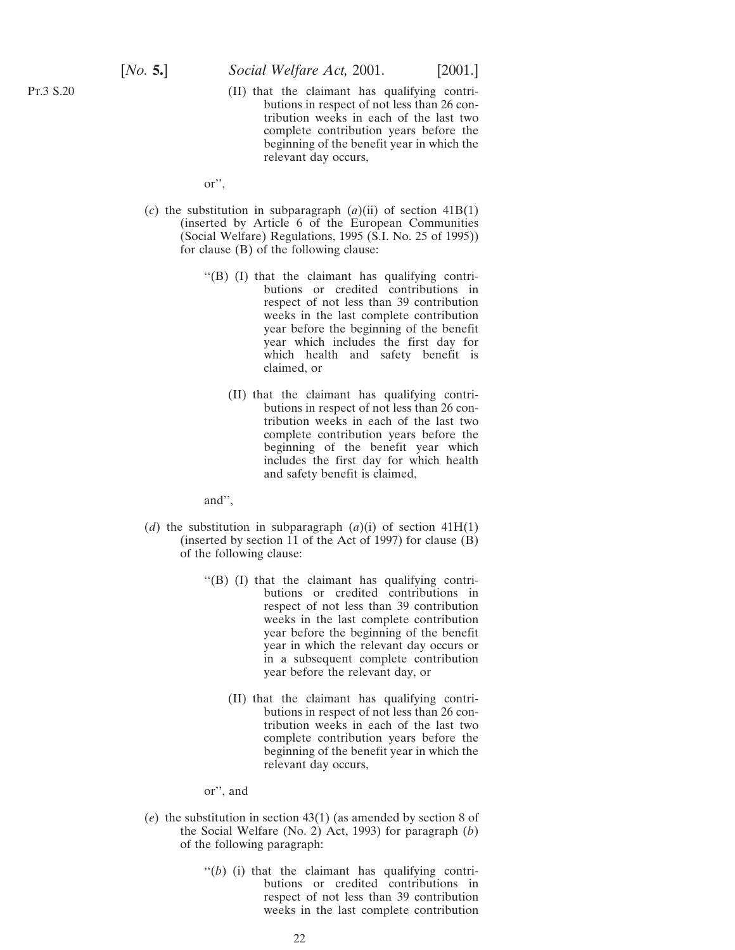Pt.3 S.20

(II) that the claimant has qualifying contributions in respect of not less than 26 contribution weeks in each of the last two complete contribution years before the beginning of the benefit year in which the relevant day occurs,

or'',

- (*c*) the substitution in subparagraph (*a*)(ii) of section 41B(1) (inserted by Article 6 of the European Communities (Social Welfare) Regulations, 1995 (S.I. No. 25 of 1995)) for clause (B) of the following clause:
	- ''(B) (I) that the claimant has qualifying contributions or credited contributions in respect of not less than 39 contribution weeks in the last complete contribution year before the beginning of the benefit year which includes the first day for which health and safety benefit is claimed, or
		- (II) that the claimant has qualifying contributions in respect of not less than 26 contribution weeks in each of the last two complete contribution years before the beginning of the benefit year which includes the first day for which health and safety benefit is claimed,

and'',

- (*d*) the substitution in subparagraph  $(a)(i)$  of section 41H(1) (inserted by section 11 of the Act of 1997) for clause (B) of the following clause:
	- ''(B) (I) that the claimant has qualifying contributions or credited contributions in respect of not less than 39 contribution weeks in the last complete contribution year before the beginning of the benefit year in which the relevant day occurs or in a subsequent complete contribution year before the relevant day, or
		- (II) that the claimant has qualifying contributions in respect of not less than 26 contribution weeks in each of the last two complete contribution years before the beginning of the benefit year in which the relevant day occurs,

or'', and

- (*e*) the substitution in section 43(1) (as amended by section 8 of the Social Welfare (No. 2) Act, 1993) for paragraph (*b*) of the following paragraph:
	- $''(b)$  (i) that the claimant has qualifying contributions or credited contributions in respect of not less than 39 contribution weeks in the last complete contribution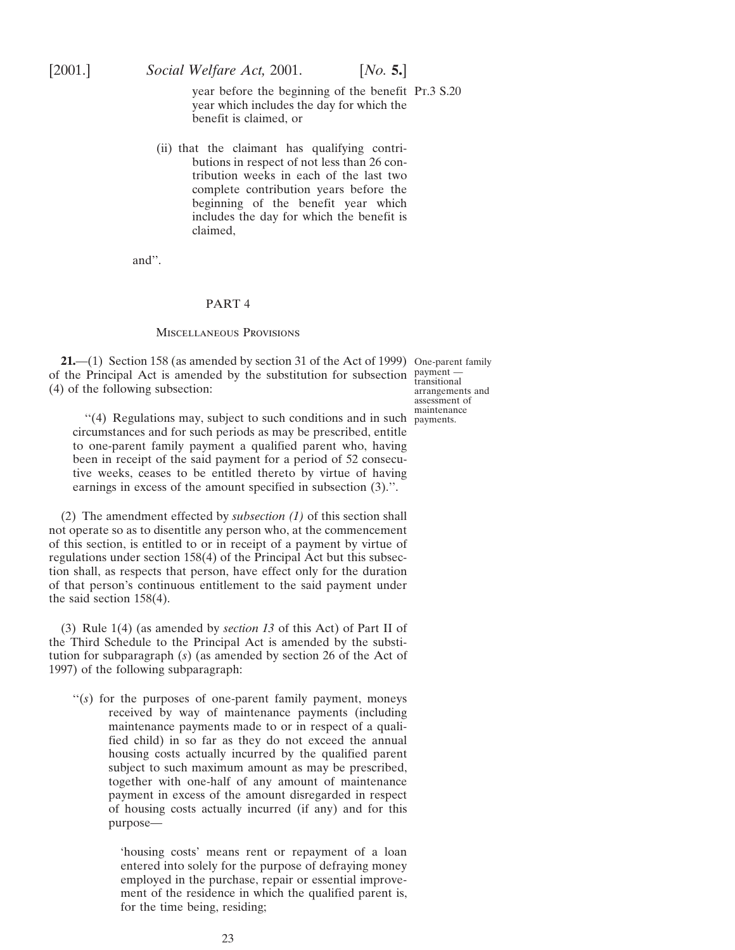<span id="page-22-0"></span>

year before the beginning of the benefit Pt.3 S.20 year which includes the day for which the benefit is claimed, or

(ii) that the claimant has qualifying contributions in respect of not less than 26 contribution weeks in each of the last two complete contribution years before the beginning of the benefit year which includes the day for which the benefit is claimed,

and''.

#### PART 4

#### Miscellaneous Provisions

**21.**—(1) Section 158 (as amended by section 31 of the Act of 1999) One-parent family of the Principal Act is amended by the substitution for subsection  $\frac{payment -}{transition}$ (4) of the following subsection:

"(4) Regulations may, subject to such conditions and in such payments. circumstances and for such periods as may be prescribed, entitle to one-parent family payment a qualified parent who, having been in receipt of the said payment for a period of 52 consecutive weeks, ceases to be entitled thereto by virtue of having earnings in excess of the amount specified in subsection (3).''.

(2) The amendment effected by *subsection (1)* of this section shall not operate so as to disentitle any person who, at the commencement of this section, is entitled to or in receipt of a payment by virtue of regulations under section 158(4) of the Principal Act but this subsection shall, as respects that person, have effect only for the duration of that person's continuous entitlement to the said payment under the said section 158(4).

(3) Rule 1(4) (as amended by *section 13* of this Act) of Part II of the Third Schedule to the Principal Act is amended by the substitution for subparagraph (*s*) (as amended by section 26 of the Act of 1997) of the following subparagraph:

"(s) for the purposes of one-parent family payment, moneys received by way of maintenance payments (including maintenance payments made to or in respect of a qualified child) in so far as they do not exceed the annual housing costs actually incurred by the qualified parent subject to such maximum amount as may be prescribed, together with one-half of any amount of maintenance payment in excess of the amount disregarded in respect of housing costs actually incurred (if any) and for this purpose—

> 'housing costs' means rent or repayment of a loan entered into solely for the purpose of defraying money employed in the purchase, repair or essential improvement of the residence in which the qualified parent is, for the time being, residing;

arrangements and assessment of maintenance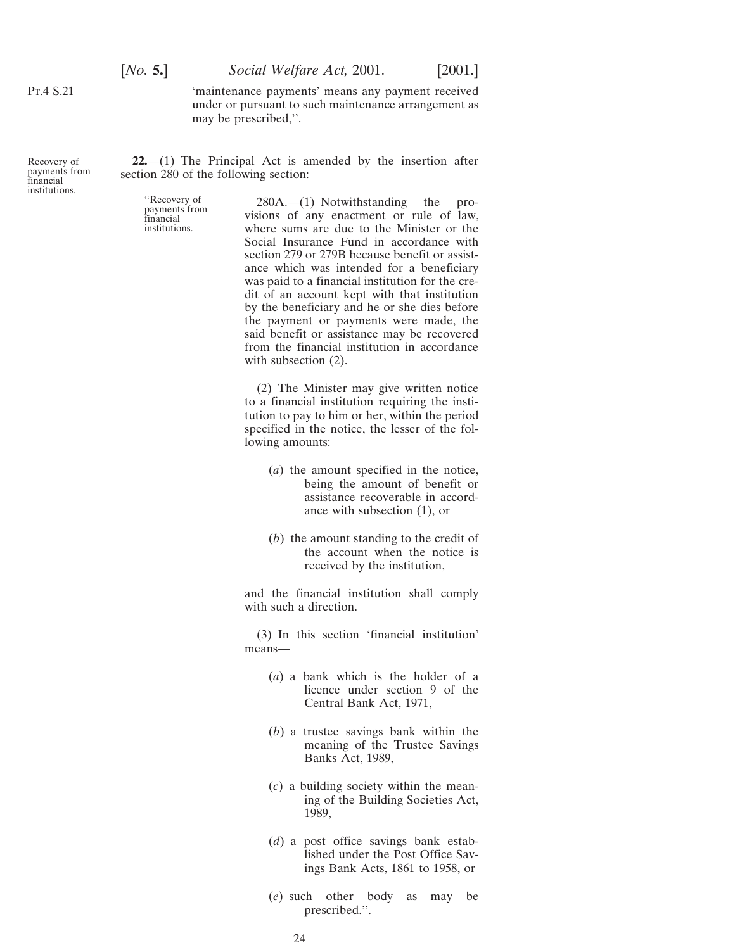<span id="page-23-0"></span>Pt.4 S.21

[*No.* **5.**] *Social Welfare Act,* 2001. [2001.]

'maintenance payments' means any payment received under or pursuant to such maintenance arrangement as may be prescribed,''.

Recovery of payments from financial institutions.

**22.**—(1) The Principal Act is amended by the insertion after section 280 of the following section:

"Recovery of 280A.—(1) Notwithstanding the pro-<br>
payments from visions of any enactment or rule of law,<br>
institutions where sums are due to the Minister or the where sums are due to the Minister or the Social Insurance Fund in accordance with section 279 or 279B because benefit or assistance which was intended for a beneficiary was paid to a financial institution for the credit of an account kept with that institution by the beneficiary and he or she dies before the payment or payments were made, the said benefit or assistance may be recovered from the financial institution in accordance with subsection  $(2)$ .

> (2) The Minister may give written notice to a financial institution requiring the institution to pay to him or her, within the period specified in the notice, the lesser of the following amounts:

- (*a*) the amount specified in the notice, being the amount of benefit or assistance recoverable in accordance with subsection (1), or
- (*b*) the amount standing to the credit of the account when the notice is received by the institution,

and the financial institution shall comply with such a direction.

(3) In this section 'financial institution' means—

- (*a*) a bank which is the holder of a licence under section 9 of the Central Bank Act, 1971,
- (*b*) a trustee savings bank within the meaning of the Trustee Savings Banks Act, 1989,
- (*c*) a building society within the meaning of the Building Societies Act, 1989,
- (*d*) a post office savings bank established under the Post Office Savings Bank Acts, 1861 to 1958, or
- (*e*) such other body as may be prescribed.''.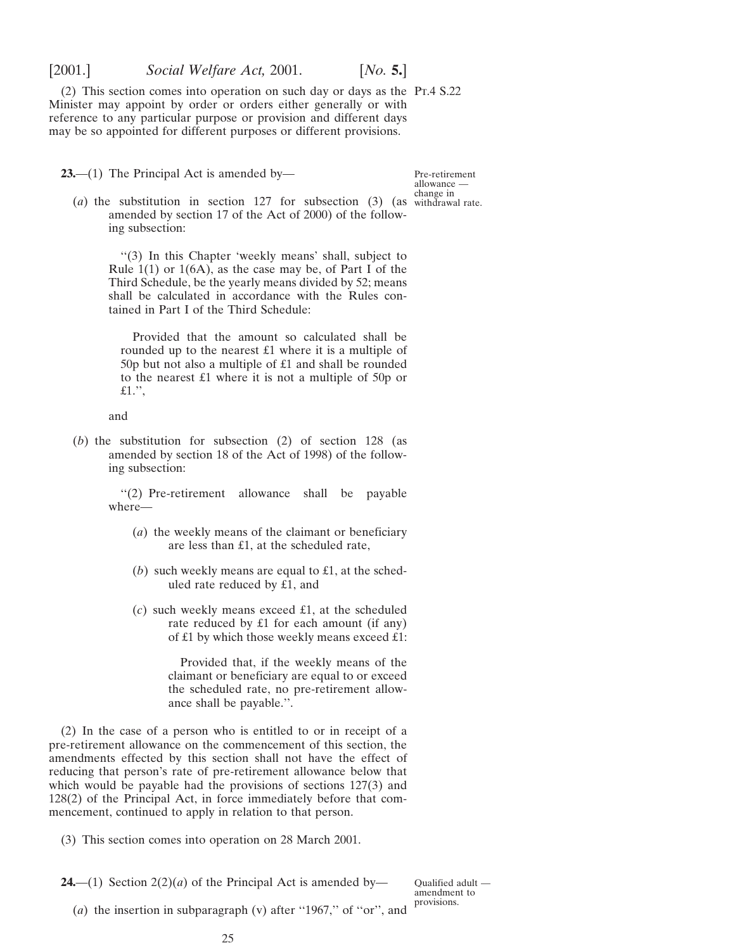<span id="page-24-0"></span>

(2) This section comes into operation on such day or days as the  $Pr.4 S.22$ Minister may appoint by order or orders either generally or with reference to any particular purpose or provision and different days may be so appointed for different purposes or different provisions.

**23.**—(1) The Principal Act is amended by—

Pre-retirement allowance change in

(*a*) the substitution in section 127 for subsection (3) (as withdrawal rate. amended by section 17 of the Act of 2000) of the following subsection:

''(3) In this Chapter 'weekly means' shall, subject to Rule  $1(1)$  or  $1(6A)$ , as the case may be, of Part I of the Third Schedule, be the yearly means divided by 52; means shall be calculated in accordance with the Rules contained in Part I of the Third Schedule:

Provided that the amount so calculated shall be rounded up to the nearest £1 where it is a multiple of 50p but not also a multiple of £1 and shall be rounded to the nearest £1 where it is not a multiple of 50p or  $£1.$ ",

and

(*b*) the substitution for subsection (2) of section 128 (as amended by section 18 of the Act of 1998) of the following subsection:

> ''(2) Pre-retirement allowance shall be payable where—

- (*a*) the weekly means of the claimant or beneficiary are less than £1, at the scheduled rate,
- (*b*) such weekly means are equal to £1, at the scheduled rate reduced by £1, and
- (*c*) such weekly means exceed £1, at the scheduled rate reduced by £1 for each amount (if any) of £1 by which those weekly means exceed £1:

Provided that, if the weekly means of the claimant or beneficiary are equal to or exceed the scheduled rate, no pre-retirement allowance shall be payable.''.

(2) In the case of a person who is entitled to or in receipt of a pre-retirement allowance on the commencement of this section, the amendments effected by this section shall not have the effect of reducing that person's rate of pre-retirement allowance below that which would be payable had the provisions of sections 127(3) and 128(2) of the Principal Act, in force immediately before that commencement, continued to apply in relation to that person.

(3) This section comes into operation on 28 March 2001.

**24.**—(1) Section  $2(2)(a)$  of the Principal Act is amended by—

Qualified adult amendment to provisions.

(*a*) the insertion in subparagraph (v) after ''1967,'' of ''or'', and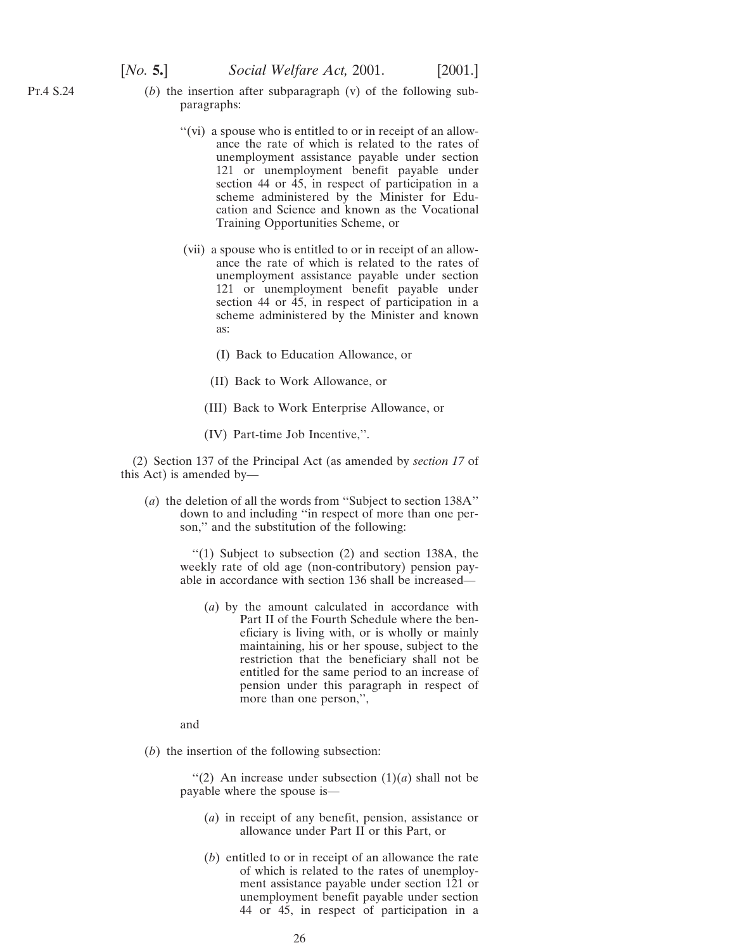- Pt.4 S.24
- (*b*) the insertion after subparagraph (v) of the following subparagraphs:
	- "(vi) a spouse who is entitled to or in receipt of an allowance the rate of which is related to the rates of unemployment assistance payable under section 121 or unemployment benefit payable under section 44 or 45, in respect of participation in a scheme administered by the Minister for Education and Science and known as the Vocational Training Opportunities Scheme, or
	- (vii) a spouse who is entitled to or in receipt of an allowance the rate of which is related to the rates of unemployment assistance payable under section 121 or unemployment benefit payable under section 44 or 45, in respect of participation in a scheme administered by the Minister and known as:
		- (I) Back to Education Allowance, or
		- (II) Back to Work Allowance, or
		- (III) Back to Work Enterprise Allowance, or
		- (IV) Part-time Job Incentive,''.

(2) Section 137 of the Principal Act (as amended by *section 17* of this Act) is amended by—

(*a*) the deletion of all the words from ''Subject to section 138A'' down to and including ''in respect of more than one person,'' and the substitution of the following:

> ''(1) Subject to subsection (2) and section 138A, the weekly rate of old age (non-contributory) pension payable in accordance with section 136 shall be increased—

(*a*) by the amount calculated in accordance with Part II of the Fourth Schedule where the beneficiary is living with, or is wholly or mainly maintaining, his or her spouse, subject to the restriction that the beneficiary shall not be entitled for the same period to an increase of pension under this paragraph in respect of more than one person,'',

and

(*b*) the insertion of the following subsection:

"(2) An increase under subsection  $(1)(a)$  shall not be payable where the spouse is—

- (*a*) in receipt of any benefit, pension, assistance or allowance under Part II or this Part, or
- (*b*) entitled to or in receipt of an allowance the rate of which is related to the rates of unemployment assistance payable under section 121 or unemployment benefit payable under section 44 or 45, in respect of participation in a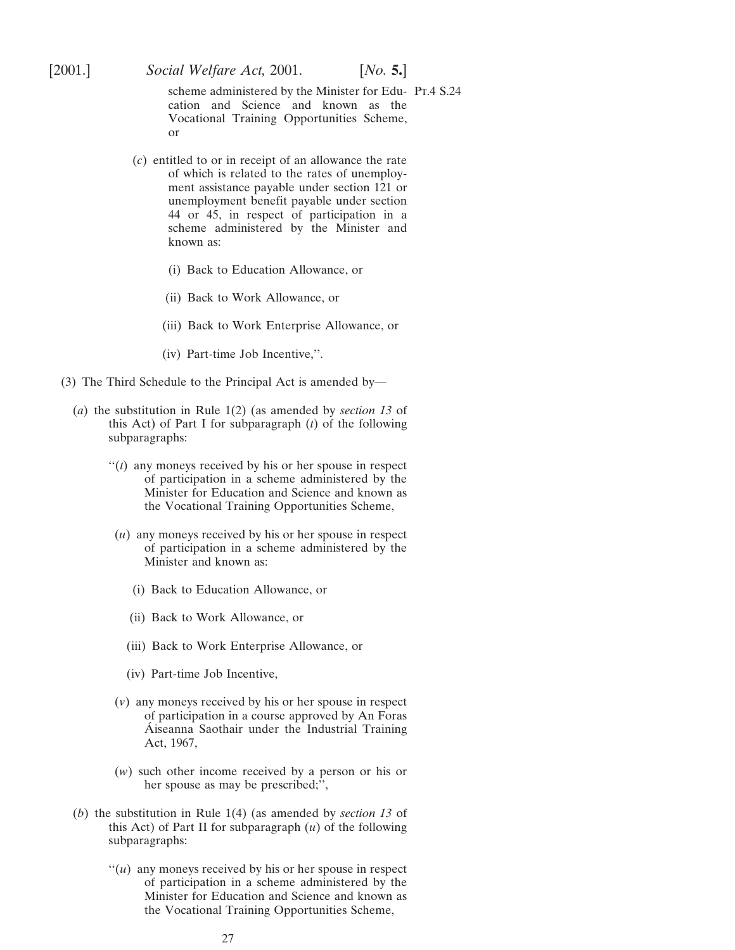scheme administered by the Minister for Edu- Pt.4 S.24 cation and Science and known as the Vocational Training Opportunities Scheme, or

- (*c*) entitled to or in receipt of an allowance the rate of which is related to the rates of unemployment assistance payable under section 121 or unemployment benefit payable under section 44 or 45, in respect of participation in a scheme administered by the Minister and known as:
	- (i) Back to Education Allowance, or
	- (ii) Back to Work Allowance, or
	- (iii) Back to Work Enterprise Allowance, or
	- (iv) Part-time Job Incentive,''.
- (3) The Third Schedule to the Principal Act is amended by—
	- (*a*) the substitution in Rule 1(2) (as amended by *section 13* of this Act) of Part I for subparagraph (*t*) of the following subparagraphs:
		- ''(*t*) any moneys received by his or her spouse in respect of participation in a scheme administered by the Minister for Education and Science and known as the Vocational Training Opportunities Scheme,
		- (*u*) any moneys received by his or her spouse in respect of participation in a scheme administered by the Minister and known as:
			- (i) Back to Education Allowance, or
			- (ii) Back to Work Allowance, or
			- (iii) Back to Work Enterprise Allowance, or
			- (iv) Part-time Job Incentive,
		- (*v*) any moneys received by his or her spouse in respect of participation in a course approved by An Foras Aiseanna Saothair under the Industrial Training Act, 1967,
		- (*w*) such other income received by a person or his or her spouse as may be prescribed;'',
	- (*b*) the substitution in Rule 1(4) (as amended by *section 13* of this Act) of Part II for subparagraph (*u*) of the following subparagraphs:
		- $''(u)$  any moneys received by his or her spouse in respect of participation in a scheme administered by the Minister for Education and Science and known as the Vocational Training Opportunities Scheme,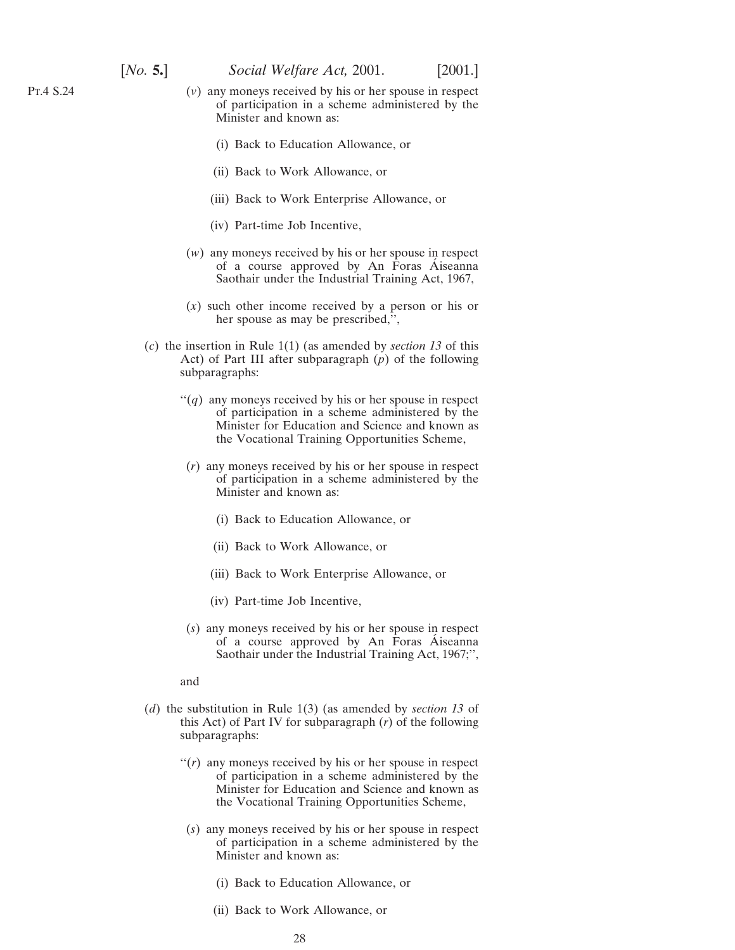$$
[No. 5.]
$$

- (*v*) any moneys received by his or her spouse in respect of participation in a scheme administered by the Minister and known as:
	- (i) Back to Education Allowance, or
	- (ii) Back to Work Allowance, or
	- (iii) Back to Work Enterprise Allowance, or
	- (iv) Part-time Job Incentive,
- (*w*) any moneys received by his or her spouse in respect of a course approved by An Foras Aiseanna Saothair under the Industrial Training Act, 1967,
- (*x*) such other income received by a person or his or her spouse as may be prescribed,'',
- (*c*) the insertion in Rule 1(1) (as amended by *section 13* of this Act) of Part III after subparagraph (*p*) of the following subparagraphs:
	- $\lq( q )$  any moneys received by his or her spouse in respect of participation in a scheme administered by the Minister for Education and Science and known as the Vocational Training Opportunities Scheme,
	- (*r*) any moneys received by his or her spouse in respect of participation in a scheme administered by the Minister and known as:
		- (i) Back to Education Allowance, or
		- (ii) Back to Work Allowance, or
		- (iii) Back to Work Enterprise Allowance, or
		- (iv) Part-time Job Incentive,
	- (*s*) any moneys received by his or her spouse in respect of a course approved by An Foras Aiseanna Saothair under the Industrial Training Act, 1967;'',

and

- (*d*) the substitution in Rule 1(3) (as amended by *section 13* of this Act) of Part IV for subparagraph (*r*) of the following subparagraphs:
	- "(*r*) any moneys received by his or her spouse in respect of participation in a scheme administered by the Minister for Education and Science and known as the Vocational Training Opportunities Scheme,
	- (*s*) any moneys received by his or her spouse in respect of participation in a scheme administered by the Minister and known as:
		- (i) Back to Education Allowance, or
		- (ii) Back to Work Allowance, or

Pt.4 S.24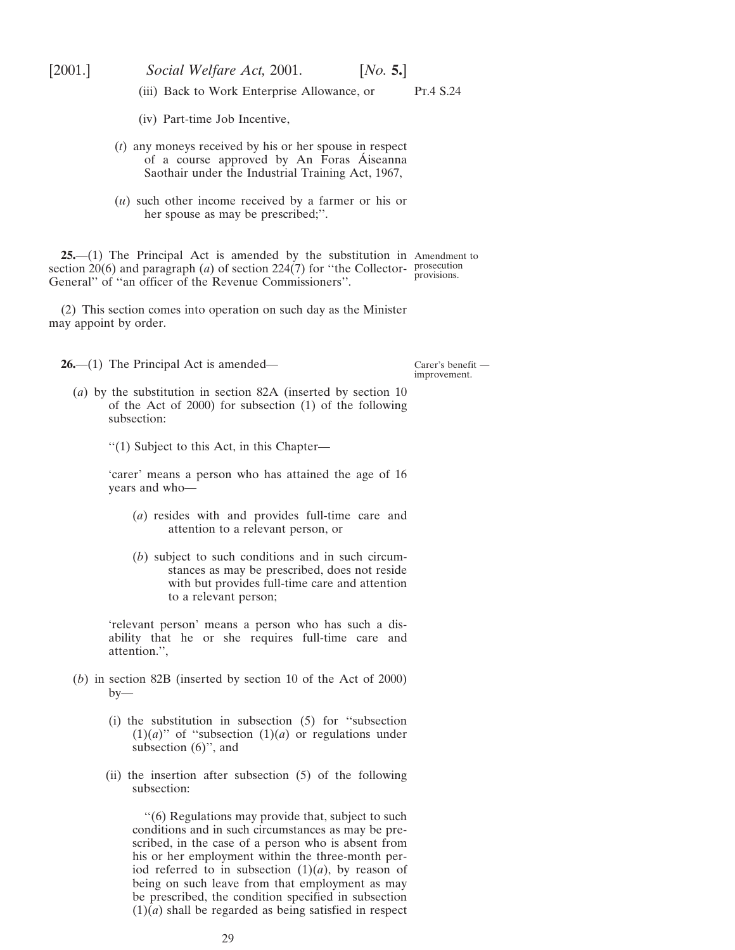<span id="page-28-0"></span>

(iii) Back to Work Enterprise Allowance, or  $\Pr A S.24$ 

- (iv) Part-time Job Incentive,
- (*t*) any moneys received by his or her spouse in respect of a course approved by An Foras Aiseanna Saothair under the Industrial Training Act, 1967,
- (*u*) such other income received by a farmer or his or her spouse as may be prescribed;''.

**25.**—(1) The Principal Act is amended by the substitution in Amendment to section  $20(6)$  and paragraph (*a*) of section  $224(7)$  for "the Collector- prosecution General'' of ''an officer of the Revenue Commissioners''. provisions.

(2) This section comes into operation on such day as the Minister may appoint by order.

**26.**—(1) The Principal Act is amended—

Carer's benefit improvement.

- (*a*) by the substitution in section 82A (inserted by section 10 of the Act of 2000) for subsection (1) of the following subsection:
	- ''(1) Subject to this Act, in this Chapter—

'carer' means a person who has attained the age of 16 years and who—

- (*a*) resides with and provides full-time care and attention to a relevant person, or
- (*b*) subject to such conditions and in such circumstances as may be prescribed, does not reside with but provides full-time care and attention to a relevant person;

'relevant person' means a person who has such a disability that he or she requires full-time care and attention.'',

- (*b*) in section 82B (inserted by section 10 of the Act of 2000)  $by-$ 
	- (i) the substitution in subsection (5) for ''subsection  $(1)(a)$ " of "subsection  $(1)(a)$  or regulations under subsection (6)'', and
	- (ii) the insertion after subsection (5) of the following subsection:

''(6) Regulations may provide that, subject to such conditions and in such circumstances as may be prescribed, in the case of a person who is absent from his or her employment within the three-month period referred to in subsection  $(1)(a)$ , by reason of being on such leave from that employment as may be prescribed, the condition specified in subsection  $(1)(a)$  shall be regarded as being satisfied in respect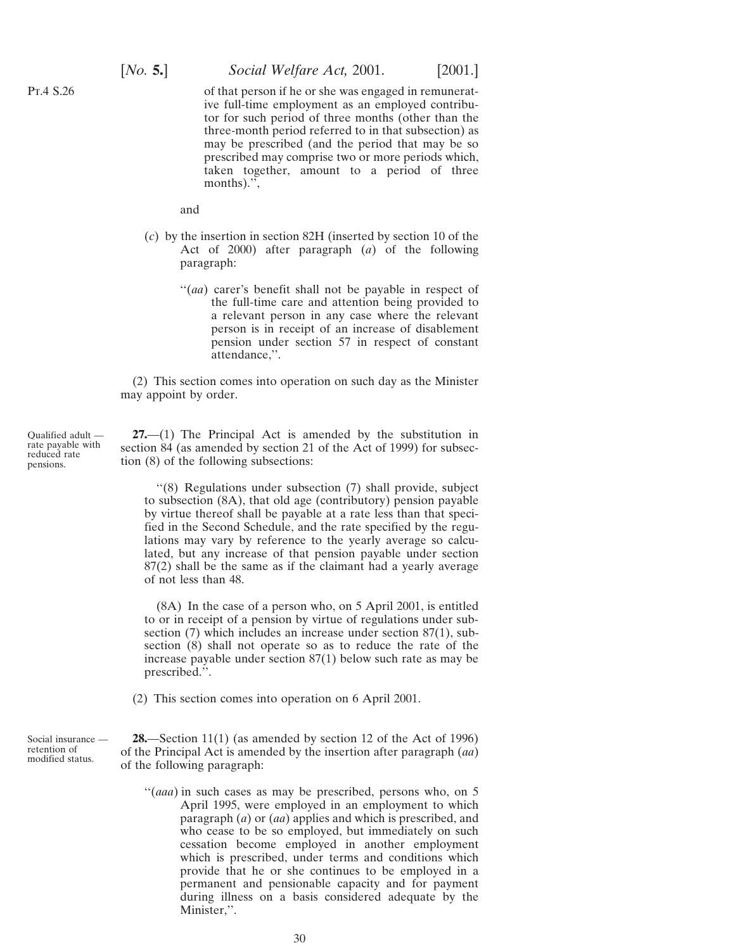<span id="page-29-0"></span>

of that person if he or she was engaged in remunerative full-time employment as an employed contributor for such period of three months (other than the three-month period referred to in that subsection) as may be prescribed (and the period that may be so prescribed may comprise two or more periods which, taken together, amount to a period of three months).",

and

- (*c*) by the insertion in section 82H (inserted by section 10 of the Act of 2000) after paragraph (*a*) of the following paragraph:
	- "(*aa*) carer's benefit shall not be payable in respect of the full-time care and attention being provided to a relevant person in any case where the relevant person is in receipt of an increase of disablement pension under section 57 in respect of constant attendance,''.

(2) This section comes into operation on such day as the Minister may appoint by order.

Qualified adult rate payable with reduced rate pensions.

**27.**—(1) The Principal Act is amended by the substitution in section 84 (as amended by section 21 of the Act of 1999) for subsection (8) of the following subsections:

''(8) Regulations under subsection (7) shall provide, subject to subsection (8A), that old age (contributory) pension payable by virtue thereof shall be payable at a rate less than that specified in the Second Schedule, and the rate specified by the regulations may vary by reference to the yearly average so calculated, but any increase of that pension payable under section 87(2) shall be the same as if the claimant had a yearly average of not less than 48.

(8A) In the case of a person who, on 5 April 2001, is entitled to or in receipt of a pension by virtue of regulations under subsection (7) which includes an increase under section 87(1), subsection (8) shall not operate so as to reduce the rate of the increase payable under section 87(1) below such rate as may be prescribed.''.

(2) This section comes into operation on 6 April 2001.

Social insurance retention of modified status.

**28.**—Section 11(1) (as amended by section 12 of the Act of 1996) of the Principal Act is amended by the insertion after paragraph (*aa*) of the following paragraph:

"(*aaa*) in such cases as may be prescribed, persons who, on 5 April 1995, were employed in an employment to which paragraph (*a*) or (*aa*) applies and which is prescribed, and who cease to be so employed, but immediately on such cessation become employed in another employment which is prescribed, under terms and conditions which provide that he or she continues to be employed in a permanent and pensionable capacity and for payment during illness on a basis considered adequate by the Minister,''.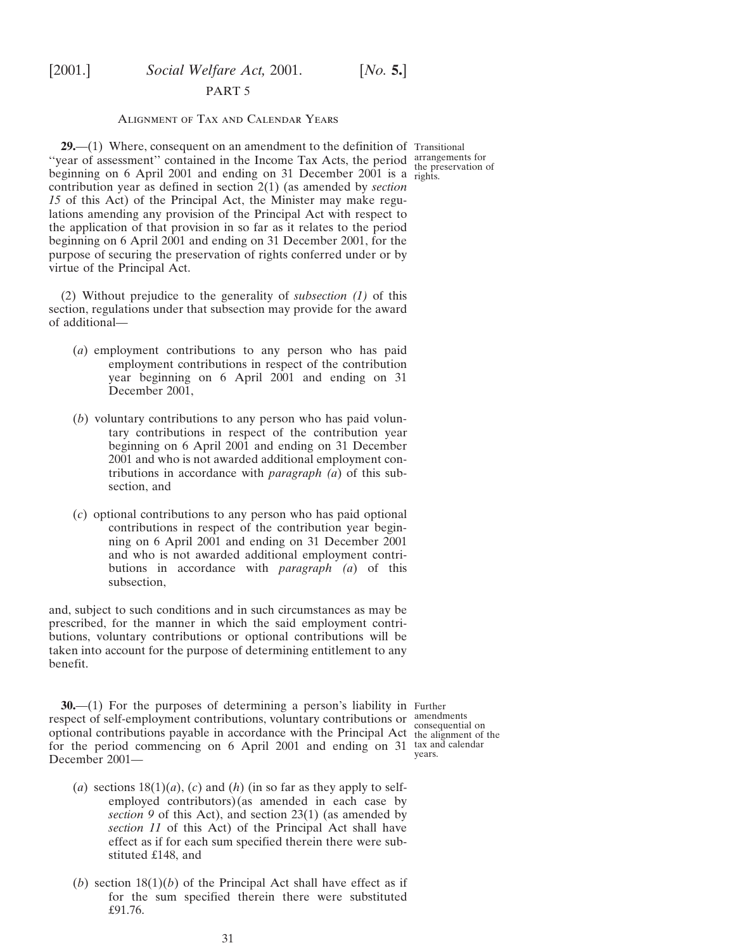#### PART 5

## Alignment of Tax and Calendar Years

<span id="page-30-0"></span>**29.**—(1) Where, consequent on an amendment to the definition of Transitional "year of assessment" contained in the Income Tax Acts, the period arrangements for<br>
<sup>1</sup>/<sub>1</sub>/<sub>2001</sub> <sup>1</sup>/<sub>1</sub>/<sub>2001</sub> <sup>2001</sup>/<sub>1</sub>/<sub>2001</sub> <sup>2001</sup>/<sub>1</sub>/<sub>2001</sub> <sup>2001</sup>/<sub>1</sub>/<sub>2001</sub> <sup>2001</sup>/<sub>1</sub>/<sub>2001</sub> <sup>2001</sup>/<sub>1</sub>/<sub>2001</sub> <sup>2001</sup>/<sub>1</sub></del> beginning on 6 April 2001 and ending on 31 December 2001 is a  $\frac{hc}{itghts}$ . contribution year as defined in section 2(1) (as amended by *section 15* of this Act) of the Principal Act, the Minister may make regulations amending any provision of the Principal Act with respect to the application of that provision in so far as it relates to the period beginning on 6 April 2001 and ending on 31 December 2001, for the purpose of securing the preservation of rights conferred under or by virtue of the Principal Act.

(2) Without prejudice to the generality of *subsection (1)* of this section, regulations under that subsection may provide for the award of additional—

- (*a*) employment contributions to any person who has paid employment contributions in respect of the contribution year beginning on 6 April 2001 and ending on 31 December 2001,
- (*b*) voluntary contributions to any person who has paid voluntary contributions in respect of the contribution year beginning on 6 April 2001 and ending on 31 December 2001 and who is not awarded additional employment contributions in accordance with *paragraph (a*) of this subsection, and
- (*c*) optional contributions to any person who has paid optional contributions in respect of the contribution year beginning on 6 April 2001 and ending on 31 December 2001 and who is not awarded additional employment contributions in accordance with *paragraph (a*) of this subsection,

and, subject to such conditions and in such circumstances as may be prescribed, for the manner in which the said employment contributions, voluntary contributions or optional contributions will be taken into account for the purpose of determining entitlement to any benefit.

**30.**—(1) For the purposes of determining a person's liability in Further respect of self-employment contributions, voluntary contributions or amendments respect of sentently contributions, volumity contributions of consequential on optional contributions payable in accordance with the Principal Act the alignment of the for the period commencing on 6 April 2001 and ending on 31 tax and calendar December 2001—

years.

- (*a*) sections  $18(1)(a)$ , (*c*) and (*h*) (in so far as they apply to selfemployed contributors)(as amended in each case by *section 9* of this Act), and section 23(1) (as amended by *section 11* of this Act) of the Principal Act shall have effect as if for each sum specified therein there were substituted £148, and
- (*b*) section  $18(1)(b)$  of the Principal Act shall have effect as if for the sum specified therein there were substituted £91.76.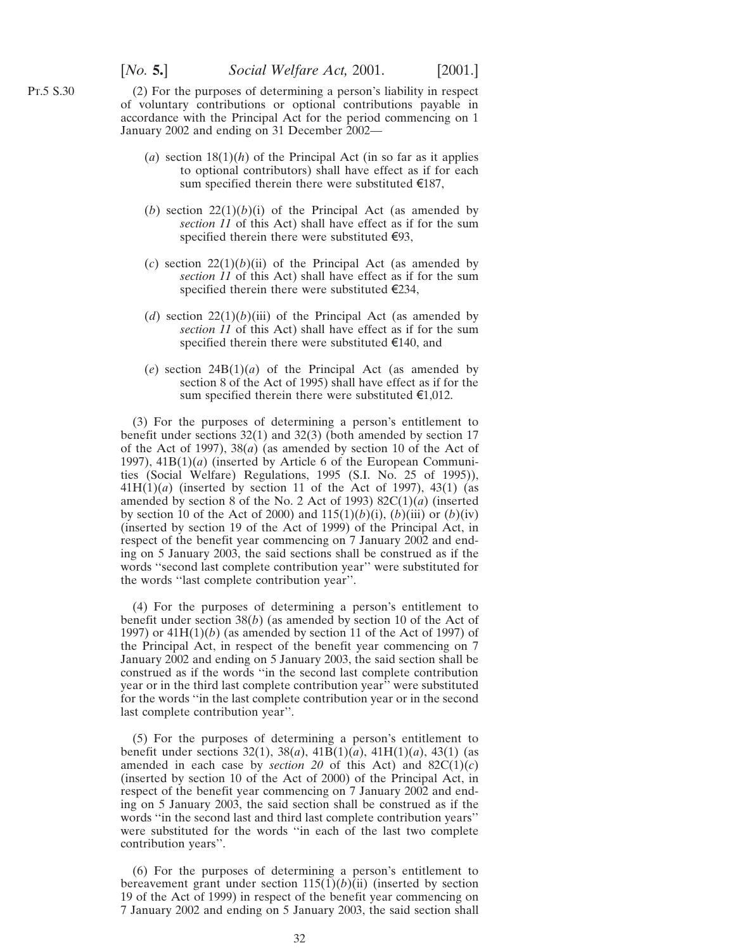(2) For the purposes of determining a person's liability in respect of voluntary contributions or optional contributions payable in accordance with the Principal Act for the period commencing on 1 January 2002 and ending on 31 December 2002—

- (*a*) section  $18(1)(h)$  of the Principal Act (in so far as it applies to optional contributors) shall have effect as if for each sum specified therein there were substituted  $\epsilon$ 187,
- (*b*) section  $22(1)(b)(i)$  of the Principal Act (as amended by *section 11* of this Act) shall have effect as if for the sum specified therein there were substituted  $\epsilon$ 93,
- $(c)$  section  $22(1)(b)(ii)$  of the Principal Act (as amended by *section 11* of this Act) shall have effect as if for the sum specified therein there were substituted  $\epsilon$ 234,
- (*d*) section  $22(1)(b)(iii)$  of the Principal Act (as amended by *section 11* of this Act) shall have effect as if for the sum specified therein there were substituted  $\epsilon$ 140, and
- (*e*) section 24B(1)(*a*) of the Principal Act (as amended by section 8 of the Act of 1995) shall have effect as if for the sum specified therein there were substituted  $\epsilon$ 1,012.

(3) For the purposes of determining a person's entitlement to benefit under sections 32(1) and 32(3) (both amended by section 17 of the Act of 1997), 38(*a*) (as amended by section 10 of the Act of 1997), 41B(1)(*a*) (inserted by Article 6 of the European Communities (Social Welfare) Regulations, 1995 (S.I. No. 25 of 1995)), 41H(1)(*a*) (inserted by section 11 of the Act of 1997), 43(1) (as amended by section 8 of the No. 2 Act of 1993) 82C(1)(*a*) (inserted by section 10 of the Act of 2000) and  $115(1)(b)(i)$ ,  $(b)(iii)$  or  $(b)(iv)$ (inserted by section 19 of the Act of 1999) of the Principal Act, in respect of the benefit year commencing on 7 January 2002 and ending on 5 January 2003, the said sections shall be construed as if the words ''second last complete contribution year'' were substituted for the words ''last complete contribution year''.

(4) For the purposes of determining a person's entitlement to benefit under section 38(*b*) (as amended by section 10 of the Act of 1997) or  $41H(1)(b)$  (as amended by section 11 of the Act of 1997) of the Principal Act, in respect of the benefit year commencing on 7 January 2002 and ending on 5 January 2003, the said section shall be construed as if the words ''in the second last complete contribution year or in the third last complete contribution year'' were substituted for the words ''in the last complete contribution year or in the second last complete contribution year''.

(5) For the purposes of determining a person's entitlement to benefit under sections 32(1), 38(*a*), 41B(1)(*a*), 41H(1)(*a*), 43(1) (as amended in each case by *section 20* of this Act) and  $82C(1)(c)$ (inserted by section 10 of the Act of 2000) of the Principal Act, in respect of the benefit year commencing on 7 January 2002 and ending on 5 January 2003, the said section shall be construed as if the words ''in the second last and third last complete contribution years'' were substituted for the words ''in each of the last two complete contribution years''.

(6) For the purposes of determining a person's entitlement to bereavement grant under section  $115(1)(b)(ii)$  (inserted by section 19 of the Act of 1999) in respect of the benefit year commencing on 7 January 2002 and ending on 5 January 2003, the said section shall

Pt.5 S.30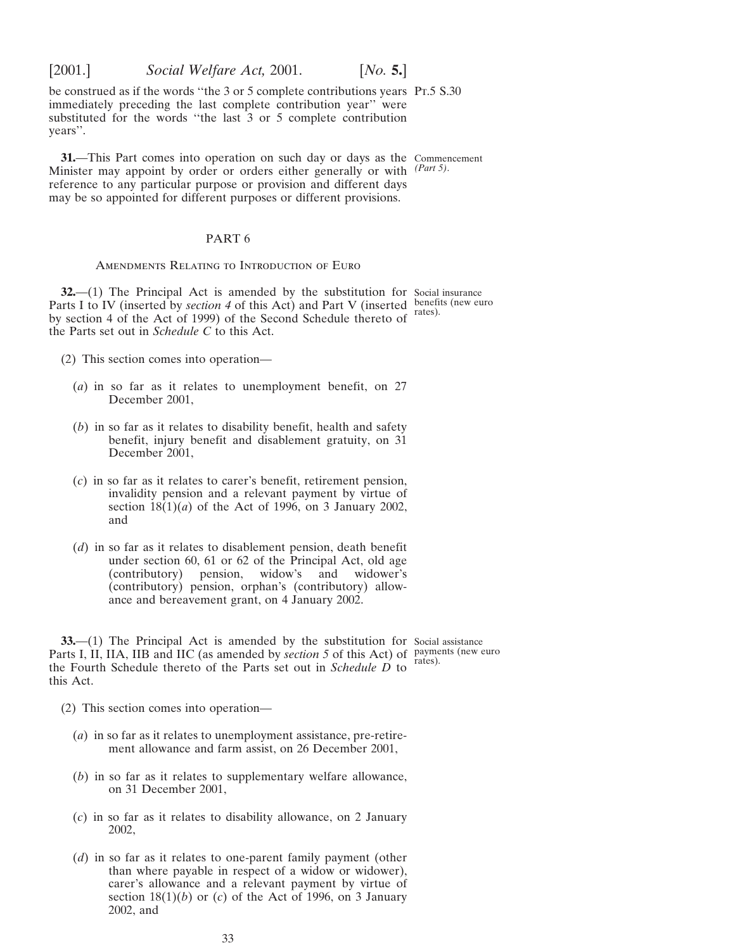<span id="page-32-0"></span>

be construed as if the words ''the 3 or 5 complete contributions years Pt.5 S.30 immediately preceding the last complete contribution year'' were substituted for the words "the last  $\overline{3}$  or  $\overline{5}$  complete contribution years''.

**31.**—This Part comes into operation on such day or days as the Commencement Minister may appoint by order or orders either generally or with *(Part 5)*. reference to any particular purpose or provision and different days may be so appointed for different purposes or different provisions.

### PART 6

Amendments Relating to Introduction of Euro

**32.**—(1) The Principal Act is amended by the substitution for Social insurance Parts I to IV (inserted by *section 4* of this Act) and Part V (inserted by section 4 of the Act of 1999) of the Second Schedule thereto of the Parts set out in *Schedule C* to this Act.

(2) This section comes into operation—

- (*a*) in so far as it relates to unemployment benefit, on 27 December 2001,
- (*b*) in so far as it relates to disability benefit, health and safety benefit, injury benefit and disablement gratuity, on 31 December 2001,
- (*c*) in so far as it relates to carer's benefit, retirement pension, invalidity pension and a relevant payment by virtue of section  $18(1)(a)$  of the Act of 1996, on 3 January 2002, and
- (*d*) in so far as it relates to disablement pension, death benefit under section 60, 61 or 62 of the Principal Act, old age (contributory) pension, widow's and widower's (contributory) pension, widow's and (contributory) pension, orphan's (contributory) allowance and bereavement grant, on 4 January 2002.

**33.**—(1) The Principal Act is amended by the substitution for Social assistance Parts I, II, IIA, IIB and IIC (as amended by *section 5* of this Act) of payments (new euro the Fourth Schedule thereto of the Parts set out in *Schedule D* to this Act.

(2) This section comes into operation—

- (*a*) in so far as it relates to unemployment assistance, pre-retirement allowance and farm assist, on 26 December 2001,
- (*b*) in so far as it relates to supplementary welfare allowance, on 31 December 2001,
- (*c*) in so far as it relates to disability allowance, on 2 January 2002,
- (*d*) in so far as it relates to one-parent family payment (other than where payable in respect of a widow or widower), carer's allowance and a relevant payment by virtue of section  $18(1)(b)$  or  $(c)$  of the Act of 1996, on 3 January 2002, and

benefits (new euro rates).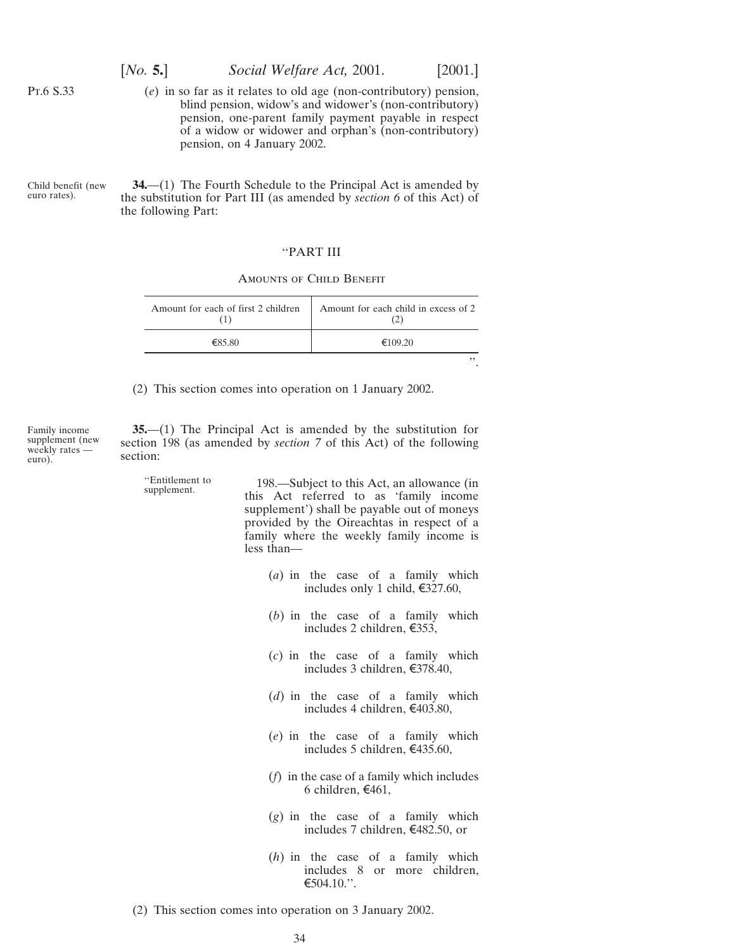[*No.* **5.**] *Social Welfare Act,* 2001. [2001.]

(*e*) in so far as it relates to old age (non-contributory) pension, blind pension, widow's and widower's (non-contributory) pension, one-parent family payment payable in respect of a widow or widower and orphan's (non-contributory) pension, on 4 January 2002.

Child benefit (new euro rates).

<span id="page-33-0"></span>Pt.6 S.33

**34.**—(1) The Fourth Schedule to the Principal Act is amended by the substitution for Part III (as amended by *section 6* of this Act) of the following Part:

### ''PART III

| AMOUNTS OF CHILD BENEFIT |  |  |
|--------------------------|--|--|
|                          |  |  |

| Amount for each of first 2 children | Amount for each child in excess of 2 |
|-------------------------------------|--------------------------------------|
| €85.80                              | €109.20                              |
|                                     |                                      |

(2) This section comes into operation on 1 January 2002.

Family income supplement (new weekly rates euro).

**35.**—(1) The Principal Act is amended by the substitution for section 198 (as amended by *section 7* of this Act) of the following section:

''Entitlement to 198.—Subject to this Act, an allowance (in supplement. this Act referred to as 'family income supplement') shall be payable out of moneys provided by the Oireachtas in respect of a family where the weekly family income is less than—

- (*a*) in the case of a family which includes only 1 child,  $\text{\textsterling}327.60$ ,
- (*b*) in the case of a family which includes 2 children,  $\epsilon$ 353,
- (*c*) in the case of a family which includes 3 children,  $\epsilon$ 378.40,
- (*d*) in the case of a family which includes 4 children, €403.80,
- (*e*) in the case of a family which includes 5 children,  $\text{\textsterling}435.60$ ,
- (*f*) in the case of a family which includes 6 children,  $\text{£461}$ ,
- (*g*) in the case of a family which includes 7 children,  $\text{\textsterling}482.50$ , or
- (*h*) in the case of a family which includes 8 or more children,  $€504.10."$ .
- (2) This section comes into operation on 3 January 2002.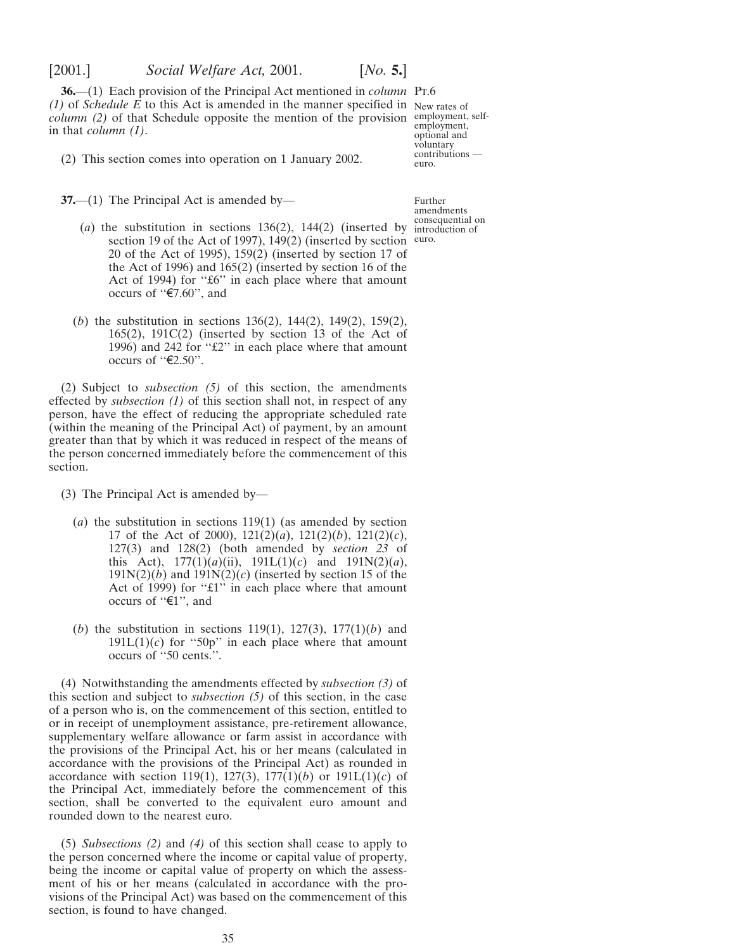<span id="page-34-0"></span>

**36.**—(1) Each provision of the Principal Act mentioned in *column* Pr.6 *(1)* of *Schedule E* to this Act is amended in the manner specified in New rates of *column (2)* of that Schedule opposite the mention of the provision employment, selfin that *column (1)*.

(2) This section comes into operation on 1 January 2002.

**37.**—(1) The Principal Act is amended by—

Further amendments consequential on

employment, optional and voluntary contributions —

euro.

- (*a*) the substitution in sections  $136(2)$ ,  $144(2)$  (inserted by introduction of section 19 of the Act of 1997), 149(2) (inserted by section euro. 20 of the Act of 1995), 159(2) (inserted by section 17 of the Act of 1996) and 165(2) (inserted by section 16 of the Act of 1994) for "£6" in each place where that amount occurs of " $\mathfrak{C}7.60$ ", and
- (*b*) the substitution in sections 136(2), 144(2), 149(2), 159(2),  $165(2)$ ,  $191C(2)$  (inserted by section 13 of the Act of 1996) and 242 for ''£2'' in each place where that amount occurs of " $\epsilon$ 2.50".

(2) Subject to *subsection (5)* of this section, the amendments effected by *subsection (1)* of this section shall not, in respect of any person, have the effect of reducing the appropriate scheduled rate (within the meaning of the Principal Act) of payment, by an amount greater than that by which it was reduced in respect of the means of the person concerned immediately before the commencement of this section.

- (3) The Principal Act is amended by—
	- (*a*) the substitution in sections 119(1) (as amended by section 17 of the Act of 2000), 121(2)(*a*), 121(2)(*b*), 121(2)(*c*), 127(3) and 128(2) (both amended by *section 23* of this Act),  $177(1)(a)(ii)$ ,  $191L(1)(c)$  and  $191N(2)(a)$ ,  $191N(2)(b)$  and  $191N(2)(c)$  (inserted by section 15 of the Act of 1999) for "£1" in each place where that amount occurs of " $\epsilon$ 1", and
	- (*b*) the substitution in sections 119(1), 127(3), 177(1)(*b*) and  $191L(1)(c)$  for "50p" in each place where that amount occurs of ''50 cents.''.

(4) Notwithstanding the amendments effected by *subsection (3)* of this section and subject to *subsection (5)* of this section, in the case of a person who is, on the commencement of this section, entitled to or in receipt of unemployment assistance, pre-retirement allowance, supplementary welfare allowance or farm assist in accordance with the provisions of the Principal Act, his or her means (calculated in accordance with the provisions of the Principal Act) as rounded in accordance with section 119(1), 127(3), 177(1)(*b*) or 191L(1)(*c*) of the Principal Act, immediately before the commencement of this section, shall be converted to the equivalent euro amount and rounded down to the nearest euro.

(5) *Subsections (2)* and *(4)* of this section shall cease to apply to the person concerned where the income or capital value of property, being the income or capital value of property on which the assessment of his or her means (calculated in accordance with the provisions of the Principal Act) was based on the commencement of this section, is found to have changed.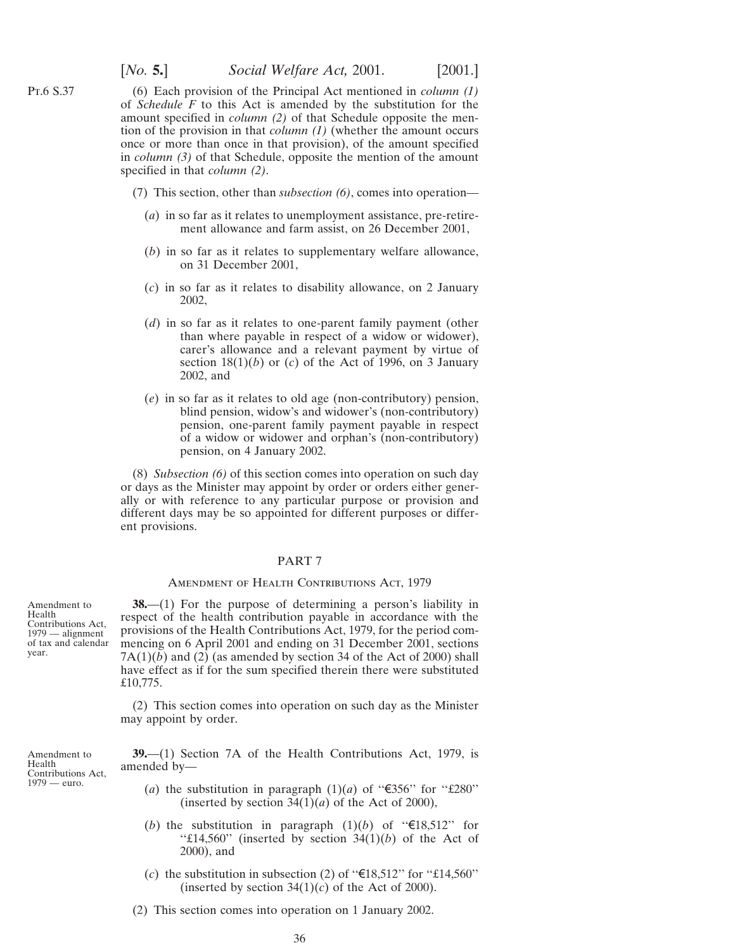(6) Each provision of the Principal Act mentioned in *column (1)* of *Schedule F* to this Act is amended by the substitution for the amount specified in *column (2)* of that Schedule opposite the mention of the provision in that *column (1)* (whether the amount occurs once or more than once in that provision), of the amount specified in *column (3)* of that Schedule, opposite the mention of the amount specified in that *column (2)*.

- (7) This section, other than *subsection (6)*, comes into operation—
	- (*a*) in so far as it relates to unemployment assistance, pre-retirement allowance and farm assist, on 26 December 2001,
	- (*b*) in so far as it relates to supplementary welfare allowance, on 31 December 2001,
	- (*c*) in so far as it relates to disability allowance, on 2 January 2002,
	- (*d*) in so far as it relates to one-parent family payment (other than where payable in respect of a widow or widower), carer's allowance and a relevant payment by virtue of section  $18(1)(b)$  or (*c*) of the Act of 1996, on 3 January 2002, and
	- (*e*) in so far as it relates to old age (non-contributory) pension, blind pension, widow's and widower's (non-contributory) pension, one-parent family payment payable in respect of a widow or widower and orphan's (non-contributory) pension, on 4 January 2002.

(8) *Subsection (6)* of this section comes into operation on such day or days as the Minister may appoint by order or orders either generally or with reference to any particular purpose or provision and different days may be so appointed for different purposes or different provisions.

### PART 7

#### AMENDMENT OF HEALTH CONTRIBUTIONS ACT, 1979

Contributions Act, **38.**—(1) For the purpose of determining a person's liability in respect of the health contribution payable in accordance with the provisions of the Health Contributions Act, 1979, for the period commencing on 6 April 2001 and ending on 31 December 2001, sections  $7A(1)(b)$  and  $(2)$  (as amended by section 34 of the Act of 2000) shall have effect as if for the sum specified therein there were substituted £10,775.

> (2) This section comes into operation on such day as the Minister may appoint by order.

**39.**—(1) Section 7A of the Health Contributions Act, 1979, is amended by—

- (*a*) the substitution in paragraph  $(1)(a)$  of " $\epsilon$ 356" for "£280" (inserted by section  $34(1)(a)$  of the Act of 2000),
- (*b*) the substitution in paragraph  $(1)(b)$  of " $\in \{18,512$ " for " $\pounds$ 14,560" (inserted by section 34(1)(*b*) of the Act of 2000), and
- (c) the substitution in subsection (2) of " $\epsilon$ 18,512" for "£14,560" (inserted by section  $34(1)(c)$  of the Act of 2000).
- (2) This section comes into operation on 1 January 2002.

Amendment to Health

<span id="page-35-0"></span>Pt.6 S.37

Amendment to Health Contributions Act, 1979 — euro.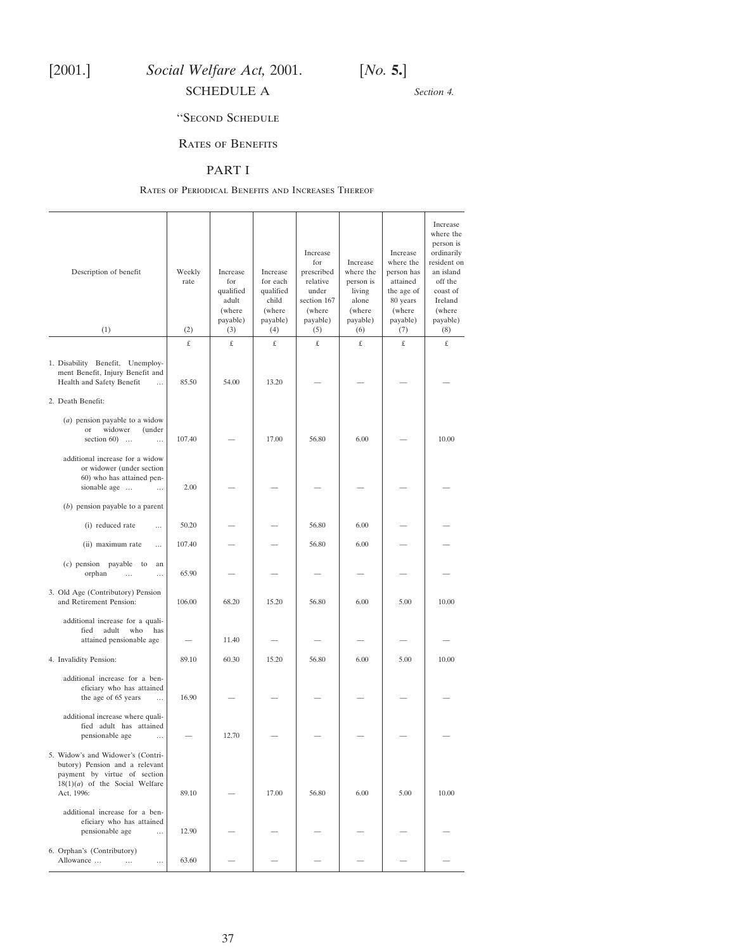<span id="page-36-0"></span>

*Section 4.*

# ''Second Schedule

# Rates of Benefits

## PART I

#### Rates of Periodical Benefits and Increases Thereof

| Description of benefit<br>(1)                                                                                                                         | Weekly<br>rate<br>(2) | Increase<br>for<br>qualified<br>adult<br>(where<br>payable)<br>(3) | Increase<br>for each<br>qualified<br>child<br>(where<br>payable)<br>(4) | Increase<br>for<br>prescribed<br>relative<br>under<br>section 167<br>(where<br>payable)<br>(5) | Increase<br>where the<br>person is<br>living<br>alone<br>(where<br>payable)<br>(6) | Increase<br>where the<br>person has<br>attained<br>the age of<br>80 years<br>(where<br>payable)<br>(7) | Increase<br>where the<br>person is<br>ordinarily<br>resident on<br>an island<br>off the<br>coast of<br>Ireland<br>(where<br>payable)<br>(8) |
|-------------------------------------------------------------------------------------------------------------------------------------------------------|-----------------------|--------------------------------------------------------------------|-------------------------------------------------------------------------|------------------------------------------------------------------------------------------------|------------------------------------------------------------------------------------|--------------------------------------------------------------------------------------------------------|---------------------------------------------------------------------------------------------------------------------------------------------|
|                                                                                                                                                       | £                     | £                                                                  | £                                                                       | £                                                                                              | £                                                                                  | £                                                                                                      | £                                                                                                                                           |
| 1. Disability Benefit, Unemploy-<br>ment Benefit, Injury Benefit and<br>Health and Safety Benefit<br>$\ldots$                                         | 85.50                 | 54.00                                                              | 13.20                                                                   |                                                                                                |                                                                                    |                                                                                                        |                                                                                                                                             |
| 2. Death Benefit:                                                                                                                                     |                       |                                                                    |                                                                         |                                                                                                |                                                                                    |                                                                                                        |                                                                                                                                             |
| $(a)$ pension payable to a widow<br>widower<br>(under<br>or<br>section $60$ )<br>                                                                     | 107.40                |                                                                    | 17.00                                                                   | 56.80                                                                                          | 6.00                                                                               |                                                                                                        | 10.00                                                                                                                                       |
| additional increase for a widow<br>or widower (under section<br>60) who has attained pen-<br>sionable age<br>$\cdots$                                 | 2.00                  |                                                                    |                                                                         |                                                                                                |                                                                                    |                                                                                                        |                                                                                                                                             |
| $(b)$ pension payable to a parent                                                                                                                     |                       |                                                                    |                                                                         |                                                                                                |                                                                                    |                                                                                                        |                                                                                                                                             |
| (i) reduced rate<br>$\cdots$                                                                                                                          | 50.20                 |                                                                    |                                                                         | 56.80                                                                                          | 6.00                                                                               |                                                                                                        |                                                                                                                                             |
| (ii) maximum rate<br>$\cdots$                                                                                                                         | 107.40                |                                                                    |                                                                         | 56.80                                                                                          | 6.00                                                                               |                                                                                                        |                                                                                                                                             |
| $(c)$ pension payable to<br>an<br>orphan<br>$\ddotsc$<br>$\cdots$                                                                                     | 65.90                 |                                                                    |                                                                         |                                                                                                |                                                                                    |                                                                                                        |                                                                                                                                             |
| 3. Old Age (Contributory) Pension<br>and Retirement Pension:                                                                                          | 106.00                | 68.20                                                              | 15.20                                                                   | 56.80                                                                                          | 6.00                                                                               | 5.00                                                                                                   | 10.00                                                                                                                                       |
| additional increase for a quali-<br>fied<br>adult<br>who<br>has<br>attained pensionable age                                                           |                       | 11.40                                                              |                                                                         |                                                                                                |                                                                                    |                                                                                                        |                                                                                                                                             |
| 4. Invalidity Pension:                                                                                                                                | 89.10                 | 60.30                                                              | 15.20                                                                   | 56.80                                                                                          | 6.00                                                                               | 5.00                                                                                                   | 10.00                                                                                                                                       |
| additional increase for a ben-<br>eficiary who has attained<br>the age of 65 years<br>$\cdots$                                                        | 16.90                 |                                                                    |                                                                         |                                                                                                |                                                                                    |                                                                                                        |                                                                                                                                             |
| additional increase where quali-<br>fied adult has attained<br>pensionable age<br>$\ddotsc$                                                           |                       | 12.70                                                              |                                                                         |                                                                                                |                                                                                    |                                                                                                        |                                                                                                                                             |
| 5. Widow's and Widower's (Contri-<br>butory) Pension and a relevant<br>payment by virtue of section<br>$18(1)(a)$ of the Social Welfare<br>Act, 1996: | 89.10                 |                                                                    | 17.00                                                                   | 56.80                                                                                          | 6.00                                                                               | 5.00                                                                                                   | 10.00                                                                                                                                       |
| additional increase for a ben-<br>eficiary who has attained<br>pensionable age<br>$\cdots$                                                            | 12.90                 |                                                                    |                                                                         |                                                                                                |                                                                                    |                                                                                                        |                                                                                                                                             |
| 6. Orphan's (Contributory)<br>Allowance<br>$\cdots$<br>$\cdots$                                                                                       | 63.60                 |                                                                    |                                                                         |                                                                                                |                                                                                    |                                                                                                        |                                                                                                                                             |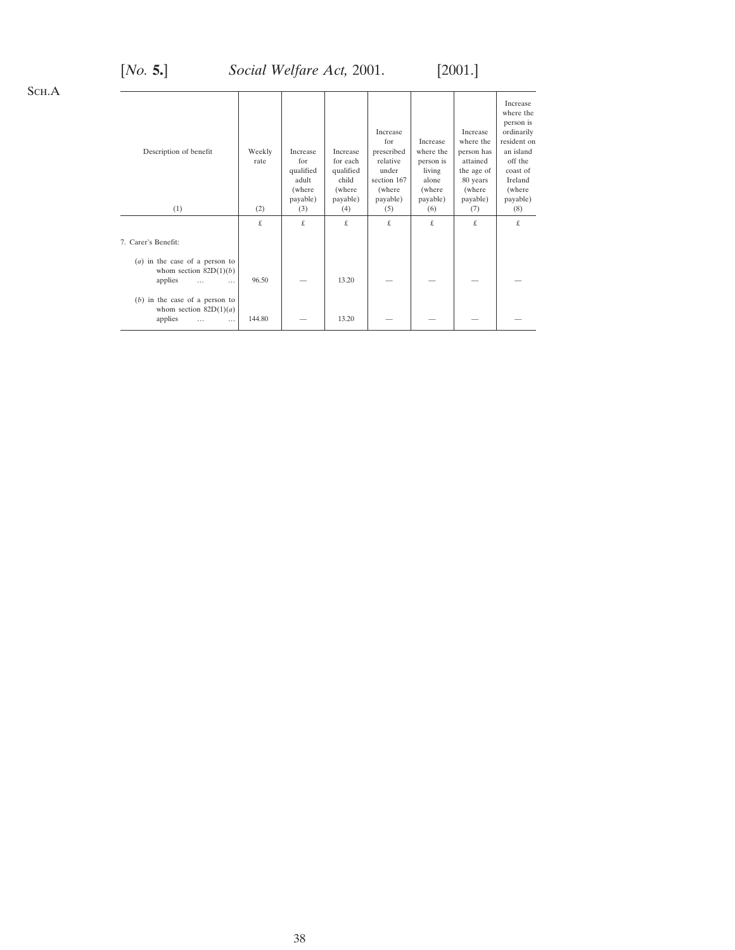# [*No.* **5.**] *Social Welfare Act,* 2001. [2001.]

| Description of benefit                                                                          | Weekly<br>rate | Increase<br>for<br>qualified<br>adult<br>(where<br>payable) | Increase<br>for each<br>qualified<br>child<br>(where)<br>payable) | Increase<br>for<br>prescribed<br>relative<br>under<br>section 167<br>(where<br>payable) | Increase<br>where the<br>person is<br>living<br>alone<br>(where)<br>payable) | Increase<br>where the<br>person has<br>attained<br>the age of<br>80 years<br>(where<br>payable) | Increase<br>where the<br>person is<br>ordinarily<br>resident on<br>an island<br>off the<br>coast of<br>Ireland<br>(where<br>payable) |
|-------------------------------------------------------------------------------------------------|----------------|-------------------------------------------------------------|-------------------------------------------------------------------|-----------------------------------------------------------------------------------------|------------------------------------------------------------------------------|-------------------------------------------------------------------------------------------------|--------------------------------------------------------------------------------------------------------------------------------------|
| (1)                                                                                             | (2)            | (3)                                                         | (4)                                                               | (5)                                                                                     | (6)                                                                          | (7)                                                                                             | (8)                                                                                                                                  |
|                                                                                                 | £              | £                                                           | £                                                                 | £                                                                                       | £.                                                                           | £                                                                                               | £.                                                                                                                                   |
| 7. Carer's Benefit:                                                                             |                |                                                             |                                                                   |                                                                                         |                                                                              |                                                                                                 |                                                                                                                                      |
| $(a)$ in the case of a person to<br>whom section $82D(1)(b)$<br>applies<br>$\cdots$<br>$\cdots$ | 96.50          |                                                             | 13.20                                                             |                                                                                         |                                                                              |                                                                                                 |                                                                                                                                      |
| $(b)$ in the case of a person to<br>whom section $82D(1)(a)$<br>applies<br>$\cdots$<br>$\cdots$ | 144.80         |                                                             | 13.20                                                             |                                                                                         |                                                                              |                                                                                                 |                                                                                                                                      |

Sch.A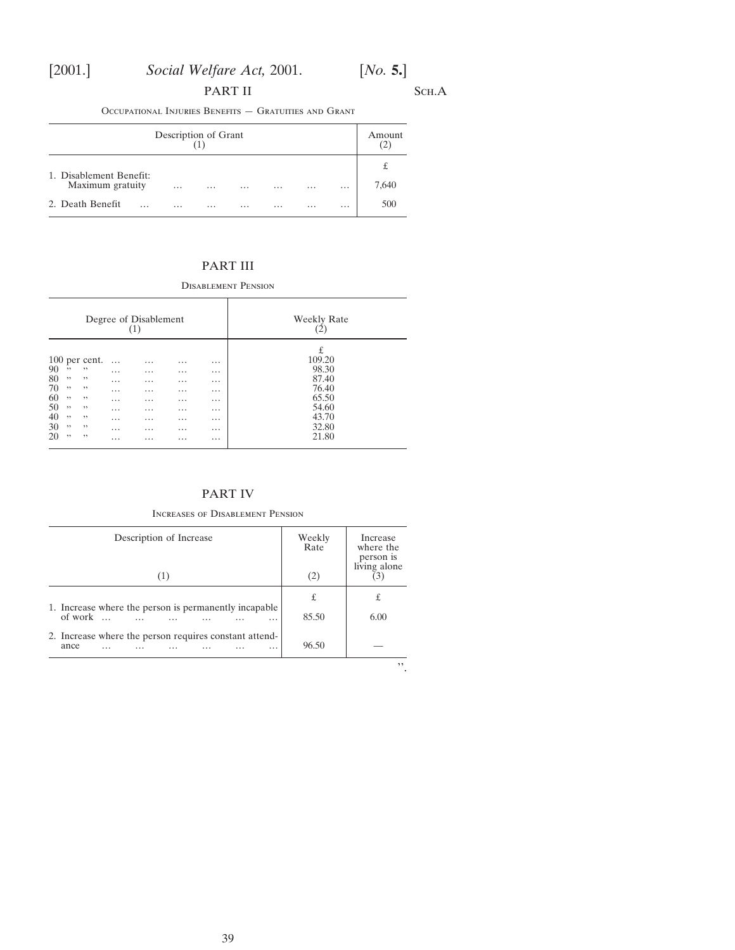# PART II SCH.A

Occupational Injuries Benefits — Gratuities and Grant

| Description of Grant                        |          |          |          |          |          |          | Amount<br>$\mathbf{C}^{\prime}$ |
|---------------------------------------------|----------|----------|----------|----------|----------|----------|---------------------------------|
| 1. Disablement Benefit:<br>Maximum gratuity | $\cdots$ | $\cdots$ | $\cdots$ | $\cdots$ | $\cdots$ | $\cdots$ | £<br>7,640                      |
| 2. Death Benefit<br>.                       | $\cdots$ | $\cdots$ | $\cdots$ | $\cdots$ | $\cdots$ | $\cdots$ | 500                             |

# PART III

Disablement Pension

|                                                                                                                                                                  | Degree of Disablement                                          |                                                                                            |                                                                                                   |                                                                                     | <b>Weekly Rate</b>                                                                  |
|------------------------------------------------------------------------------------------------------------------------------------------------------------------|----------------------------------------------------------------|--------------------------------------------------------------------------------------------|---------------------------------------------------------------------------------------------------|-------------------------------------------------------------------------------------|-------------------------------------------------------------------------------------|
| 100 per cent.<br>90<br>,,<br>,,<br>80<br>,,<br>,,<br>70<br>,,<br>,,<br>60<br>, ,<br>,,<br>50<br>, ,<br>,,<br>40<br>,,<br>,,<br>30<br>, ,<br>,,<br>20<br>,,<br>,, | $\cdots$<br>$\cdots$<br>.<br>.<br>.<br>.<br>$\cdots$<br>.<br>. | $\cdots$<br>$\cdots$<br>$\cdots$<br>.<br>$\cdots$<br>$\cdots$<br>$\cdots$<br>.<br>$\cdots$ | $\cdots$<br>$\cdots$<br>$\cdots$<br>$\cdots$<br>$\cdots$<br>$\cdots$<br>.<br>$\cdots$<br>$\cdots$ | .<br>$\cdots$<br>$\cdots$<br>$\cdots$<br>.<br>.<br>$\cdots$<br>$\cdots$<br>$\cdots$ | £<br>109.20<br>98.30<br>87.40<br>76.40<br>65.50<br>54.60<br>43.70<br>32.80<br>21.80 |

# PART IV

## Increases of Disablement Pension

| Description of Increase<br>(1)                                             | Weekly<br>Rate<br>(2) | Increase<br>where the<br>person is<br>living alone |
|----------------------------------------------------------------------------|-----------------------|----------------------------------------------------|
| 1. Increase where the person is permanently incapable<br>of work<br>.<br>. | £<br>85.50            | £<br>6.00                                          |
| 2. Increase where the person requires constant attend-<br>ance<br>.<br>.   | 96.50                 | ,,                                                 |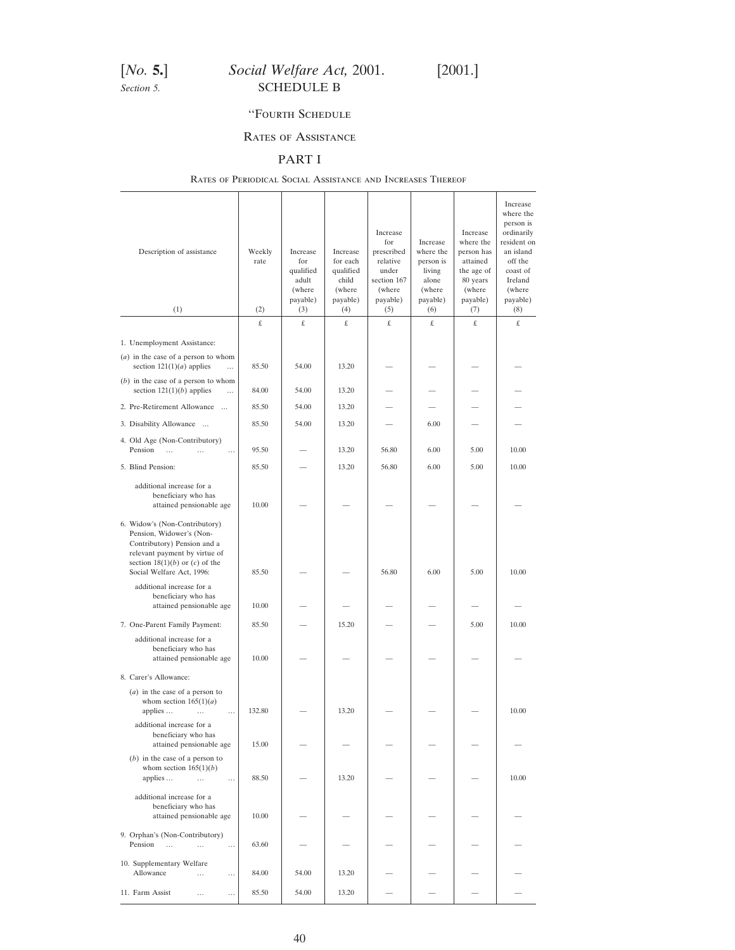# <span id="page-39-0"></span>[*No.* **5.**] *Social Welfare Act,* 2001. [2001.] **Section 5.** SCHEDULE B

## ''Fourth Schedule

## Rates of Assistance

# PART I

## Rates of Periodical Social Assistance and Increases Thereof

| Description of assistance                                                                                                                                                                    | Weekly<br>rate | Increase<br>for<br>qualified<br>adult<br>(where<br>payable) | Increase<br>for each<br>qualified<br>child<br>(where)<br>payable) | Increase<br>for<br>prescribed<br>relative<br>under<br>section 167<br>(where<br>payable) | Increase<br>where the<br>person is<br>living<br>alone<br>(where<br>payable) | Increase<br>where the<br>person has<br>attained<br>the age of<br>80 years<br>(where<br>payable) | Increase<br>where the<br>person is<br>ordinarily<br>resident on<br>an island<br>off the<br>coast of<br>Ireland<br>(where<br>payable) |
|----------------------------------------------------------------------------------------------------------------------------------------------------------------------------------------------|----------------|-------------------------------------------------------------|-------------------------------------------------------------------|-----------------------------------------------------------------------------------------|-----------------------------------------------------------------------------|-------------------------------------------------------------------------------------------------|--------------------------------------------------------------------------------------------------------------------------------------|
| (1)                                                                                                                                                                                          | (2)            | (3)                                                         | (4)                                                               | (5)                                                                                     | (6)                                                                         | (7)                                                                                             | (8)                                                                                                                                  |
| 1. Unemployment Assistance:                                                                                                                                                                  | £              | £                                                           | £                                                                 | £                                                                                       | £                                                                           | £                                                                                               | £                                                                                                                                    |
| $(a)$ in the case of a person to whom<br>section $121(1)(a)$ applies<br>$\ddotsc$                                                                                                            | 85.50          | 54.00                                                       | 13.20                                                             |                                                                                         |                                                                             |                                                                                                 |                                                                                                                                      |
| $(b)$ in the case of a person to whom<br>section $121(1)(b)$ applies<br>$\cdots$                                                                                                             | 84.00          | 54.00                                                       | 13.20                                                             |                                                                                         |                                                                             |                                                                                                 |                                                                                                                                      |
| 2. Pre-Retirement Allowance                                                                                                                                                                  | 85.50          | 54.00                                                       | 13.20                                                             |                                                                                         |                                                                             |                                                                                                 |                                                                                                                                      |
| 3. Disability Allowance                                                                                                                                                                      | 85.50          | 54.00                                                       | 13.20                                                             |                                                                                         | 6.00                                                                        |                                                                                                 |                                                                                                                                      |
| 4. Old Age (Non-Contributory)<br>Pension<br>$\cdots$<br>$\sim$<br>$\cdots$                                                                                                                   | 95.50          |                                                             | 13.20                                                             | 56.80                                                                                   | 6.00                                                                        | 5.00                                                                                            | 10.00                                                                                                                                |
| 5. Blind Pension:                                                                                                                                                                            | 85.50          |                                                             | 13.20                                                             | 56.80                                                                                   | 6.00                                                                        | 5.00                                                                                            | 10.00                                                                                                                                |
| additional increase for a<br>beneficiary who has<br>attained pensionable age                                                                                                                 | 10.00          |                                                             |                                                                   |                                                                                         |                                                                             |                                                                                                 |                                                                                                                                      |
| 6. Widow's (Non-Contributory)<br>Pension, Widower's (Non-<br>Contributory) Pension and a<br>relevant payment by virtue of<br>section $18(1)(b)$ or $(c)$ of the<br>Social Welfare Act, 1996: | 85.50          |                                                             |                                                                   | 56.80                                                                                   | 6.00                                                                        | 5.00                                                                                            | 10.00                                                                                                                                |
| additional increase for a<br>beneficiary who has<br>attained pensionable age                                                                                                                 | 10.00          |                                                             |                                                                   |                                                                                         |                                                                             |                                                                                                 |                                                                                                                                      |
| 7. One-Parent Family Payment:                                                                                                                                                                | 85.50          |                                                             | 15.20                                                             |                                                                                         |                                                                             | 5.00                                                                                            | 10.00                                                                                                                                |
| additional increase for a<br>beneficiary who has<br>attained pensionable age                                                                                                                 | 10.00          |                                                             |                                                                   |                                                                                         |                                                                             |                                                                                                 |                                                                                                                                      |
| 8. Carer's Allowance:                                                                                                                                                                        |                |                                                             |                                                                   |                                                                                         |                                                                             |                                                                                                 |                                                                                                                                      |
| $(a)$ in the case of a person to<br>whom section $165(1)(a)$<br>applies<br>$\cdots$                                                                                                          | 132.80         |                                                             | 13.20                                                             |                                                                                         |                                                                             |                                                                                                 | 10.00                                                                                                                                |
| additional increase for a<br>beneficiary who has<br>attained pensionable age                                                                                                                 | 15.00          |                                                             |                                                                   |                                                                                         |                                                                             |                                                                                                 |                                                                                                                                      |
| $(b)$ in the case of a person to<br>whom section $165(1)(b)$<br>applies<br>$\sim$ 100 $\mu$<br>$\cdots$                                                                                      | 88.50          |                                                             | 13.20                                                             |                                                                                         |                                                                             |                                                                                                 | 10.00                                                                                                                                |
| additional increase for a<br>beneficiary who has<br>attained pensionable age                                                                                                                 | 10.00          |                                                             |                                                                   |                                                                                         |                                                                             |                                                                                                 |                                                                                                                                      |
| 9. Orphan's (Non-Contributory)<br>Pension<br>$\cdots$<br>$\cdots$<br>$\cdots$                                                                                                                | 63.60          |                                                             |                                                                   |                                                                                         |                                                                             |                                                                                                 |                                                                                                                                      |
| 10. Supplementary Welfare<br>Allowance<br><br>                                                                                                                                               | 84.00          | 54.00                                                       | 13.20                                                             |                                                                                         |                                                                             |                                                                                                 |                                                                                                                                      |
| 11. Farm Assist<br>$\cdots$<br>$\cdots$                                                                                                                                                      | 85.50          | 54.00                                                       | 13.20                                                             |                                                                                         |                                                                             |                                                                                                 |                                                                                                                                      |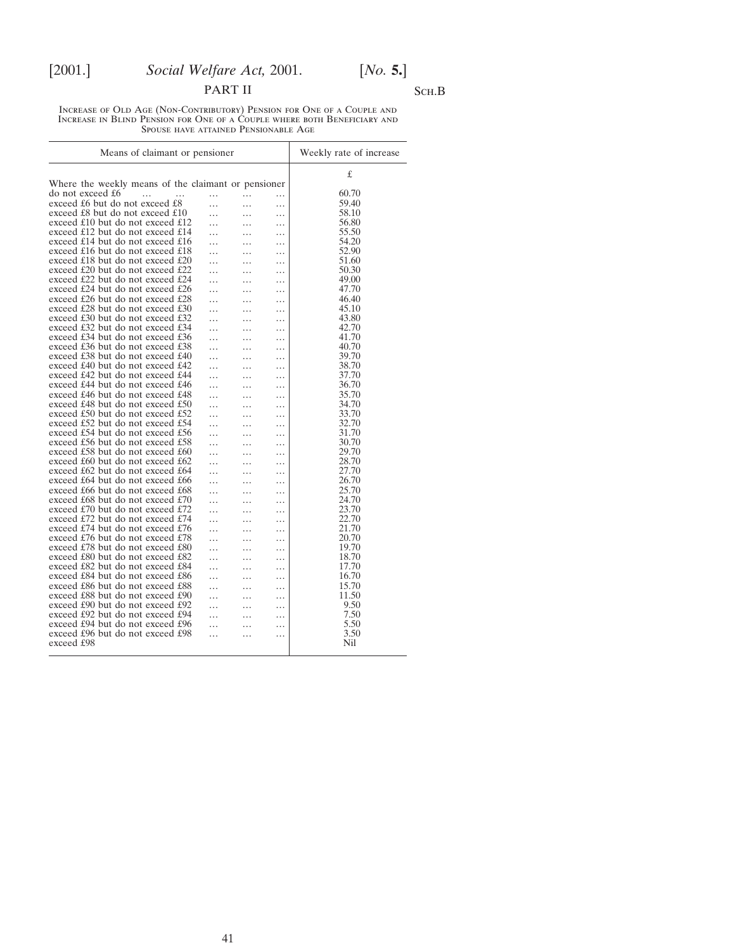# PART II SCH.B

Increase of Old Age (Non-Contributory) Pension for One of a Couple and Increase in Blind Pension for One of a Couple where both Beneficiary and Spouse have attained Pensionable Age

| Means of claimant or pensioner                      | Weekly rate of increase |           |   |       |
|-----------------------------------------------------|-------------------------|-----------|---|-------|
|                                                     |                         |           |   | £     |
| Where the weekly means of the claimant or pensioner |                         |           |   |       |
| do not exceed £6<br>$\cdots$<br>.                   | .                       | .         | . | 60.70 |
| exceed £6 but do not exceed £8                      | $\cdots$                | .         | . | 59.40 |
| exceed £8 but do not exceed £10                     | .                       | .         | . | 58.10 |
| exceed £10 but do not exceed £12                    | $\cdots$                | .         | . | 56.80 |
| exceed £12 but do not exceed £14                    | .                       | .         | . | 55.50 |
| exceed £14 but do not exceed £16                    | .                       | .         | . | 54.20 |
| exceed £16 but do not exceed £18                    |                         | .         | . | 52.90 |
| exceed £18 but do not exceed £20                    | .                       | .         | . | 51.60 |
| exceed £20 but do not exceed £22                    | .                       | .         | . | 50.30 |
| exceed £22 but do not exceed £24                    | .                       | .         | . | 49.00 |
| exceed £24 but do not exceed £26                    | .                       | .         | . | 47.70 |
| exceed £26 but do not exceed £28                    | $\ddotsc$               | .         | . | 46.40 |
| exceed £28 but do not exceed £30                    | .                       | .         | . | 45.10 |
| exceed £30 but do not exceed £32                    | .                       | .         | . | 43.80 |
| exceed £32 but do not exceed £34                    | .                       | .         | . | 42.70 |
| exceed £34 but do not exceed £36                    | .                       | .         | . | 41.70 |
| exceed £36 but do not exceed £38                    | .                       | .         | . | 40.70 |
| exceed £38 but do not exceed £40                    | .                       | .         | . | 39.70 |
| exceed £40 but do not exceed £42                    | .                       | .         | . | 38.70 |
| exceed £42 but do not exceed £44                    | .                       | .         | . | 37.70 |
| exceed £44 but do not exceed £46                    | .                       | .         | . | 36.70 |
| exceed £46 but do not exceed £48                    | .                       | .         | . | 35.70 |
| exceed £48 but do not exceed £50                    | .                       | .         | . | 34.70 |
| exceed £50 but do not exceed £52                    |                         |           |   | 33.70 |
| exceed £52 but do not exceed £54                    | .                       | .         | . | 32.70 |
| exceed £54 but do not exceed £56                    | .                       | .         | . | 31.70 |
| exceed £56 but do not exceed £58                    | .                       | .         | . | 30.70 |
| exceed £58 but do not exceed £60                    | .                       | .         | . | 29.70 |
| exceed £60 but do not exceed £62                    | .                       | .         | . | 28.70 |
| exceed £62 but do not exceed £64                    | .                       | .         | . | 27.70 |
|                                                     | .                       | .         | . | 26.70 |
| exceed £64 but do not exceed £66                    | .                       | .         | . |       |
| exceed £66 but do not exceed £68                    | .                       | .         | . | 25.70 |
| exceed £68 but do not exceed £70                    | .                       | .         | . | 24.70 |
| exceed £70 but do not exceed £72                    | .                       | .         | . | 23.70 |
| exceed £72 but do not exceed £74                    | .                       | $\ddotsc$ | . | 22.70 |
| exceed £74 but do not exceed £76                    | .                       | .         | . | 21.70 |
| exceed £76 but do not exceed £78                    | .                       | .         | . | 20.70 |
| exceed £78 but do not exceed £80                    | .                       | .         | . | 19.70 |
| exceed £80 but do not exceed £82                    | .                       | .         | . | 18.70 |
| exceed £82 but do not exceed £84                    | .                       | .         | . | 17.70 |
| exceed £84 but do not exceed £86                    | .                       |           | . | 16.70 |
| exceed £86 but do not exceed £88                    | .                       | .         | . | 15.70 |
| exceed £88 but do not exceed £90                    | .                       | $\ddotsc$ | . | 11.50 |
| exceed £90 but do not exceed £92                    | $\cdots$                | .         | . | 9.50  |
| exceed £92 but do not exceed £94                    | .                       | .         | . | 7.50  |
| exceed £94 but do not exceed £96                    | .                       | .         | . | 5.50  |
| exceed £96 but do not exceed £98                    | .                       | .         | . | 3.50  |
| exceed £98                                          |                         |           |   | Nil   |
|                                                     |                         |           |   |       |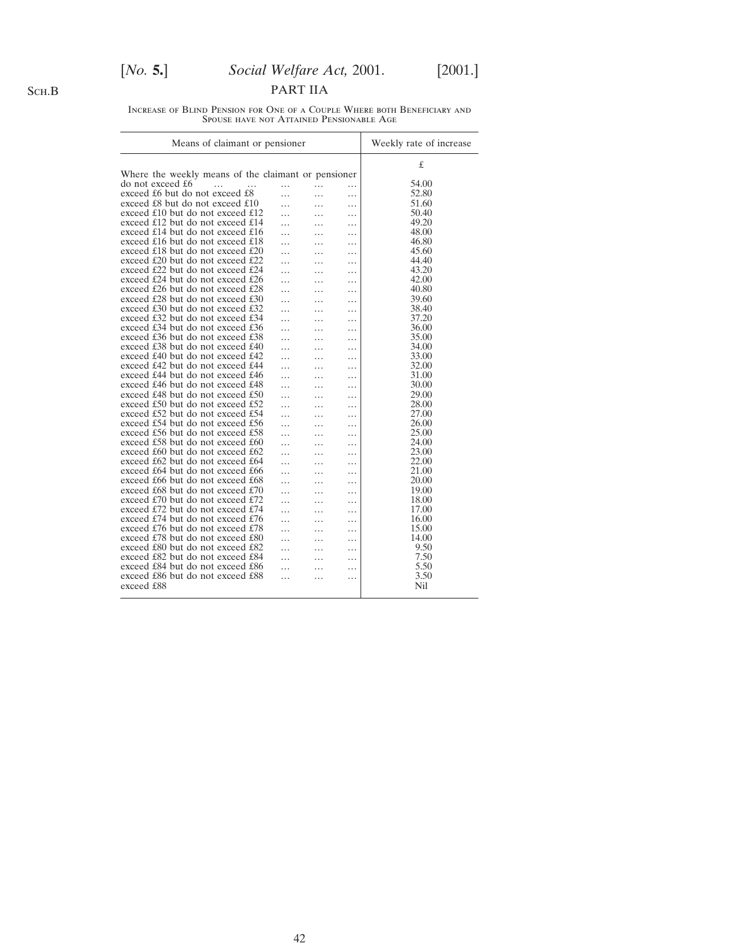# [*No.* **5.**] *Social Welfare Act,* 2001. [2001.]

PART IIA

Increase of Blind Pension for One of a Couple Where both Beneficiary and Spouse have not Attained Pensionable Age

| Means of claimant or pensioner                      |   | Weekly rate of increase |          |       |
|-----------------------------------------------------|---|-------------------------|----------|-------|
| Where the weekly means of the claimant or pensioner |   |                         |          | £     |
|                                                     |   |                         |          |       |
| do not exceed £6<br>$\cdots$                        | . | .                       | $\cdots$ | 54.00 |
| exceed £6 but do not exceed £8                      | . | .                       | .        | 52.80 |
| exceed £8 but do not exceed £10                     | . | .                       | .        | 51.60 |
| exceed £10 but do not exceed £12                    | . | .                       | .        | 50.40 |
| exceed £12 but do not exceed £14                    |   |                         | .        | 49.20 |
| exceed £14 but do not exceed £16                    |   | .                       | .        | 48.00 |
| exceed £16 but do not exceed £18                    |   | .                       | .        | 46.80 |
| exceed £18 but do not exceed £20                    |   | .                       | .        | 45.60 |
| exceed £20 but do not exceed £22                    | . | .                       | .        | 44.40 |
| exceed £22 but do not exceed £24                    | . | .                       | .        | 43.20 |
| exceed £24 but do not exceed £26                    | . | .                       | .        | 42.00 |
| exceed £26 but do not exceed £28                    | . | .                       | .        | 40.80 |
| exceed £28 but do not exceed £30                    |   |                         |          | 39.60 |
| exceed £30 but do not exceed £32                    |   | .                       | .        | 38.40 |
| exceed £32 but do not exceed £34                    |   | .                       | .        | 37.20 |
|                                                     | . | .                       | .        |       |
| exceed £34 but do not exceed £36                    | . | .                       | .        | 36.00 |
| exceed £36 but do not exceed £38                    | . | .                       | .        | 35.00 |
| exceed £38 but do not exceed £40                    | . | .                       | .        | 34.00 |
| exceed £40 but do not exceed £42                    | . | .                       | .        | 33.00 |
| exceed £42 but do not exceed £44                    |   |                         | .        | 32.00 |
| exceed £44 but do not exceed £46                    |   | .                       | .        | 31.00 |
| exceed £46 but do not exceed £48                    |   | .                       | .        | 30.00 |
| exceed £48 but do not exceed £50                    |   | .                       | .        | 29.00 |
| exceed £50 but do not exceed £52                    | . | .                       | .        | 28.00 |
| exceed £52 but do not exceed £54                    | . | .                       | .        | 27.00 |
| exceed £54 but do not exceed £56                    | . | .                       | .        | 26.00 |
| exceed £56 but do not exceed £58                    | . | .                       | .        | 25.00 |
| exceed £58 but do not exceed £60                    |   | .                       | .        | 24.00 |
| exceed £60 but do not exceed £62                    |   | .                       | .        | 23.00 |
| exceed £62 but do not exceed £64                    | . | .                       |          | 22.00 |
| exceed £64 but do not exceed £66                    |   |                         | .        | 21.00 |
| exceed £66 but do not exceed £68                    | . | .                       | .        | 20.00 |
| exceed £68 but do not exceed $£70$                  | . | .                       | .        | 19.00 |
|                                                     | . | .                       | .        |       |
| exceed £70 but do not exceed £72                    | . | .                       | .        | 18.00 |
| exceed £72 but do not exceed £74                    | . | .                       | .        | 17.00 |
| exceed £74 but do not exceed £76                    |   | .                       | .        | 16.00 |
| exceed £76 but do not exceed £78                    |   | .                       | .        | 15.00 |
| exceed £78 but do not exceed £80                    | . | .                       | .        | 14.00 |
| exceed £80 but do not exceed £82                    |   | .                       | .        | 9.50  |
| exceed £82 but do not exceed £84                    | . | .                       | .        | 7.50  |
| exceed £84 but do not exceed £86                    |   | .                       | .        | 5.50  |
| exceed £86 but do not exceed £88                    | . | .                       |          | 3.50  |
| exceed £88                                          |   |                         |          | Nil   |
|                                                     |   |                         |          |       |

Sch.B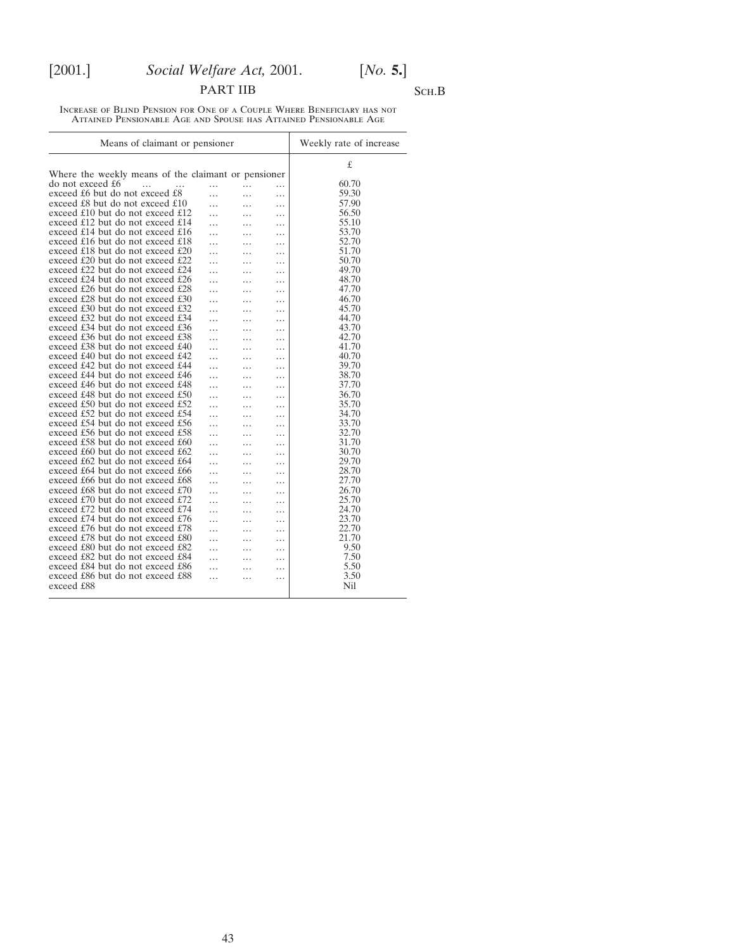# PART IIB SCH.B

Increase of Blind Pension for One of a Couple Where Beneficiary has not Attained Pensionable Age and Spouse has Attained Pensionable Age

| Means of claimant or pensioner                      | Weekly rate of increase |          |   |       |
|-----------------------------------------------------|-------------------------|----------|---|-------|
| Where the weekly means of the claimant or pensioner |                         |          |   | £     |
| do not exceed £6                                    |                         |          |   | 60.70 |
| $\cdots$<br>$\cdots$                                | .                       | $\cdots$ | . | 59.30 |
| exceed £6 but do not exceed £8                      | .                       | .        | . |       |
| exceed £8 but do not exceed £10                     | .                       | .        | . | 57.90 |
| exceed £10 but do not exceed £12                    |                         | .        | . | 56.50 |
| exceed £12 but do not exceed £14                    | .                       | .        | . | 55.10 |
| exceed £14 but do not exceed £16                    | .                       | .        | . | 53.70 |
| exceed £16 but do not exceed £18                    | .                       | .        | . | 52.70 |
| exceed £18 but do not exceed £20                    |                         | .        | . | 51.70 |
| exceed £20 but do not exceed £22                    | .                       | .        | . | 50.70 |
| exceed £22 but do not exceed £24                    | .                       | .        | . | 49.70 |
| exceed £24 but do not exceed £26                    | .                       | .        | . | 48.70 |
| exceed £26 but do not exceed £28                    | .                       | .        | . | 47.70 |
| exceed £28 but do not exceed £30                    |                         |          |   | 46.70 |
| exceed £30 but do not exceed £32                    | .                       | .        | . | 45.70 |
| exceed £32 but do not exceed £34                    | .                       | .        | . | 44.70 |
| exceed £34 but do not exceed £36                    | .                       | .        | . | 43.70 |
| exceed £36 but do not exceed £38                    | .                       | .        | . | 42.70 |
| exceed £38 but do not exceed £40                    |                         | .        | . | 41.70 |
| exceed £40 but do not exceed £42                    | .                       | .        | . | 40.70 |
| exceed £42 but do not exceed £44                    |                         |          |   | 39.70 |
| exceed £44 but do not exceed £46                    | .                       | .        | . | 38.70 |
| exceed £46 but do not exceed £48                    | .                       | .        | . | 37.70 |
| exceed £48 but do not exceed £50                    |                         | .        | . | 36.70 |
| exceed £50 but do not exceed £52                    |                         |          | . | 35.70 |
|                                                     |                         | .        | . |       |
| exceed £52 but do not exceed £54                    | .                       | .        | . | 34.70 |
| exceed £54 but do not exceed £56                    | .                       | .        | . | 33.70 |
| exceed £56 but do not exceed £58                    | .                       | .        | . | 32.70 |
| exceed £58 but do not exceed £60                    |                         | .        | . | 31.70 |
| exceed £60 but do not exceed £62                    | .                       | .        | . | 30.70 |
| exceed £62 but do not exceed £64                    | .                       | .        | . | 29.70 |
| exceed £64 but do not exceed £66                    | .                       | .        | . | 28.70 |
| exceed £66 but do not exceed £68                    |                         |          | . | 27.70 |
| exceed £68 but do not exceed £70                    |                         |          | . | 26.70 |
| exceed £70 but do not exceed £72                    | .                       | .        | . | 25.70 |
| exceed £72 but do not exceed £74                    | .                       | .        | . | 24.70 |
| exceed £74 but do not exceed £76                    | .                       | .        | . | 23.70 |
| exceed £76 but do not exceed £78                    | .                       | .        | . | 22.70 |
| exceed £78 but do not exceed £80                    |                         | .        | . | 21.70 |
| exceed £80 but do not exceed £82                    |                         |          |   | 9.50  |
| exceed £82 but do not exceed £84                    |                         | .        | . | 7.50  |
| exceed £84 but do not exceed £86                    | .                       | .        | . | 5.50  |
| exceed £86 but do not exceed £88                    | .                       | .        | . | 3.50  |
| exceed £88                                          | .                       | .        | . | Nil   |
|                                                     |                         |          |   |       |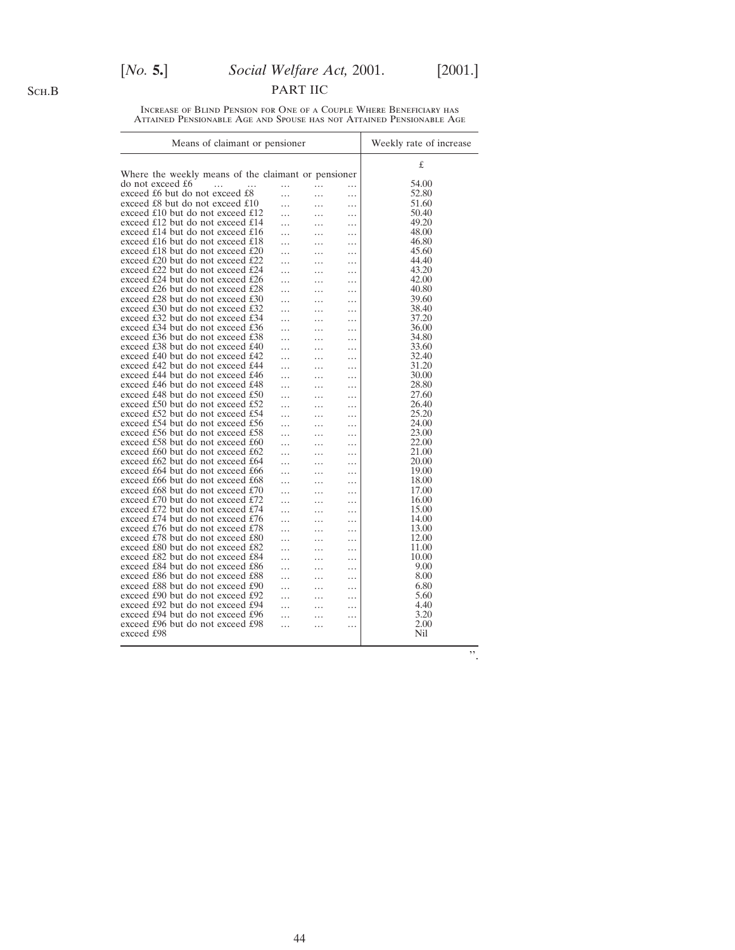# [*No.* **5.**] *Social Welfare Act,* 2001. [2001.]

PART IIC

Increase of Blind Pension for One of a Couple Where Beneficiary has Attained Pensionable Age and Spouse has not Attained Pensionable Age

| Means of claimant or pensioner                         | Weekly rate of increase |       |
|--------------------------------------------------------|-------------------------|-------|
| Where the weekly means of the claimant or pensioner    |                         | £     |
| do not exceed £6<br>$\dddotsc$<br>.<br>$\cdots$        | .                       | 54.00 |
| exceed £6 but do not exceed £8<br>$\cdots$<br>$\cdots$ | $\cdots$                | 52.80 |
| exceed £8 but do not exceed £10                        |                         | 51.60 |
| .<br>.<br>exceed £10 but do not exceed £12             | .                       | 50.40 |
| $\cdots$<br>.<br>exceed £12 but do not exceed £14      | .                       | 49.20 |
| .                                                      | .                       | 48.00 |
| exceed £14 but do not exceed £16<br>.<br>.             | .                       |       |
| exceed £16 but do not exceed £18<br>.<br>.             | .                       | 46.80 |
| exceed £18 but do not exceed £20<br>.<br>.             | $\cdots$                | 45.60 |
| exceed £20 but do not exceed £22<br>.<br>.             | .                       | 44.40 |
| exceed £22 but do not exceed £24<br>.<br>.             | .                       | 43.20 |
| exceed £24 but do not exceed £26<br>.<br>.             | .                       | 42.00 |
| exceed £26 but do not exceed £28<br>.<br>.             | .                       | 40.80 |
| exceed £28 but do not exceed £30<br>.<br>.             | .                       | 39.60 |
| exceed £30 but do not exceed £32<br>.<br>.             | .                       | 38.40 |
| exceed £32 but do not exceed £34<br>.<br>.             | .                       | 37.20 |
| exceed £34 but do not exceed £36<br>.<br>.             | .                       | 36.00 |
| exceed £36 but do not exceed £38<br>.<br>.             | .                       | 34.80 |
| exceed £38 but do not exceed £40<br>.                  | .                       | 33.60 |
| exceed £40 but do not exceed £42<br>.<br>.             | .                       | 32.40 |
| exceed £42 but do not exceed £44<br>.<br>.             | .                       | 31.20 |
| exceed £44 but do not exceed £46<br>.<br>.             | .                       | 30.00 |
| exceed £46 but do not exceed £48<br>.                  | .                       | 28.80 |
| exceed £48 but do not exceed £50<br>.<br>.             | .                       | 27.60 |
| exceed £50 but do not exceed £52                       |                         | 26.40 |
| $\ddotsc$<br>.<br>exceed £52 but do not exceed £54     | .                       | 25.20 |
| .<br>.<br>exceed £54 but do not exceed £56             | .                       | 24.00 |
| $\ddotsc$<br>.<br>exceed £56 but do not exceed £58     | .                       | 23.00 |
| .<br>.<br>exceed £58 but do not exceed £60             | .                       | 22.00 |
| .<br>.<br>exceed £60 but do not exceed £62             | .                       | 21.00 |
| .<br>.                                                 | .                       |       |
| exceed £62 but do not exceed £64<br>.<br>.             | .                       | 20.00 |
| exceed £64 but do not exceed £66<br>.<br>.             | .                       | 19.00 |
| exceed £66 but do not exceed £68<br>.<br>.             | .                       | 18.00 |
| exceed £68 but do not exceed $£70$<br>.<br>.           | .                       | 17.00 |
| exceed £70 but do not exceed £72<br>.<br>.             | .                       | 16.00 |
| exceed £72 but do not exceed £74<br>.                  | .                       | 15.00 |
| exceed £74 but do not exceed £76<br>.<br>.             | .                       | 14.00 |
| exceed £76 but do not exceed £78<br>.<br>.             | .                       | 13.00 |
| exceed £78 but do not exceed £80<br>.<br>.             | .                       | 12.00 |
| exceed £80 but do not exceed £82<br>.<br>.             | .                       | 11.00 |
| exceed £82 but do not exceed £84<br>.<br>.             | .                       | 10.00 |
| exceed £84 but do not exceed £86<br>.<br>.             | .                       | 9.00  |
| exceed £86 but do not exceed £88<br>.<br>.             | .                       | 8.00  |
| exceed £88 but do not exceed £90<br>.<br>.             | .                       | 6.80  |
| exceed £90 but do not exceed £92<br>.                  | .                       | 5.60  |
| exceed £92 but do not exceed £94<br>.<br>.             | .                       | 4.40  |
| exceed £94 but do not exceed £96<br>.<br>.             | .                       | 3.20  |
| exceed £96 but do not exceed £98                       |                         | 2.00  |
| .<br>.<br>exceed £98                                   | .                       | Nil   |
|                                                        |                         |       |

''.

Sch.B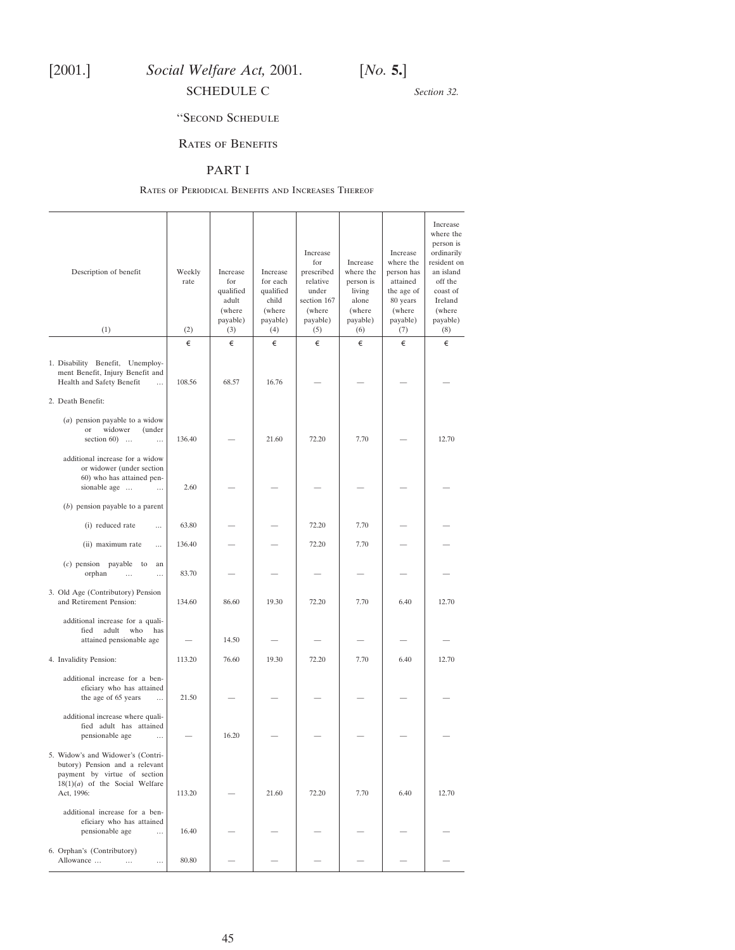<span id="page-44-0"></span>

*Section 32.*

# ''Second Schedule

# Rates of Benefits

## PART I

#### Rates of Periodical Benefits and Increases Thereof

| Description of benefit<br>(1)                                                                                                                         | Weekly<br>rate<br>(2) | Increase<br>for<br>qualified<br>adult<br>(where<br>payable)<br>(3) | Increase<br>for each<br>qualified<br>child<br>(where<br>payable)<br>(4) | Increase<br>for<br>prescribed<br>relative<br>under<br>section 167<br>(where<br>payable)<br>(5) | Increase<br>where the<br>person is<br>living<br>alone<br>(where<br>payable)<br>(6) | Increase<br>where the<br>person has<br>attained<br>the age of<br>80 years<br>(where<br>payable)<br>(7) | Increase<br>where the<br>person is<br>ordinarily<br>resident on<br>an island<br>off the<br>coast of<br>Ireland<br>(where<br>payable)<br>(8) |
|-------------------------------------------------------------------------------------------------------------------------------------------------------|-----------------------|--------------------------------------------------------------------|-------------------------------------------------------------------------|------------------------------------------------------------------------------------------------|------------------------------------------------------------------------------------|--------------------------------------------------------------------------------------------------------|---------------------------------------------------------------------------------------------------------------------------------------------|
|                                                                                                                                                       | €                     | €                                                                  | €                                                                       | €                                                                                              | €                                                                                  | €                                                                                                      | €                                                                                                                                           |
| 1. Disability Benefit, Unemploy-<br>ment Benefit, Injury Benefit and<br>Health and Safety Benefit<br>$\ldots$                                         | 108.56                | 68.57                                                              | 16.76                                                                   |                                                                                                |                                                                                    |                                                                                                        |                                                                                                                                             |
| 2. Death Benefit:                                                                                                                                     |                       |                                                                    |                                                                         |                                                                                                |                                                                                    |                                                                                                        |                                                                                                                                             |
| $(a)$ pension payable to a widow<br>widower<br>(under<br>or<br>section $60$ )<br>                                                                     | 136.40                |                                                                    | 21.60                                                                   | 72.20                                                                                          | 7.70                                                                               |                                                                                                        | 12.70                                                                                                                                       |
| additional increase for a widow<br>or widower (under section<br>60) who has attained pen-<br>sionable age<br>$\cdots$                                 | 2.60                  |                                                                    |                                                                         |                                                                                                |                                                                                    |                                                                                                        |                                                                                                                                             |
| $(b)$ pension payable to a parent                                                                                                                     |                       |                                                                    |                                                                         |                                                                                                |                                                                                    |                                                                                                        |                                                                                                                                             |
| (i) reduced rate<br>$\ddotsc$                                                                                                                         | 63.80                 |                                                                    |                                                                         | 72.20                                                                                          | 7.70                                                                               |                                                                                                        |                                                                                                                                             |
| (ii) maximum rate<br>$\ddotsc$                                                                                                                        | 136.40                |                                                                    |                                                                         | 72.20                                                                                          | 7.70                                                                               |                                                                                                        |                                                                                                                                             |
| $(c)$ pension payable<br>to<br>an<br>orphan<br>$\cdots$<br>$\cdots$                                                                                   | 83.70                 |                                                                    |                                                                         |                                                                                                |                                                                                    |                                                                                                        |                                                                                                                                             |
| 3. Old Age (Contributory) Pension<br>and Retirement Pension:                                                                                          | 134.60                | 86.60                                                              | 19.30                                                                   | 72.20                                                                                          | 7.70                                                                               | 6.40                                                                                                   | 12.70                                                                                                                                       |
| additional increase for a quali-<br>fied<br>adult<br>who<br>has<br>attained pensionable age                                                           |                       | 14.50                                                              |                                                                         |                                                                                                |                                                                                    |                                                                                                        |                                                                                                                                             |
| 4. Invalidity Pension:                                                                                                                                | 113.20                | 76.60                                                              | 19.30                                                                   | 72.20                                                                                          | 7.70                                                                               | 6.40                                                                                                   | 12.70                                                                                                                                       |
| additional increase for a ben-<br>eficiary who has attained<br>the age of 65 years<br>$\cdots$                                                        | 21.50                 |                                                                    |                                                                         |                                                                                                |                                                                                    |                                                                                                        |                                                                                                                                             |
| additional increase where quali-<br>fied adult has attained<br>pensionable age<br>$\ddotsc$                                                           |                       | 16.20                                                              |                                                                         |                                                                                                |                                                                                    |                                                                                                        |                                                                                                                                             |
| 5. Widow's and Widower's (Contri-<br>butory) Pension and a relevant<br>payment by virtue of section<br>$18(1)(a)$ of the Social Welfare<br>Act, 1996: | 113.20                |                                                                    | 21.60                                                                   | 72.20                                                                                          | 7.70                                                                               | 6.40                                                                                                   | 12.70                                                                                                                                       |
| additional increase for a ben-<br>eficiary who has attained<br>pensionable age<br>$\cdots$                                                            | 16.40                 |                                                                    |                                                                         |                                                                                                |                                                                                    |                                                                                                        |                                                                                                                                             |
| 6. Orphan's (Contributory)<br>Allowance<br>$\cdots$<br>$\cdots$                                                                                       | 80.80                 |                                                                    |                                                                         |                                                                                                |                                                                                    |                                                                                                        |                                                                                                                                             |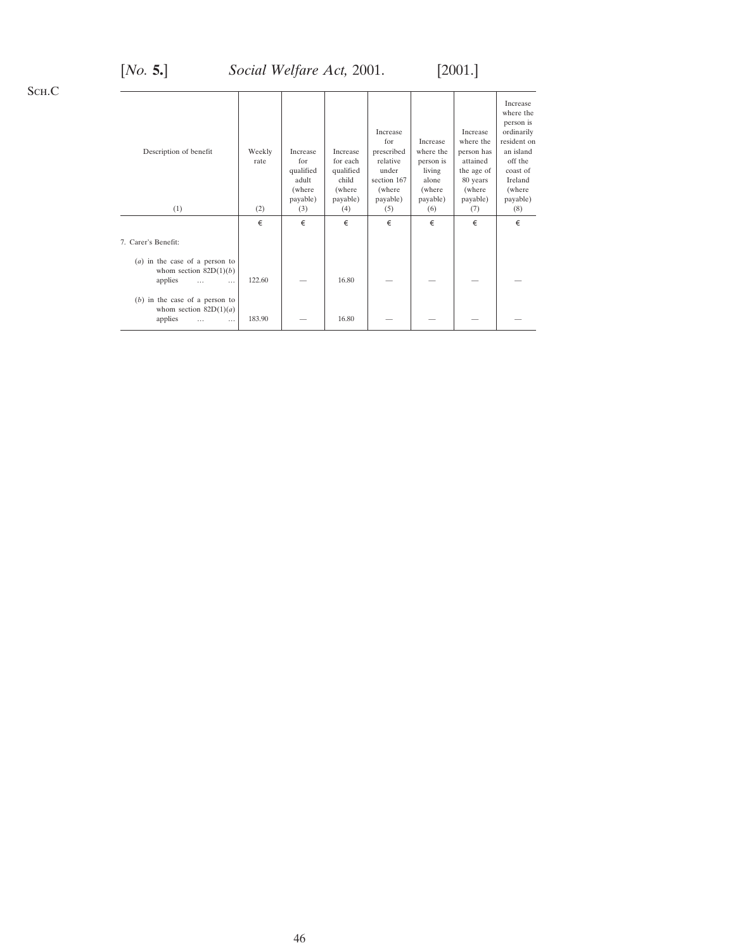# [*No.* **5.**] *Social Welfare Act,* 2001. [2001.]

Sch.C

| Description of benefit                                                                          | Weekly<br>rate | <b>Increase</b><br>for<br>qualified<br>adult<br>(where<br>payable) | Increase<br>for each<br>qualified<br>child<br>(where<br>payable) | Increase<br>for<br>prescribed<br>relative<br>under<br>section 167<br>(where<br>payable) | Increase<br>where the<br>person is<br>living<br>alone<br>(where)<br>payable) | Increase<br>where the<br>person has<br>attained<br>the age of<br>80 years<br>(where)<br>payable) | Increase<br>where the<br>person is<br>ordinarily<br>resident on<br>an island<br>off the<br>coast of<br>Ireland<br>(where)<br>payable) |
|-------------------------------------------------------------------------------------------------|----------------|--------------------------------------------------------------------|------------------------------------------------------------------|-----------------------------------------------------------------------------------------|------------------------------------------------------------------------------|--------------------------------------------------------------------------------------------------|---------------------------------------------------------------------------------------------------------------------------------------|
| (1)                                                                                             | (2)            | (3)                                                                | (4)                                                              | (5)                                                                                     | (6)                                                                          | (7)                                                                                              | (8)                                                                                                                                   |
|                                                                                                 | €              | €                                                                  | €                                                                | €                                                                                       | €                                                                            | €                                                                                                | €                                                                                                                                     |
| 7. Carer's Benefit:                                                                             |                |                                                                    |                                                                  |                                                                                         |                                                                              |                                                                                                  |                                                                                                                                       |
| $(a)$ in the case of a person to<br>whom section $82D(1)(b)$<br>applies<br>$\cdots$<br>$\cdots$ | 122.60         |                                                                    | 16.80                                                            |                                                                                         |                                                                              |                                                                                                  |                                                                                                                                       |
| $(b)$ in the case of a person to<br>whom section $82D(1)(a)$<br>applies<br>$\cdots$<br>$\cdots$ | 183.90         |                                                                    | 16.80                                                            |                                                                                         |                                                                              |                                                                                                  |                                                                                                                                       |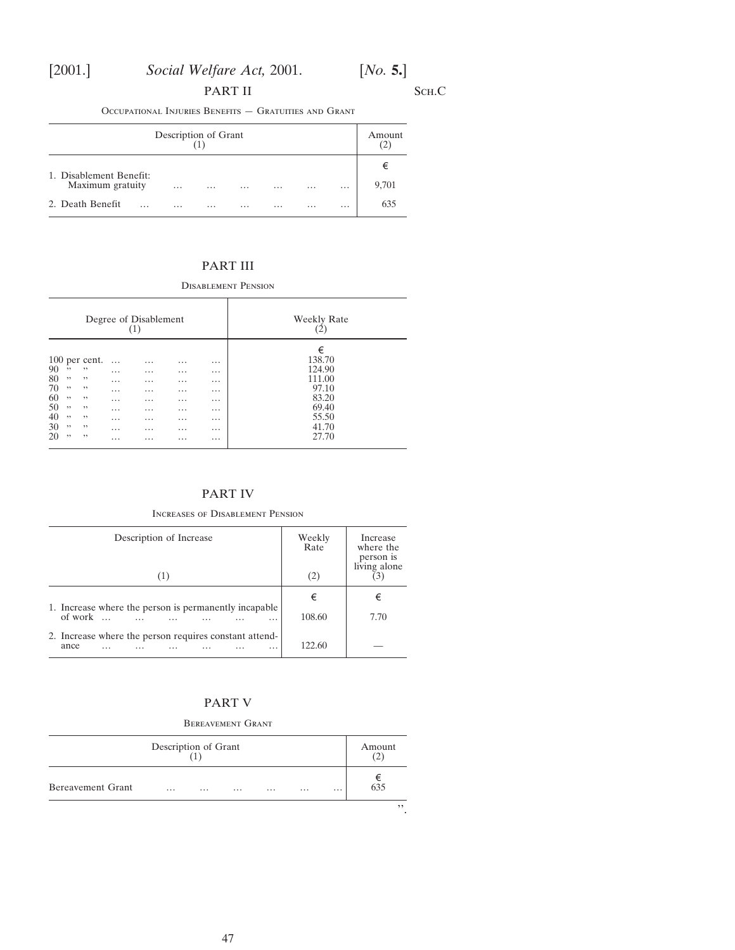# PART II SCH.C

Occupational Injuries Benefits — Gratuities and Grant

| Description of Grant                        |          |  |          |          |          |          |          |            |
|---------------------------------------------|----------|--|----------|----------|----------|----------|----------|------------|
| 1. Disablement Benefit:<br>Maximum gratuity | $\cdots$ |  | $\cdots$ | $\cdots$ | $\cdots$ | $\cdots$ | $\cdots$ | €<br>9,701 |
| 2. Death Benefit<br>.                       | $\cdots$ |  | $\cdots$ |          | $\cdots$ | $\cdots$ | $\cdots$ | 635        |

# PART III

Disablement Pension

| Degree of Disablement<br>(1)                                                                                                                                      |                                                                                                   |                                                                                                          |                                                                                                          | <b>Weekly Rate</b>                                                                                       |                                                                                       |
|-------------------------------------------------------------------------------------------------------------------------------------------------------------------|---------------------------------------------------------------------------------------------------|----------------------------------------------------------------------------------------------------------|----------------------------------------------------------------------------------------------------------|----------------------------------------------------------------------------------------------------------|---------------------------------------------------------------------------------------|
| $100$ per cent.<br>90<br>,,<br>,,<br>80<br>, ,<br>,,<br>70<br>,,<br>,,<br>60<br>,,<br>,,<br>50<br>, ,<br>,,<br>40<br>,,<br>,,<br>30<br>,,<br>,,<br>20<br>,,<br>,, | $\cdots$<br>$\cdots$<br>$\cdots$<br>$\cdots$<br>$\cdots$<br>$\cdots$<br>$\cdots$<br>$\cdots$<br>. | $\cdots$<br>$\cdots$<br>$\cdots$<br>$\cdots$<br>$\cdots$<br>$\cdots$<br>$\cdots$<br>$\cdots$<br>$\cdots$ | $\cdots$<br>$\cdots$<br>$\cdots$<br>$\cdots$<br>$\cdots$<br>$\cdots$<br>$\cdots$<br>$\cdots$<br>$\cdots$ | $\cdots$<br>$\cdots$<br>$\cdots$<br>$\cdots$<br>$\cdots$<br>$\cdots$<br>$\cdots$<br>$\cdots$<br>$\cdots$ | €<br>138.70<br>124.90<br>111.00<br>97.10<br>83.20<br>69.40<br>55.50<br>41.70<br>27.70 |

# PART IV

## Increases of Disablement Pension

| Description of Increase                                                                | Weekly<br>Rate<br>(2) | Increase<br>where the<br>person is<br>living alone |
|----------------------------------------------------------------------------------------|-----------------------|----------------------------------------------------|
|                                                                                        | €                     | €                                                  |
| 1. Increase where the person is permanently incapable.<br>of work $\ldots$<br>$\cdots$ | 108.60                | 7.70                                               |
| 2. Increase where the person requires constant attend-<br>ance<br>$\cdots$<br>$\cdots$ | 122.60                |                                                    |

# PART V

# Bereavement Grant

| Description of Grant |          |          |          |          |          |          | Amount          |
|----------------------|----------|----------|----------|----------|----------|----------|-----------------|
| Bereavement Grant    | $\cdots$ | $\cdots$ | $\cdots$ | $\cdots$ | $\cdots$ | $\cdots$ | $rac{€}{635}$   |
|                      |          |          |          |          |          |          | ,,<br>$\bullet$ |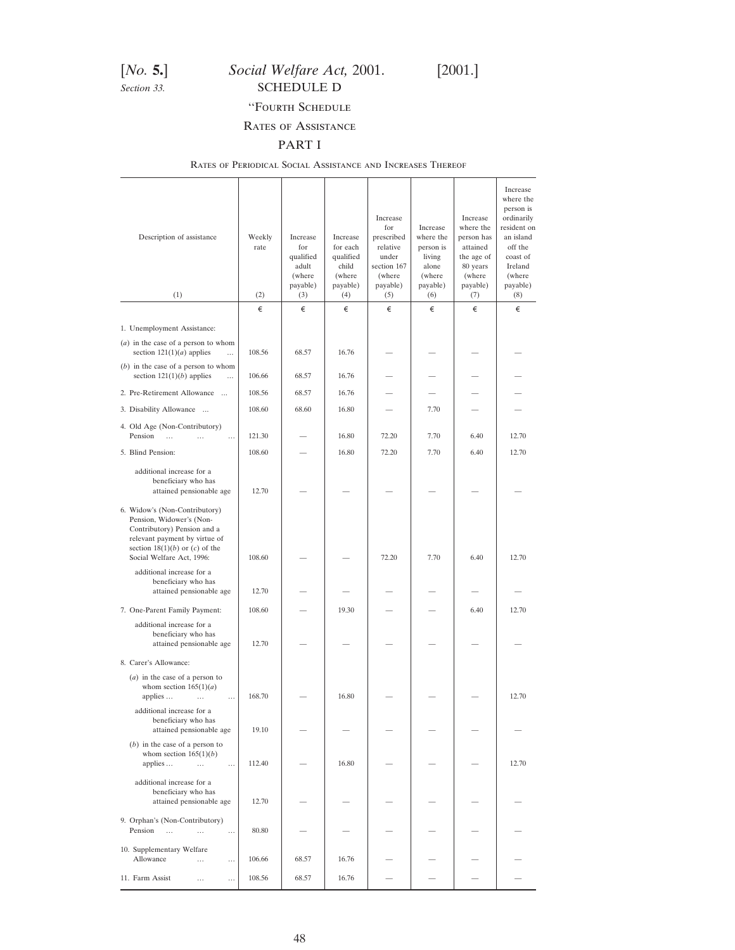# <span id="page-47-0"></span>[*No.* **5.**] *Social Welfare Act,* 2001. [2001.] **Section 33.** SCHEDULE D

# ''Fourth Schedule

# Rates of Assistance

# PART I

## Rates of Periodical Social Assistance and Increases Thereof

| Description of assistance                                                                                                                                                                    | Weekly<br>rate | Increase<br>for<br>qualified<br>adult<br>(where<br>payable) | Increase<br>for each<br>qualified<br>child<br>(where<br>payable) | Increase<br>for<br>prescribed<br>relative<br>under<br>section 167<br>(where<br>payable) | Increase<br>where the<br>person is<br>living<br>alone<br>(where<br>payable) | Increase<br>where the<br>person has<br>attained<br>the age of<br>80 years<br>(where<br>payable) | Increase<br>where the<br>person is<br>ordinarily<br>resident on<br>an island<br>off the<br>coast of<br>Ireland<br>(where<br>payable) |
|----------------------------------------------------------------------------------------------------------------------------------------------------------------------------------------------|----------------|-------------------------------------------------------------|------------------------------------------------------------------|-----------------------------------------------------------------------------------------|-----------------------------------------------------------------------------|-------------------------------------------------------------------------------------------------|--------------------------------------------------------------------------------------------------------------------------------------|
| (1)                                                                                                                                                                                          | (2)            | (3)                                                         | (4)                                                              | (5)                                                                                     | (6)                                                                         | (7)                                                                                             | (8)                                                                                                                                  |
| 1. Unemployment Assistance:                                                                                                                                                                  | €              | €                                                           | €                                                                | €                                                                                       | €                                                                           | €                                                                                               | €                                                                                                                                    |
| $(a)$ in the case of a person to whom<br>section $121(1)(a)$ applies<br>$\ddotsc$                                                                                                            | 108.56         | 68.57                                                       | 16.76                                                            |                                                                                         |                                                                             |                                                                                                 |                                                                                                                                      |
| $(b)$ in the case of a person to whom<br>section $121(1)(b)$ applies<br>$\ddotsc$                                                                                                            | 106.66         | 68.57                                                       | 16.76                                                            |                                                                                         |                                                                             |                                                                                                 |                                                                                                                                      |
| 2. Pre-Retirement Allowance                                                                                                                                                                  | 108.56         | 68.57                                                       | 16.76                                                            |                                                                                         |                                                                             |                                                                                                 |                                                                                                                                      |
| 3. Disability Allowance                                                                                                                                                                      | 108.60         | 68.60                                                       | 16.80                                                            |                                                                                         | 7.70                                                                        |                                                                                                 |                                                                                                                                      |
| 4. Old Age (Non-Contributory)<br>Pension<br>$\ddotsc$<br>$\cdots$<br>$\cdots$                                                                                                                | 121.30         |                                                             | 16.80                                                            | 72.20                                                                                   | 7.70                                                                        | 6.40                                                                                            | 12.70                                                                                                                                |
| 5. Blind Pension:                                                                                                                                                                            | 108.60         |                                                             | 16.80                                                            | 72.20                                                                                   | 7.70                                                                        | 6.40                                                                                            | 12.70                                                                                                                                |
| additional increase for a<br>beneficiary who has<br>attained pensionable age                                                                                                                 | 12.70          |                                                             |                                                                  |                                                                                         |                                                                             |                                                                                                 |                                                                                                                                      |
| 6. Widow's (Non-Contributory)<br>Pension, Widower's (Non-<br>Contributory) Pension and a<br>relevant payment by virtue of<br>section $18(1)(b)$ or $(c)$ of the<br>Social Welfare Act, 1996: | 108.60         |                                                             |                                                                  | 72.20                                                                                   | 7.70                                                                        | 6.40                                                                                            | 12.70                                                                                                                                |
| additional increase for a<br>beneficiary who has<br>attained pensionable age                                                                                                                 | 12.70          |                                                             |                                                                  |                                                                                         |                                                                             |                                                                                                 |                                                                                                                                      |
| 7. One-Parent Family Payment:                                                                                                                                                                | 108.60         |                                                             | 19.30                                                            |                                                                                         |                                                                             | 6.40                                                                                            | 12.70                                                                                                                                |
| additional increase for a<br>beneficiary who has<br>attained pensionable age                                                                                                                 | 12.70          |                                                             |                                                                  |                                                                                         |                                                                             |                                                                                                 |                                                                                                                                      |
| 8. Carer's Allowance:                                                                                                                                                                        |                |                                                             |                                                                  |                                                                                         |                                                                             |                                                                                                 |                                                                                                                                      |
| $(a)$ in the case of a person to<br>whom section $165(1)(a)$<br>applies<br>$\ddotsc$                                                                                                         | 168.70         |                                                             | 16.80                                                            |                                                                                         |                                                                             |                                                                                                 | 12.70                                                                                                                                |
| additional increase for a<br>beneficiary who has<br>attained pensionable age                                                                                                                 | 19.10          |                                                             |                                                                  |                                                                                         |                                                                             |                                                                                                 |                                                                                                                                      |
| $(b)$ in the case of a person to<br>whom section $165(1)(b)$<br>applies<br>$\ldots$<br>$\cdots$                                                                                              | 112.40         |                                                             | 16.80                                                            |                                                                                         |                                                                             |                                                                                                 | 12.70                                                                                                                                |
| additional increase for a<br>beneficiary who has<br>attained pensionable age                                                                                                                 | 12.70          |                                                             |                                                                  |                                                                                         |                                                                             |                                                                                                 |                                                                                                                                      |
| 9. Orphan's (Non-Contributory)<br>Pension<br>$\cdots$<br>$\cdots$<br>$\cdots$                                                                                                                | 80.80          |                                                             |                                                                  |                                                                                         |                                                                             |                                                                                                 |                                                                                                                                      |
| 10. Supplementary Welfare<br>Allowance<br>$\cdots$<br>$\cdots$                                                                                                                               | 106.66         | 68.57                                                       | 16.76                                                            |                                                                                         |                                                                             |                                                                                                 |                                                                                                                                      |
| 11. Farm Assist<br>.<br>$\cdots$                                                                                                                                                             | 108.56         | 68.57                                                       | 16.76                                                            |                                                                                         |                                                                             |                                                                                                 |                                                                                                                                      |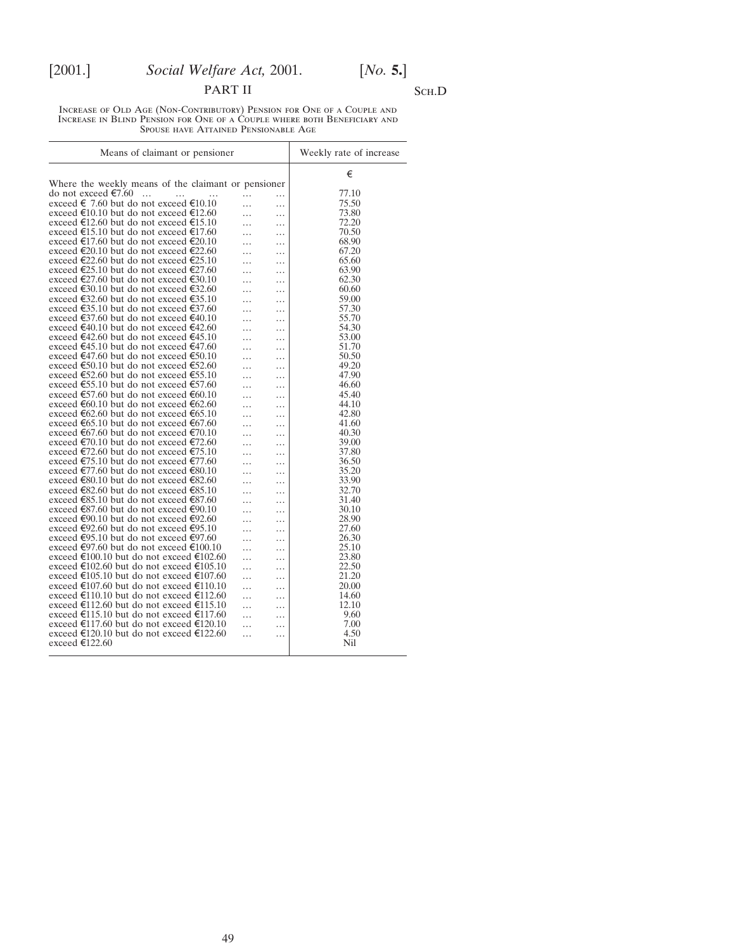# PART II SCH.D

Increase of Old Age (Non-Contributory) Pension for One of a Couple and Increase in Blind Pension for One of a Couple where both Beneficiary and Spouse have Attained Pensionable Age

| Means of claimant or pensioner                      |          | Weekly rate of increase |
|-----------------------------------------------------|----------|-------------------------|
|                                                     |          | €                       |
| Where the weekly means of the claimant or pensioner |          |                         |
| do not exceed €7.60<br>$\dddotsc$<br>.<br>.         | .<br>.   | 77.10                   |
| exceed € 7.60 but do not exceed €10.10              | $\cdots$ | 75.50                   |
| exceed €10.10 but do not exceed €12.60              | .<br>.   | 73.80                   |
| exceed €12.60 but do not exceed €15.10              | .<br>.   | 72.20                   |
| exceed €15.10 but do not exceed €17.60              | .<br>.   | 70.50                   |
| exceed €17.60 but do not exceed €20.10              | .<br>.   | 68.90                   |
| exceed €20.10 but do not exceed €22.60              | .<br>.   | 67.20                   |
| exceed €22.60 but do not exceed €25.10              | .<br>.   | 65.60                   |
| exceed €25.10 but do not exceed €27.60              | .<br>.   | 63.90                   |
| exceed €27.60 but do not exceed €30.10              | .<br>.   | 62.30                   |
| exceed €30.10 but do not exceed €32.60              | .<br>.   | 60.60                   |
| exceed €32.60 but do not exceed €35.10              | .<br>.   | 59.00                   |
| exceed €35.10 but do not exceed €37.60              | .<br>.   | 57.30                   |
| exceed €37.60 but do not exceed €40.10              | .<br>.   | 55.70                   |
| exceed €40.10 but do not exceed €42.60              | .<br>.   | 54.30                   |
| exceed €42.60 but do not exceed €45.10              | .<br>.   | 53.00                   |
| exceed €45.10 but do not exceed €47.60              | .<br>.   | 51.70                   |
| exceed €47.60 but do not exceed €50.10              | .<br>.   | 50.50                   |
| exceed €50.10 but do not exceed €52.60              | .        | 49.20                   |
| exceed €52.60 but do not exceed €55.10              | .<br>.   | 47.90                   |
| exceed €55.10 but do not exceed €57.60              | .<br>.   | 46.60                   |
| exceed €57.60 but do not exceed €60.10              | .<br>.   | 45.40                   |
| exceed €60.10 but do not exceed €62.60              | .<br>.   | 44.10                   |
| exceed €62.60 but do not exceed €65.10              | .        | 42.80                   |
| exceed €65.10 but do not exceed €67.60              | .<br>.   | 41.60                   |
| exceed €67.60 but do not exceed €70.10              | .<br>.   | 40.30                   |
| exceed €70.10 but do not exceed €72.60              | .<br>.   | 39.00                   |
| exceed €72.60 but do not exceed €75.10              | .<br>.   | 37.80                   |
| exceed €75.10 but do not exceed €77.60              | .<br>.   | 36.50                   |
| exceed €77.60 but do not exceed €80.10              | .<br>.   | 35.20                   |
| exceed €80.10 but do not exceed €82.60              | .<br>.   | 33.90                   |
| exceed €82.60 but do not exceed €85.10              | .<br>.   | 32.70                   |
| exceed €85.10 but do not exceed €87.60              | .<br>.   | 31.40                   |
| exceed €87.60 but do not exceed €90.10              | .<br>.   | 30.10                   |
| exceed €90.10 but do not exceed €92.60              | .<br>.   | 28.90                   |
| exceed €92.60 but do not exceed €95.10              | .<br>.   | 27.60                   |
| exceed €95.10 but do not exceed €97.60              | .<br>.   | 26.30                   |
| exceed €97.60 but do not exceed €100.10             | .<br>.   | 25.10                   |
| exceed €100.10 but do not exceed €102.60            | .<br>.   | 23.80                   |
| exceed €102.60 but do not exceed €105.10            | .<br>.   | 22.50                   |
| exceed €105.10 but do not exceed €107.60            | .<br>.   | 21.20                   |
| exceed €107.60 but do not exceed €110.10            | .<br>.   | 20.00                   |
| exceed €110.10 but do not exceed €112.60            | .<br>.   | 14.60                   |
| exceed €112.60 but do not exceed €115.10            | .<br>.   | 12.10                   |
| exceed €115.10 but do not exceed €117.60            | .<br>.   | 9.60                    |
| exceed €117.60 but do not exceed €120.10            | .        | 7.00                    |
| exceed €120.10 but do not exceed €122.60            | .<br>.   | 4.50                    |
| exceed €122.60                                      |          | Nil                     |
|                                                     |          |                         |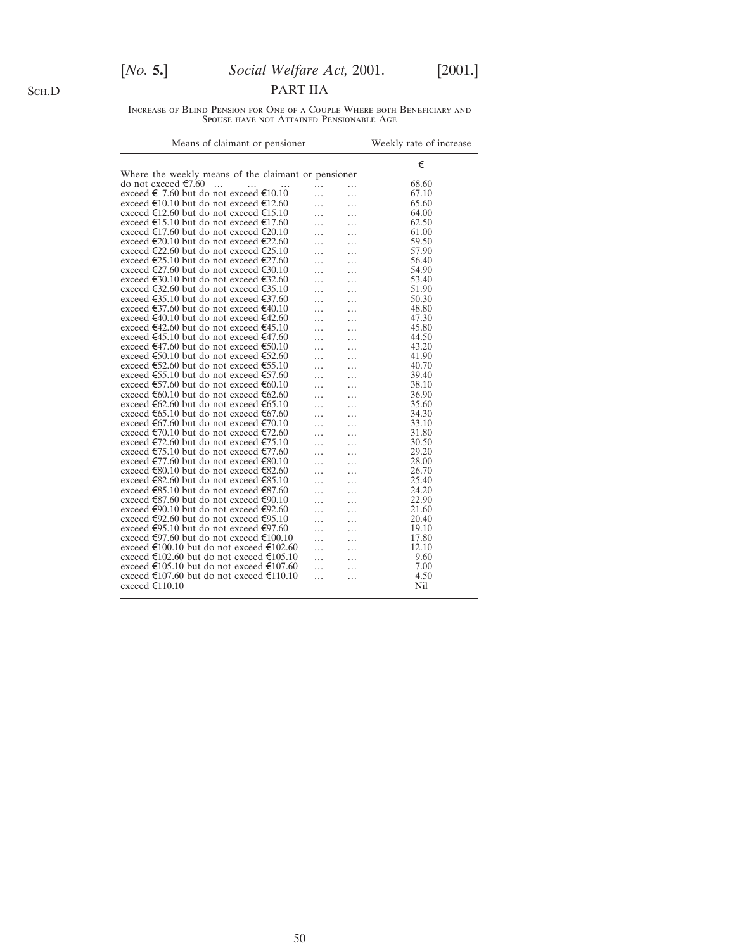# [*No.* **5.**] *Social Welfare Act,* 2001. [2001.]

PART IIA

Increase of Blind Pension for One of a Couple Where both Beneficiary and Spouse have not Attained Pensionable Age

| Means of claimant or pensioner                                                              | Weekly rate of increase |
|---------------------------------------------------------------------------------------------|-------------------------|
|                                                                                             | €                       |
| Where the weekly means of the claimant or pensioner                                         |                         |
| do not exceed €7.60<br>$\dddotsc$<br>.<br>$\cdots$                                          | 68.60                   |
| exceed € 7.60 but do not exceed €10.10<br>.<br>$\cdots$                                     | 67.10                   |
| exceed €10.10 but do not exceed €12.60<br>.<br>.                                            | 65.60                   |
| exceed €12.60 but do not exceed €15.10<br>.                                                 | 64.00                   |
| exceed €15.10 but do not exceed €17.60<br>.                                                 | 62.50                   |
| exceed €17.60 but do not exceed €20.10<br>.                                                 | 61.00                   |
| exceed €20.10 but do not exceed €22.60<br>.                                                 | 59.50                   |
| exceed €22.60 but do not exceed €25.10<br>.<br>.                                            | 57.90                   |
| exceed €25.10 but do not exceed €27.60<br>.<br>.                                            | 56.40                   |
| exceed €27.60 but do not exceed €30.10<br>.<br>$\cdots$                                     | 54.90                   |
| exceed €30.10 but do not exceed €32.60<br>.<br>.                                            | 53.40                   |
| exceed €32.60 but do not exceed €35.10<br>.<br>.                                            | 51.90                   |
| exceed €35.10 but do not exceed €37.60<br>.                                                 | 50.30                   |
| exceed €37.60 but do not exceed €40.10<br>.<br>.                                            | 48.80                   |
| exceed €40.10 but do not exceed €42.60<br>.                                                 | 47.30                   |
| .<br>exceed €42.60 but do not exceed €45.10                                                 | 45.80                   |
| .<br>.<br>exceed €45.10 but do not exceed €47.60<br>.                                       | 44.50                   |
| .<br>exceed €47.60 but do not exceed €50.10                                                 | 43.20                   |
| .<br>.<br>exceed €50.10 but do not exceed €52.60                                            | 41.90                   |
| .<br>exceed €52.60 but do not exceed €55.10                                                 | 40.70                   |
| .<br>exceed €55.10 but do not exceed €57.60                                                 | 39.40                   |
| .<br>.<br>exceed €57.60 but do not exceed €60.10                                            | 38.10                   |
| .<br>.<br>exceed €60.10 but do not exceed €62.60                                            | 36.90                   |
| .<br>.<br>exceed €62.60 but do not exceed €65.10                                            | 35.60                   |
| .<br>.<br>exceed €65.10 but do not exceed €67.60                                            | 34.30                   |
| .<br>.<br>exceed €67.60 but do not exceed €70.10                                            | 33.10                   |
| .<br>.<br>exceed €70.10 but do not exceed €72.60                                            | 31.80                   |
| .<br>.<br>exceed €72.60 but do not exceed €75.10                                            | 30.50                   |
| .<br>.<br>exceed €75.10 but do not exceed €77.60                                            | 29.20                   |
| .<br>.<br>exceed €77.60 but do not exceed €80.10                                            | 28.00                   |
| .<br>.<br>exceed €80.10 but do not exceed €82.60                                            | 26.70                   |
| .<br>.<br>exceed €82.60 but do not exceed €85.10                                            | 25.40                   |
| .<br>.<br>exceed €85.10 but do not exceed €87.60                                            | 24.20                   |
| .<br>exceed €87.60 but do not exceed €90.10                                                 | 22.90                   |
| .<br>exceed €90.10 but do not exceed €92.60                                                 | 21.60                   |
| .                                                                                           |                         |
| exceed €92.60 but do not exceed €95.10<br>.<br>.                                            | 20.40                   |
| exceed €95.10 but do not exceed €97.60<br>.<br>.<br>exceed €97.60 but do not exceed €100.10 | 19.10                   |
| $\cdots$<br>.                                                                               | 17.80                   |
| exceed €100.10 but do not exceed €102.60<br>.<br>.                                          | 12.10                   |
| exceed €102.60 but do not exceed €105.10<br>.<br>.                                          | 9.60                    |
| exceed €105.10 but do not exceed €107.60<br>.<br>.                                          | 7.00                    |
| exceed €107.60 but do not exceed €110.10<br>.<br>.<br>exceed €110.10                        | 4.50<br>Nil             |
|                                                                                             |                         |

Sch.D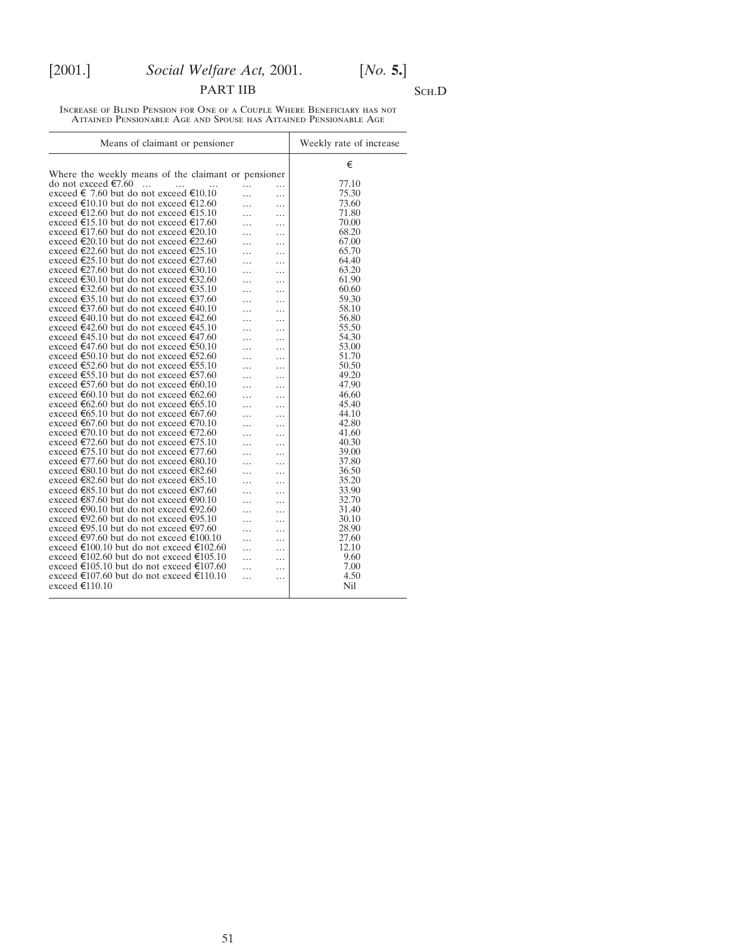# PART IIB SCH.D

Increase of Blind Pension for One of a Couple Where Beneficiary has not Attained Pensionable Age and Spouse has Attained Pensionable Age

| Means of claimant or pensioner                      |   |   | Weekly rate of increase |  |
|-----------------------------------------------------|---|---|-------------------------|--|
|                                                     |   |   | €                       |  |
| Where the weekly means of the claimant or pensioner |   |   |                         |  |
| do not exceed €7.60<br>$\overline{\phantom{a}}$     | . | . | 77.10                   |  |
| exceed € 7.60 but do not exceed €10.10              |   | . | 75.30                   |  |
| exceed €10.10 but do not exceed €12.60              |   | . | 73.60                   |  |
| exceed €12.60 but do not exceed €15.10              | . | . | 71.80                   |  |
| exceed €15.10 but do not exceed €17.60              | . | . | 70.00                   |  |
| exceed €17.60 but do not exceed €20.10              |   | . | 68.20                   |  |
| exceed €20.10 but do not exceed €22.60              |   | . | 67.00                   |  |
| exceed €22.60 but do not exceed €25.10              |   | . | 65.70                   |  |
| exceed €25.10 but do not exceed €27.60              | . | . | 64.40                   |  |
| exceed €27.60 but do not exceed €30.10              |   | . | 63.20                   |  |
| exceed €30.10 but do not exceed €32.60              |   | . | 61.90                   |  |
| exceed €32.60 but do not exceed €35.10              |   | . | 60.60                   |  |
| exceed €35.10 but do not exceed €37.60              | . | . | 59.30                   |  |
| exceed €37.60 but do not exceed €40.10              | . | . | 58.10                   |  |
| exceed €40.10 but do not exceed €42.60              | . | . | 56.80                   |  |
| exceed €42.60 but do not exceed €45.10              |   | . | 55.50                   |  |
| exceed €45.10 but do not exceed €47.60              | . | . | 54.30                   |  |
| exceed €47.60 but do not exceed €50.10              | . | . | 53.00                   |  |
| exceed €50.10 but do not exceed €52.60              | . | . | 51.70                   |  |
| exceed €52.60 but do not exceed €55.10              |   | . | 50.50                   |  |
| exceed €55.10 but do not exceed €57.60              |   | . | 49.20                   |  |
| exceed €57.60 but do not exceed €60.10              |   | . | 47.90                   |  |
| exceed €60.10 but do not exceed €62.60              | . | . | 46.60                   |  |
| exceed €62.60 but do not exceed €65.10              | . | . | 45.40                   |  |
| exceed €65.10 but do not exceed €67.60              |   | . | 44.10                   |  |
| exceed €67.60 but do not exceed €70.10              |   | . | 42.80                   |  |
| exceed €70.10 but do not exceed €72.60              |   | . | 41.60                   |  |
| exceed €72.60 but do not exceed €75.10              | . | . | 40.30                   |  |
| exceed €75.10 but do not exceed €77.60              | . | . | 39.00                   |  |
| exceed €77.60 but do not exceed €80.10              |   | . | 37.80                   |  |
| exceed €80.10 but do not exceed €82.60              |   | . | 36.50                   |  |
| exceed €82.60 but do not exceed €85.10              | . | . | 35.20                   |  |
| exceed €85.10 but do not exceed €87.60              | . | . | 33.90                   |  |
| exceed €87.60 but do not exceed €90.10              | . | . | 32.70                   |  |
| exceed €90.10 but do not exceed €92.60              | . | . | 31.40                   |  |
| exceed €92.60 but do not exceed €95.10              | . | . | 30.10                   |  |
| exceed €95.10 but do not exceed €97.60              | . | . | 28.90                   |  |
| exceed €97.60 but do not exceed €100.10             | . | . | 27.60                   |  |
| exceed €100.10 but do not exceed €102.60            | . | . | 12.10                   |  |
| exceed €102.60 but do not exceed €105.10            |   | . | 9.60                    |  |
| exceed €105.10 but do not exceed €107.60            | . | . | 7.00                    |  |
| exceed €107.60 but do not exceed €110.10            |   | . | 4.50                    |  |
| exceed €110.10                                      |   |   | Nil                     |  |
|                                                     |   |   |                         |  |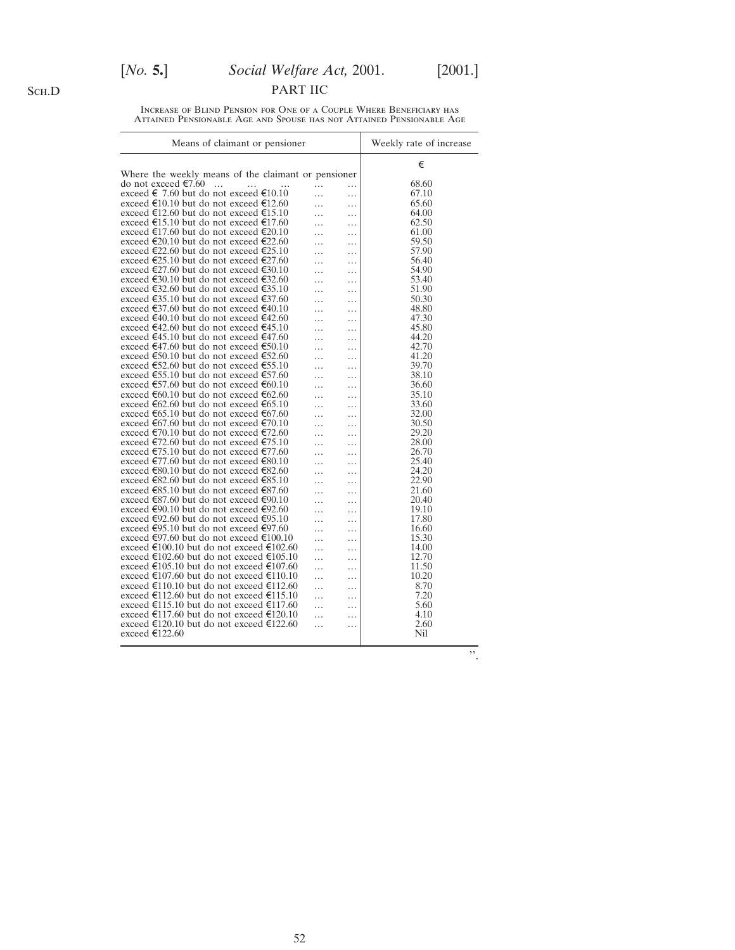# [*No.* **5.**] *Social Welfare Act,* 2001. [2001.]

PART IIC

Increase of Blind Pension for One of a Couple Where Beneficiary has Attained Pensionable Age and Spouse has not Attained Pensionable Age

| Means of claimant or pensioner                      |                 | Weekly rate of increase |       |
|-----------------------------------------------------|-----------------|-------------------------|-------|
|                                                     |                 |                         | €     |
| Where the weekly means of the claimant or pensioner |                 |                         |       |
| do not exceed €7.60<br>$\dddotsc$<br>$\cdots$       | .               | .                       | 68.60 |
| exceed € 7.60 but do not exceed €10.10              | .               | $\cdots$                | 67.10 |
| exceed €10.10 but do not exceed €12.60              | .               | .                       | 65.60 |
| exceed €12.60 but do not exceed €15.10              | .               | .                       | 64.00 |
| exceed €15.10 but do not exceed €17.60              | .               | .                       | 62.50 |
| exceed €17.60 but do not exceed €20.10              |                 | .                       | 61.00 |
| exceed €20.10 but do not exceed €22.60              | .               | .                       | 59.50 |
| exceed €22.60 but do not exceed €25.10              | .               | .                       | 57.90 |
| exceed €25.10 but do not exceed €27.60              | .               | .                       | 56.40 |
| exceed €27.60 but do not exceed €30.10              | .               | .                       | 54.90 |
| exceed €30.10 but do not exceed €32.60              | .               | .                       | 53.40 |
| exceed €32.60 but do not exceed €35.10              | .               | .                       | 51.90 |
| exceed €35.10 but do not exceed €37.60              |                 | .                       | 50.30 |
| exceed €37.60 but do not exceed €40.10              | .               | .                       | 48.80 |
| exceed €40.10 but do not exceed €42.60              | .               | .                       | 47.30 |
| exceed €42.60 but do not exceed €45.10              | .               | .                       | 45.80 |
| exceed €45.10 but do not exceed €47.60              | .               | .                       | 44.20 |
| exceed €47.60 but do not exceed €50.10              | .               | .                       | 42.70 |
| exceed €50.10 but do not exceed €52.60              | .               | .                       | 41.20 |
| exceed €52.60 but do not exceed €55.10              |                 |                         | 39.70 |
| exceed €55.10 but do not exceed €57.60              | .               | .                       | 38.10 |
| exceed €57.60 but do not exceed €60.10              | .               | .                       | 36.60 |
| exceed €60.10 but do not exceed €62.60              | .               | .                       | 35.10 |
| exceed €62.60 but do not exceed €65.10              | .               | .                       | 33.60 |
| exceed €65.10 but do not exceed €67.60              | .               | .                       | 32.00 |
| exceed €67.60 but do not exceed €70.10              | .               | .                       | 30.50 |
|                                                     | .               | .                       | 29.20 |
| exceed €70.10 but do not exceed €72.60              |                 | .                       |       |
| exceed €72.60 but do not exceed €75.10              | .               | .                       | 28.00 |
| exceed €75.10 but do not exceed €77.60              | .               | .                       | 26.70 |
| exceed €77.60 but do not exceed €80.10              | .               | .                       | 25.40 |
| exceed €80.10 but do not exceed €82.60              | .               | .                       | 24.20 |
| exceed €82.60 but do not exceed €85.10              | .               | .                       | 22.90 |
| exceed €85.10 but do not exceed €87.60              | .               | .                       | 21.60 |
| exceed €87.60 but do not exceed €90.10              |                 | .                       | 20.40 |
| exceed €90.10 but do not exceed €92.60              | .               | .                       | 19.10 |
| exceed €92.60 but do not exceed €95.10              | .               | .                       | 17.80 |
| exceed €95.10 but do not exceed €97.60              | .               | .                       | 16.60 |
| exceed €97.60 but do not exceed €100.10             | $\cdot$ $\cdot$ | .                       | 15.30 |
| exceed €100.10 but do not exceed €102.60            | .               | .                       | 14.00 |
| exceed €102.60 but do not exceed €105.10            | .               | .                       | 12.70 |
| exceed €105.10 but do not exceed €107.60            |                 | .                       | 11.50 |
| exceed €107.60 but do not exceed €110.10            | $\cdots$        | .                       | 10.20 |
| exceed €110.10 but do not exceed €112.60            | .               | .                       | 8.70  |
| exceed €112.60 but do not exceed €115.10            | .               | .                       | 7.20  |
| exceed €115.10 but do not exceed €117.60            | $\cdots$        | .                       | 5.60  |
| exceed €117.60 but do not exceed €120.10            | .               | .                       | 4.10  |
| exceed €120.10 but do not exceed €122.60            | .               | .                       | 2.60  |
| exceed €122.60                                      |                 |                         | Nil   |
|                                                     |                 |                         |       |
|                                                     |                 |                         | ,,    |

Sch.D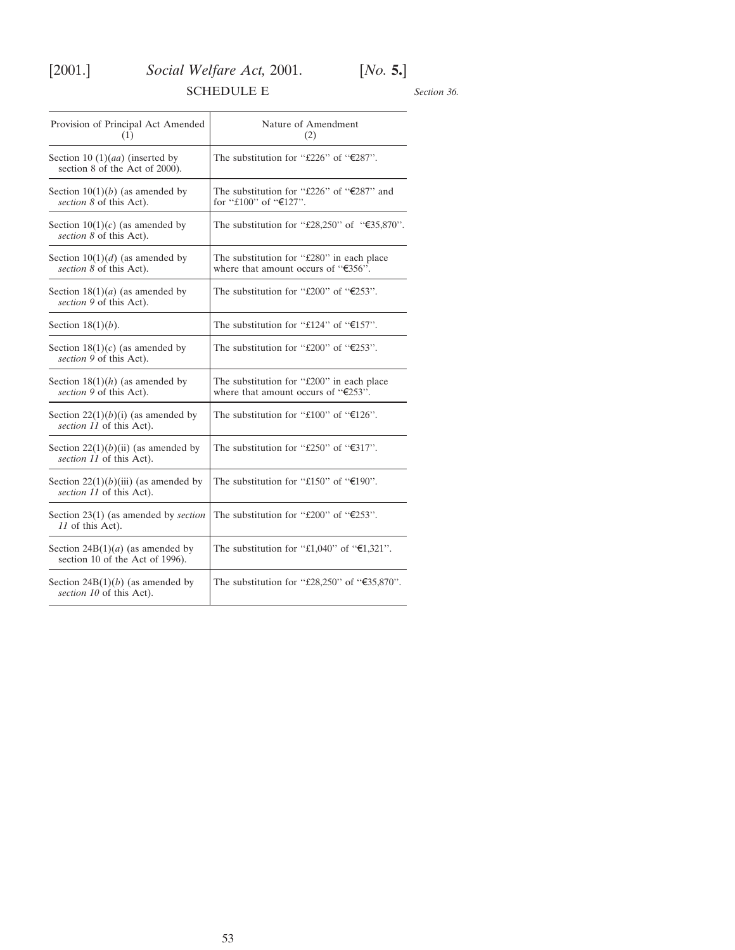<span id="page-52-0"></span>

# SCHEDULE E

*Section 36.*

| Provision of Principal Act Amended<br>(1)                             | Nature of Amendment<br>(2)                                                           |  |  |
|-----------------------------------------------------------------------|--------------------------------------------------------------------------------------|--|--|
| Section 10 $(1)(aa)$ (inserted by<br>section 8 of the Act of 2000).   | The substitution for "£226" of " $E$ 287".                                           |  |  |
| Section $10(1)(b)$ (as amended by<br>section 8 of this Act).          | The substitution for "£226" of " $E$ 287" and<br>for "£100" of "€127".               |  |  |
| Section $10(1)(c)$ (as amended by<br>section 8 of this Act).          | The substitution for "£28,250" of "€35,870".                                         |  |  |
| Section $10(1)(d)$ (as amended by<br>section 8 of this Act).          | The substitution for "£280" in each place<br>where that amount occurs of " $E356$ ". |  |  |
| Section $18(1)(a)$ (as amended by<br>section 9 of this Act).          | The substitution for "£200" of " $E$ 253".                                           |  |  |
| Section $18(1)(b)$ .                                                  | The substitution for "£124" of " $€157$ ".                                           |  |  |
| Section $18(1)(c)$ (as amended by<br>section 9 of this Act).          | The substitution for "£200" of " $E253$ ".                                           |  |  |
| Section $18(1)(h)$ (as amended by<br>section 9 of this Act).          | The substitution for "£200" in each place<br>where that amount occurs of " $E253$ ". |  |  |
| Section $22(1)(b)(i)$ (as amended by<br>section 11 of this Act).      | The substitution for "£100" of " $E$ 126".                                           |  |  |
| Section 22(1)(b)(ii) (as amended by<br>section 11 of this Act).       | The substitution for "£250" of " $\epsilon$ 317".                                    |  |  |
| Section $22(1)(b)(iii)$ (as amended by<br>section 11 of this Act).    | The substitution for "£150" of " $E$ 190".                                           |  |  |
| Section $23(1)$ (as amended by <i>section</i><br>11 of this Act).     | The substitution for "£200" of " $E$ 253".                                           |  |  |
| Section $24B(1)(a)$ (as amended by<br>section 10 of the Act of 1996). | The substitution for "£1,040" of " $\epsilon$ 1,321".                                |  |  |
| Section $24B(1)(b)$ (as amended by<br>section 10 of this Act).        | The substitution for "£28,250" of " $\epsilon$ 35,870".                              |  |  |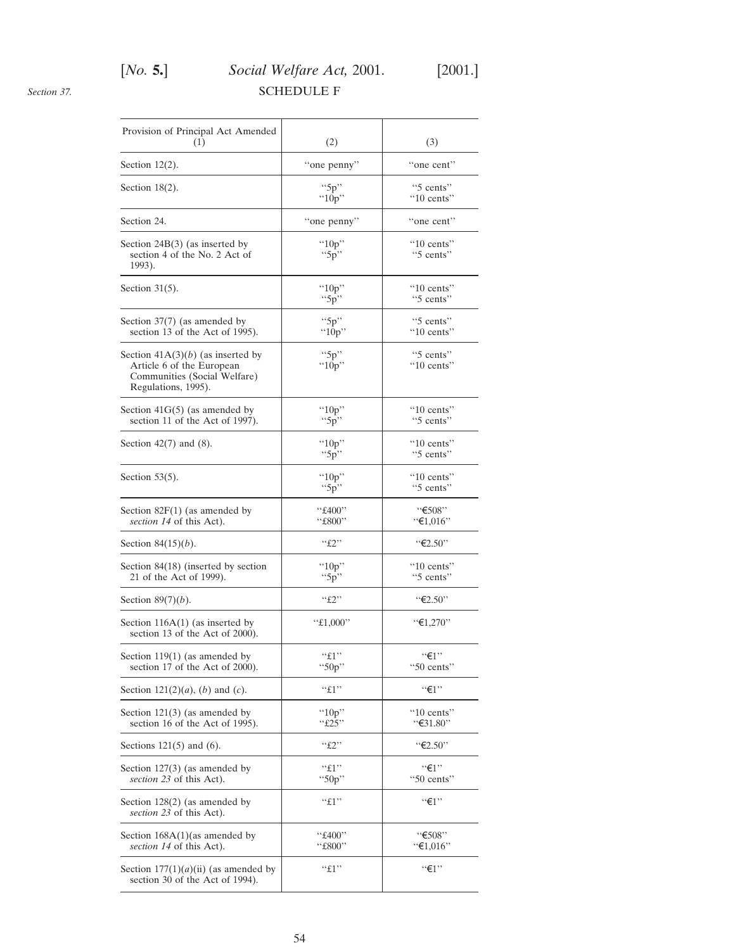# [*No.* **5.**] *Social Welfare Act,* 2001. [2001.] SCHEDULE F

<span id="page-53-0"></span>*Section 37.*

| Provision of Principal Act Amended<br>(1)                                                                               | (2)                   | (3)                               |
|-------------------------------------------------------------------------------------------------------------------------|-----------------------|-----------------------------------|
| Section $12(2)$ .                                                                                                       | "one penny"           | "one cent"                        |
| Section $18(2)$ .                                                                                                       | " $5p$ "<br>" $10p$ " | "5 cents"<br>$"10$ cents"         |
| Section 24.                                                                                                             | "one penny"           | "one cent"                        |
| Section 24B(3) (as inserted by<br>section 4 of the No. 2 Act of<br>1993).                                               | " $10p$ "<br>" $5p$ " | $"10 \text{ cents}"$<br>"5 cents" |
| Section $31(5)$ .                                                                                                       | " $10p$ "<br>" $5p$ " | $"10 \text{ cents}"$<br>"5 cents" |
| Section $37(7)$ (as amended by<br>section 13 of the Act of 1995).                                                       | "5 $p$ "<br>" $10p$ " | "5 cents"<br>$"10$ cents"         |
| Section $41A(3)(b)$ (as inserted by<br>Article 6 of the European<br>Communities (Social Welfare)<br>Regulations, 1995). | " $5p$ "<br>" $10p$ " | "5 cents"<br>$"10$ cents"         |
| Section $41G(5)$ (as amended by<br>section 11 of the Act of 1997).                                                      | " $10p$ "<br>``5p"    | $"10 \text{ cents}"$<br>"5 cents" |
| Section $42(7)$ and $(8)$ .                                                                                             | " $10p$ "<br>" $5p$ " | "10 cents"<br>"5 cents"           |
| Section $53(5)$ .                                                                                                       | " $10p$ "<br>``5p"    | $"10 \text{ cents}"$<br>"5 cents" |
| Section $82F(1)$ (as amended by<br>section 14 of this Act).                                                             | "£400"<br>"£800"      | "€508"<br>"€1,016"                |
| Section $84(15)(b)$ .                                                                                                   | ``f2"                 | $``\epsilon$ 2.50"                |
| Section 84(18) (inserted by section<br>21 of the Act of 1999).                                                          | " $10p$ "<br>" $5p$ " | $"10 \text{ cents}"$<br>"5 cents" |
| Section $89(7)(b)$ .                                                                                                    | ``£2"                 | "€2.50"                           |
| Section $116A(1)$ (as inserted by<br>section 13 of the Act of 2000).                                                    | " $£1,000"$           | "€1,270"                          |
| Section $119(1)$ (as amended by<br>section 17 of the Act of 2000).                                                      | ``f1"<br>"50p"        | $``\in 1"$<br>"50 cents"          |
| Section $121(2)(a)$ , (b) and (c).                                                                                      | ``f1"                 | $``\in 1"$                        |
| Section $121(3)$ (as amended by<br>section 16 of the Act of 1995).                                                      | " $10p$ "<br>``£25"   | "10 cents"<br>"€31.80"            |
| Sections $121(5)$ and $(6)$ .                                                                                           | ``f2"                 | "€2.50"                           |
| Section $127(3)$ (as amended by<br>section 23 of this Act).                                                             | ``f1"<br>" $50p$ "    | ``f1"<br>"50 cents"               |
| Section $128(2)$ (as amended by<br>section 23 of this Act).                                                             | ``f1"                 | $``\in 1"$                        |
| Section $168A(1)$ (as amended by<br>section 14 of this Act).                                                            | "£400"<br>"£800"      | "€508"<br>"€1,016"                |
| Section $177(1)(a)(ii)$ (as amended by<br>section 30 of the Act of 1994).                                               | ``f1"                 | $``\in 1"$                        |